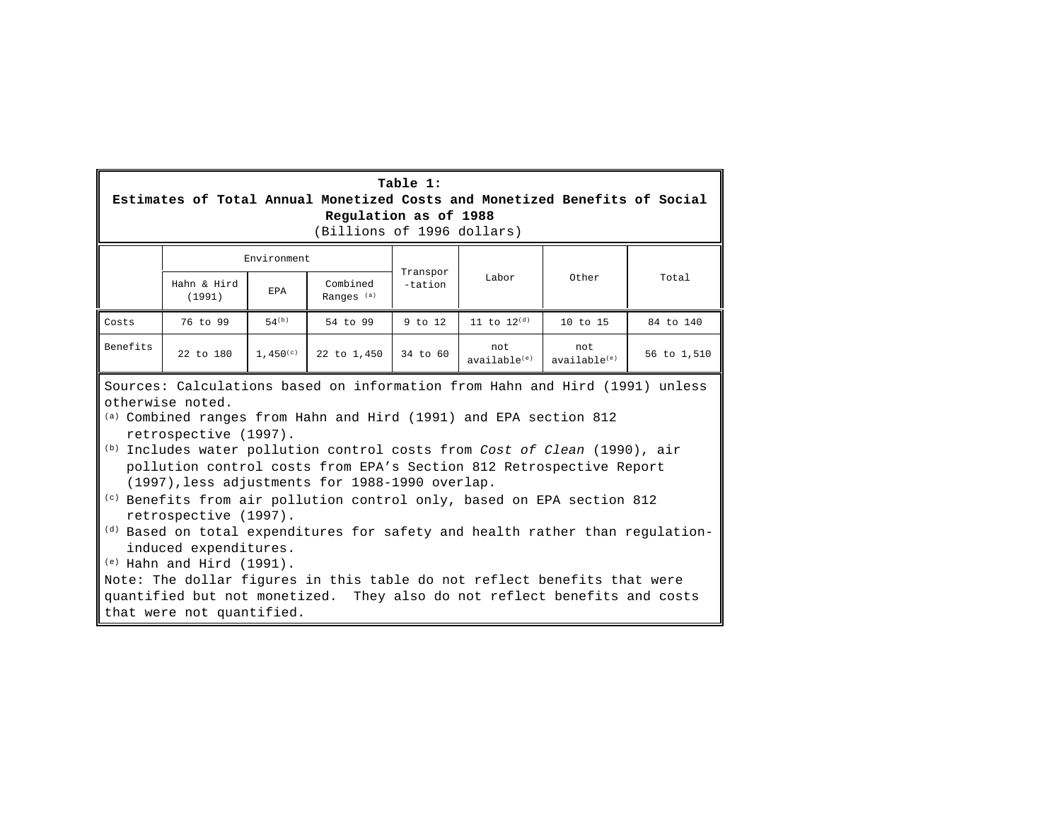| Table 1:                                                                                                                                                                                                                                                                                                                                                                                                                                                                                                                                                                                                                                                                                                                                                                                                             |                                                                            |               |                                   |          |                                 |                                  |             |
|----------------------------------------------------------------------------------------------------------------------------------------------------------------------------------------------------------------------------------------------------------------------------------------------------------------------------------------------------------------------------------------------------------------------------------------------------------------------------------------------------------------------------------------------------------------------------------------------------------------------------------------------------------------------------------------------------------------------------------------------------------------------------------------------------------------------|----------------------------------------------------------------------------|---------------|-----------------------------------|----------|---------------------------------|----------------------------------|-------------|
|                                                                                                                                                                                                                                                                                                                                                                                                                                                                                                                                                                                                                                                                                                                                                                                                                      | Estimates of Total Annual Monetized Costs and Monetized Benefits of Social |               |                                   |          |                                 |                                  |             |
|                                                                                                                                                                                                                                                                                                                                                                                                                                                                                                                                                                                                                                                                                                                                                                                                                      | Regulation as of 1988                                                      |               |                                   |          |                                 |                                  |             |
|                                                                                                                                                                                                                                                                                                                                                                                                                                                                                                                                                                                                                                                                                                                                                                                                                      |                                                                            |               | (Billions of 1996 dollars)        |          |                                 |                                  |             |
|                                                                                                                                                                                                                                                                                                                                                                                                                                                                                                                                                                                                                                                                                                                                                                                                                      |                                                                            | Environment   |                                   | Transpor |                                 |                                  |             |
|                                                                                                                                                                                                                                                                                                                                                                                                                                                                                                                                                                                                                                                                                                                                                                                                                      | Hahn & Hird<br>(1991)                                                      | <b>EPA</b>    | Combined<br>Ranges <sup>(a)</sup> | -tation  | Labor                           | Other                            | Total       |
| Costs                                                                                                                                                                                                                                                                                                                                                                                                                                                                                                                                                                                                                                                                                                                                                                                                                | 76 to 99                                                                   | $54^{(b)}$    | 54 to 99                          | 9 to 12  | 11 to $12^{(d)}$                | 10 to 15                         | 84 to 140   |
| <b>Benefits</b>                                                                                                                                                                                                                                                                                                                                                                                                                                                                                                                                                                                                                                                                                                                                                                                                      | 22 to 180                                                                  | $1.450^{(c)}$ | 22 to 1,450                       | 34 to 60 | not<br>available <sup>(e)</sup> | not.<br>available <sup>(e)</sup> | 56 to 1,510 |
| Sources: Calculations based on information from Hahn and Hird (1991) unless<br>otherwise noted.<br>(a) Combined ranges from Hahn and Hird (1991) and EPA section 812<br>retrospective (1997).<br>(b) Includes water pollution control costs from Cost of Clean (1990), air<br>pollution control costs from EPA's Section 812 Retrospective Report<br>(1997), less adjustments for 1988-1990 overlap.<br>(c) Benefits from air pollution control only, based on EPA section 812<br>retrospective (1997).<br><sup>(d)</sup> Based on total expenditures for safety and health rather than regulation-<br>induced expenditures.<br>$(e)$ Hahn and Hird (1991).<br>Note: The dollar figures in this table do not reflect benefits that were<br>quantified but not monetized. They also do not reflect benefits and costs |                                                                            |               |                                   |          |                                 |                                  |             |

г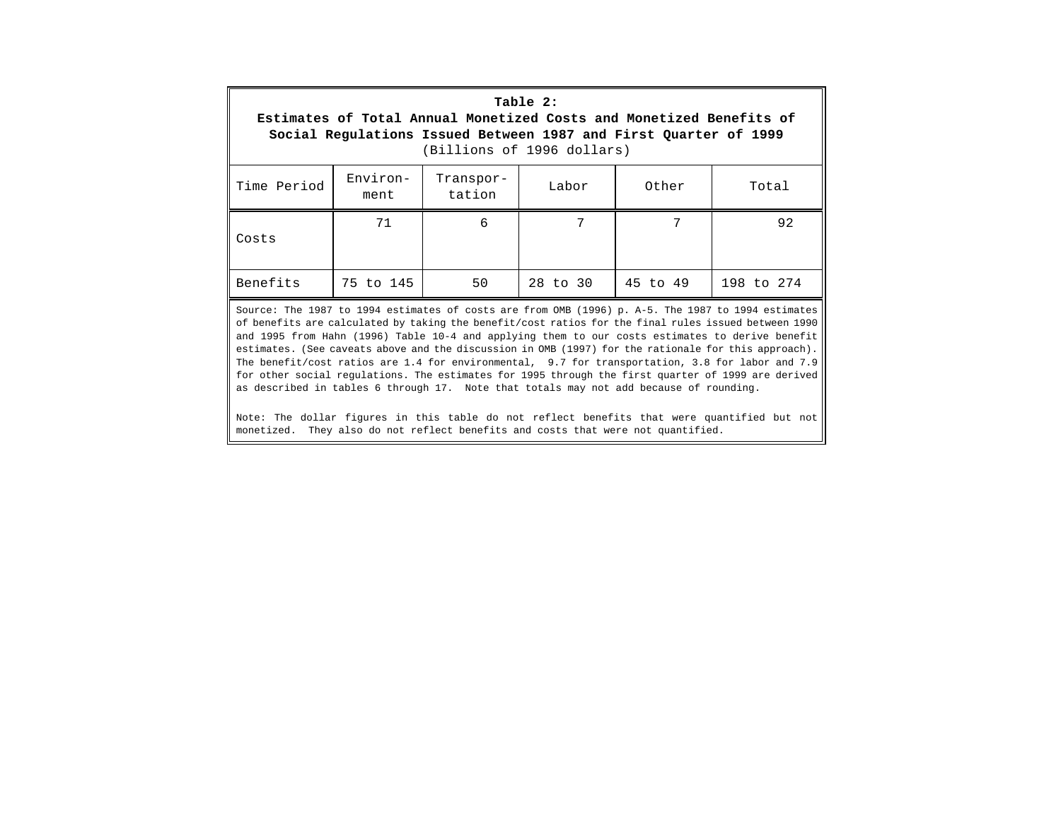| Table 2:<br>Estimates of Total Annual Monetized Costs and Monetized Benefits of<br>Social Regulations Issued Between 1987 and First Quarter of 1999<br>(Billions of 1996 dollars) |                  |                     |       |       |                                                                                                    |
|-----------------------------------------------------------------------------------------------------------------------------------------------------------------------------------|------------------|---------------------|-------|-------|----------------------------------------------------------------------------------------------------|
| Time Period                                                                                                                                                                       | Environ-<br>ment | Transpor-<br>tation | Labor | Other | Total                                                                                              |
| Costs                                                                                                                                                                             | 71               | 6                   | 7     | 7     | 92                                                                                                 |
| Benefits<br>50<br>28 to 30<br>45 to 49<br>75 to 145<br>198 to 274                                                                                                                 |                  |                     |       |       |                                                                                                    |
|                                                                                                                                                                                   |                  |                     |       |       | Source: The 1987 to 1994 estimates of costs are from OMB (1996) p. A-5. The 1987 to 1994 estimates |

of benefits are calculated by taking the benefit/cost ratios for the final rules issued between 1990 and 1995 from Hahn (1996) Table 10-4 and applying them to our costs estimates to derive benefit estimates. (See caveats above and the discussion in OMB (1997) for the rationale for this approach). The benefit/cost ratios are 1.4 for environmental, 9.7 for transportation, 3.8 for labor and 7.9 for other social regulations. The estimates for 1995 through the first quarter of 1999 are derived as described in tables 6 through 17. Note that totals may not add because of rounding.

Note: The dollar figures in this table do not reflect benefits that were quantified but not monetized. They also do not reflect benefits and costs that were not quantified.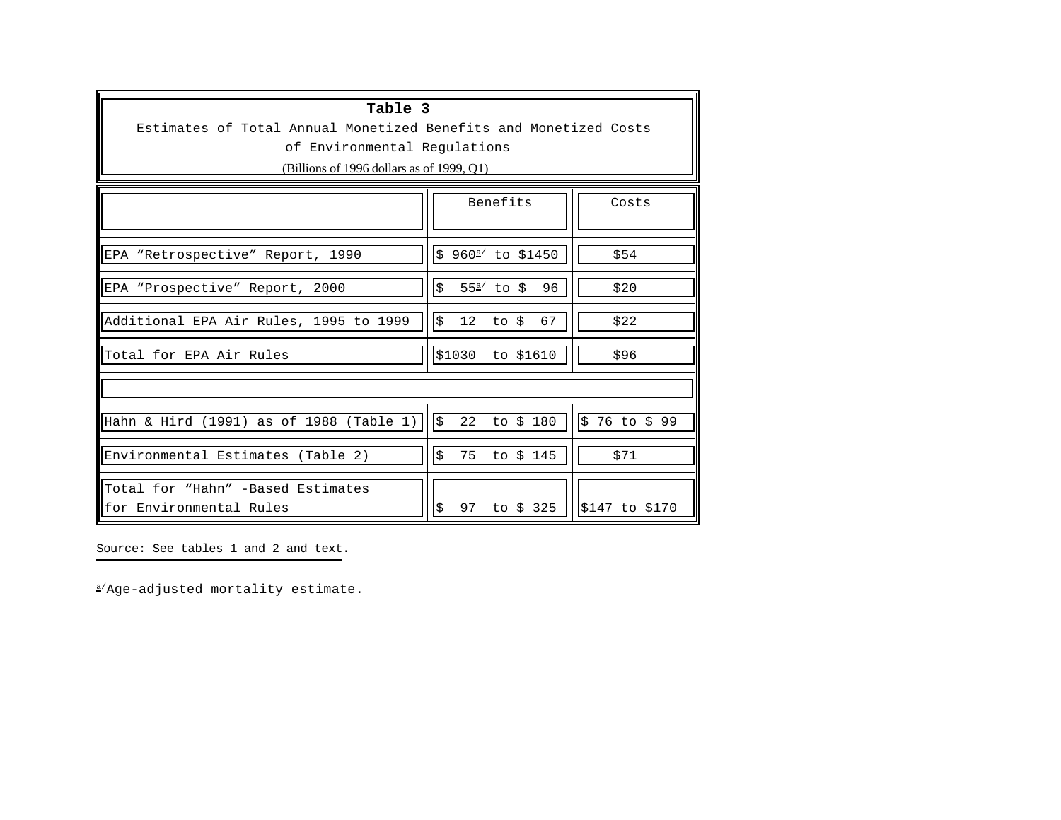| Table 3<br>Estimates of Total Annual Monetized Benefits and Monetized Costs<br>of Environmental Requlations<br>(Billions of 1996 dollars as of 1999, $O(1)$ ) |                                                              |
|---------------------------------------------------------------------------------------------------------------------------------------------------------------|--------------------------------------------------------------|
|                                                                                                                                                               | Benefits<br>Costs                                            |
| EPA "Retrospective" Report, 1990                                                                                                                              | \$ 960 <sup>a</sup> / to \$1450<br>\$54                      |
| EPA "Prospective" Report, 2000                                                                                                                                | \$<br>$55^{\frac{a}{}}$ to \$<br>96<br>\$20                  |
| Additional EPA Air Rules, 1995 to 1999                                                                                                                        | \$<br>12<br>67<br>\$22<br>to \$                              |
| Total for EPA Air Rules                                                                                                                                       | \$1030<br>\$96<br>to \$1610                                  |
|                                                                                                                                                               |                                                              |
| Hahn & Hird (1991) as of 1988 (Table 1)                                                                                                                       | $\boldsymbol{\mathsf{S}}$<br>\$76 to \$99<br>22<br>to \$ 180 |
| Environmental Estimates (Table 2)                                                                                                                             | \$<br>75<br>to \$ 145<br>\$71                                |
| Total for "Hahn" -Based Estimates<br>for Environmental Rules                                                                                                  | \$<br>97<br>to \$ 325<br>\$147 to \$170                      |

Source: See tables 1 and 2 and text.

a/Age-adjusted mortality estimate.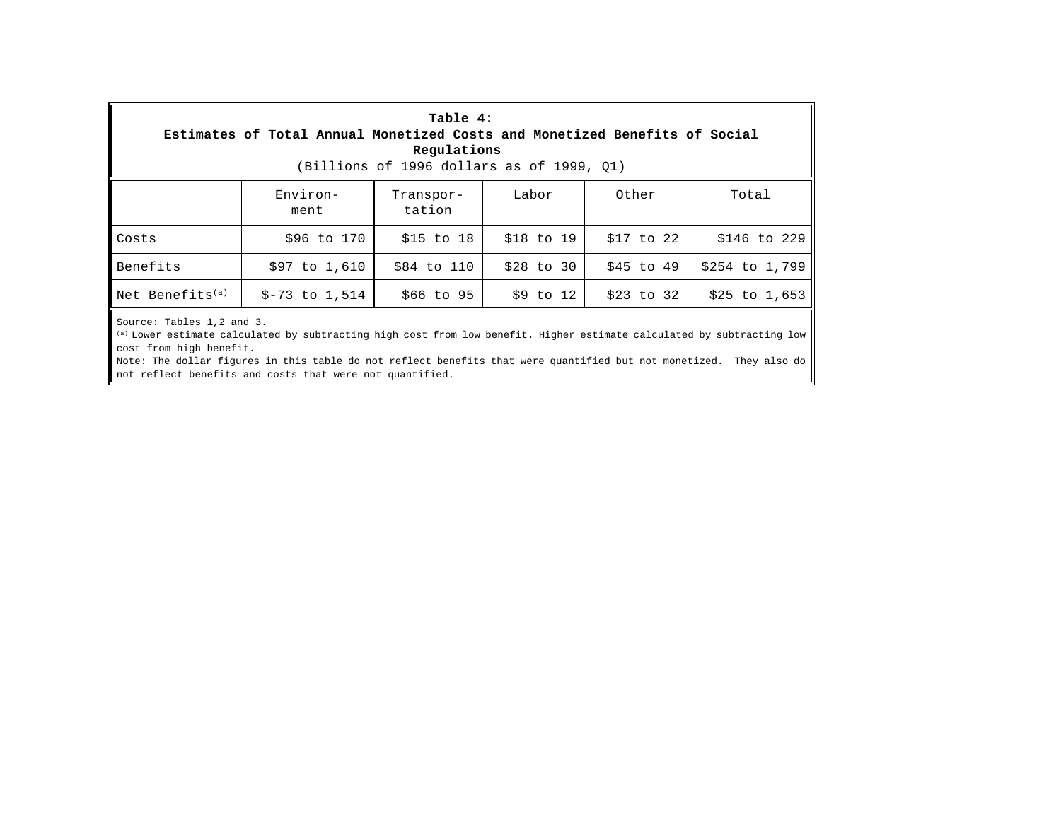| Table 4:<br>Estimates of Total Annual Monetized Costs and Monetized Benefits of Social<br>Regulations<br>(Billions of 1996 dollars as of 1999, O1)  |                  |                     |               |            |                |
|-----------------------------------------------------------------------------------------------------------------------------------------------------|------------------|---------------------|---------------|------------|----------------|
|                                                                                                                                                     | Environ-<br>ment | Transpor-<br>tation | Labor         | Other      | Total          |
| Costs                                                                                                                                               | \$96 to 170      | $$15$ to $18$       | \$18 to 19    | \$17 to 22 | \$146 to 229   |
| Benefits                                                                                                                                            | \$97 to 1,610    | \$84 to 110         | $$28$ to $30$ | \$45 to 49 | \$254 to 1,799 |
| Net Benefits <sup>(a)</sup><br>\$9 to 12<br>$$-73$ to 1,514<br>\$66 to 95<br>$$25$ to 1,653<br>\$23 to 32                                           |                  |                     |               |            |                |
| Source: Tables 1,2 and 3.<br>(a) Lower estimate calculated by subtracting high cost from low benefit. Higher estimate calculated by subtracting low |                  |                     |               |            |                |

cost from high benefit. Note: The dollar figures in this table do not reflect benefits that were quantified but not monetized. They also do

not reflect benefits and costs that were not quantified.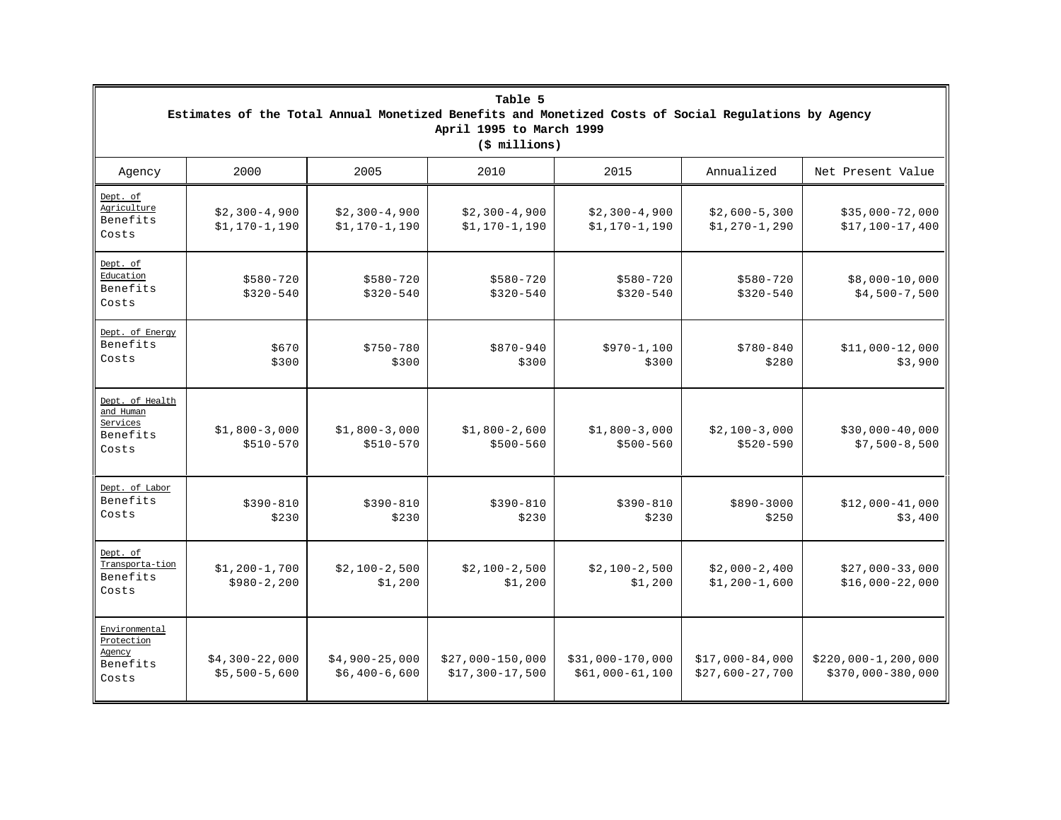|                                                               | Table 5<br>Estimates of the Total Annual Monetized Benefits and Monetized Costs of Social Requlations by Agency<br>April 1995 to March 1999<br>$(\frac{1}{2} millions)$ |                                   |                                       |                                       |                                      |                                            |  |  |
|---------------------------------------------------------------|-------------------------------------------------------------------------------------------------------------------------------------------------------------------------|-----------------------------------|---------------------------------------|---------------------------------------|--------------------------------------|--------------------------------------------|--|--|
| Agency                                                        | 2000                                                                                                                                                                    | 2005                              | 2010                                  | 2015                                  | Annualized                           | Net Present Value                          |  |  |
| Dept. of<br>Agriculture<br>Benefits<br>Costs                  | $$2,300-4,900$<br>$$1,170-1,190$                                                                                                                                        | $$2,300-4,900$<br>$$1,170-1,190$  | $$2,300-4,900$<br>$$1,170-1,190$      | $$2,300-4,900$<br>$$1,170-1,190$      | $$2,600-5,300$<br>$$1, 270-1, 290$   | $$35,000-72,000$<br>$$17,100-17,400$       |  |  |
| Dept. of<br>Education<br>Benefits<br>Costs                    | $$580 - 720$<br>$$320 - 540$                                                                                                                                            | $$580 - 720$<br>$$320 - 540$      | $$580 - 720$<br>$$320 - 540$          | $$580 - 720$<br>$$320 - 540$          | $$580 - 720$<br>$$320 - 540$         | $$8,000-10,000$<br>$$4,500-7,500$          |  |  |
| Dept. of Energy<br>Benefits<br>Costs                          | \$670<br>\$300                                                                                                                                                          | $$750 - 780$<br>\$300             | $$870 - 940$<br>\$300                 | $$970-1,100$<br>\$300                 | $$780 - 840$<br>\$280                | $$11,000-12,000$<br>\$3,900                |  |  |
| Dept. of Health<br>and Human<br>Services<br>Benefits<br>Costs | $$1,800-3,000$<br>$$510-570$                                                                                                                                            | $$1,800-3,000$<br>$$510-570$      | $$1,800-2,600$<br>$$500 - 560$        | $$1,800-3,000$<br>$$500 - 560$        | $$2,100-3,000$<br>$$520 - 590$       | $$30,000-40,000$<br>$$7,500-8,500$         |  |  |
| Dept. of Labor<br>Benefits<br>Costs                           | $$390 - 810$<br>\$230                                                                                                                                                   | $$390 - 810$<br>\$230             | $$390 - 810$<br>\$230                 | $$390 - 810$<br>\$230                 | $$890 - 3000$<br>\$250               | $$12,000-41,000$<br>\$3,400                |  |  |
| Dept. of<br>Transporta-tion<br>Benefits<br>Costs              | $$1,200-1,700$<br>$$980 - 2, 200$                                                                                                                                       | $$2,100-2,500$<br>\$1,200         | $$2,100-2,500$<br>\$1,200             | $$2,100-2,500$<br>\$1,200             | $$2,000-2,400$<br>$$1,200-1,600$     | $$27,000-33,000$<br>$$16,000-22,000$       |  |  |
| Environmental<br>Protection<br>Agency<br>Benefits<br>Costs    | $$4,300-22,000$<br>$$5,500-5,600$                                                                                                                                       | $$4,900-25,000$<br>$$6,400-6,600$ | $$27,000-150,000$<br>$$17,300-17,500$ | $$31,000-170,000$<br>$$61,000-61,100$ | $$17,000-84,000$<br>$$27,600-27,700$ | $$220,000-1,200,000$<br>$$370,000-380,000$ |  |  |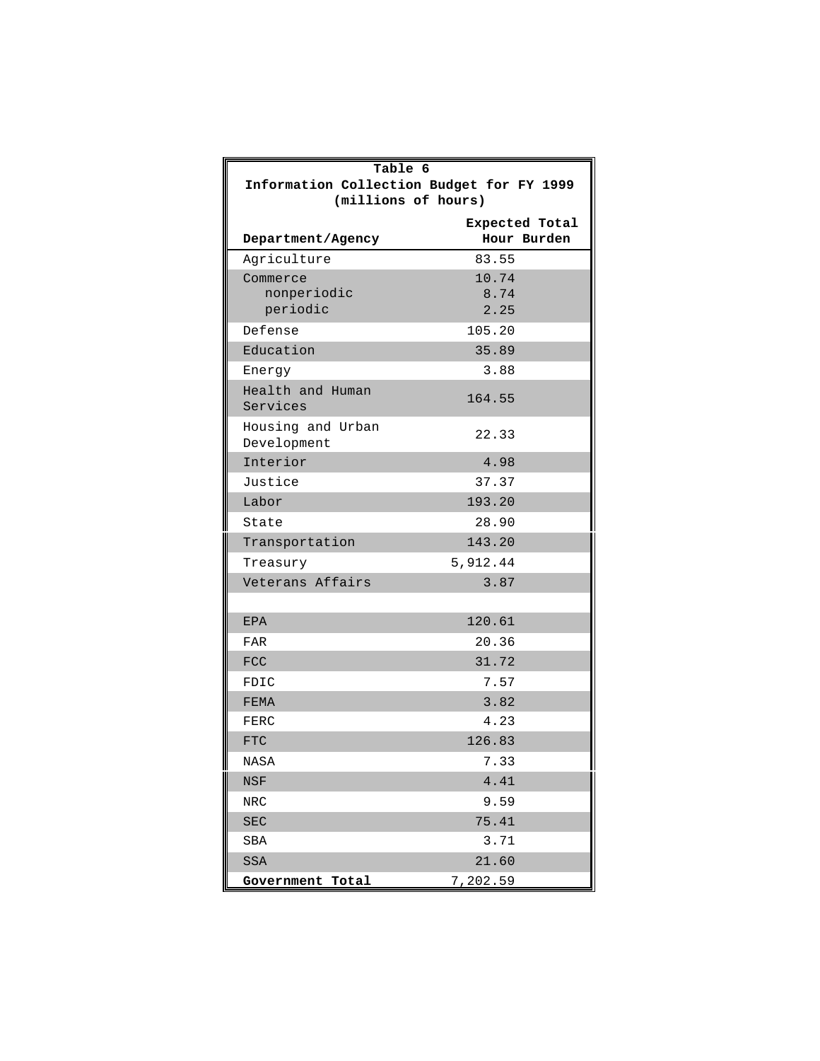| Table 6                                   |                |  |  |  |  |
|-------------------------------------------|----------------|--|--|--|--|
| Information Collection Budget for FY 1999 |                |  |  |  |  |
| (millions of hours)                       |                |  |  |  |  |
|                                           | Expected Total |  |  |  |  |
| Department/Agency                         | Hour Burden    |  |  |  |  |
| Agriculture                               | 83.55          |  |  |  |  |
| Commerce                                  | 10.74          |  |  |  |  |
| nonperiodic<br>periodic                   | 8.74<br>2.25   |  |  |  |  |
| Defense                                   | 105.20         |  |  |  |  |
| Education                                 | 35.89          |  |  |  |  |
| Energy                                    | 3.88           |  |  |  |  |
| Health and Human                          |                |  |  |  |  |
| Services                                  | 164.55         |  |  |  |  |
| Housing and Urban<br>Development          | 22.33          |  |  |  |  |
| Interior                                  | 4.98           |  |  |  |  |
| Justice                                   | 37.37          |  |  |  |  |
| Labor                                     | 193.20         |  |  |  |  |
| State                                     | 28.90          |  |  |  |  |
| Transportation                            | 143.20         |  |  |  |  |
| Treasury                                  | 5,912.44       |  |  |  |  |
| Veterans Affairs                          | 3.87           |  |  |  |  |
|                                           |                |  |  |  |  |
| <b>EPA</b>                                | 120.61         |  |  |  |  |
| <b>FAR</b>                                | 20.36          |  |  |  |  |
| <b>FCC</b>                                | 31.72          |  |  |  |  |
| FDIC                                      | 7.57           |  |  |  |  |
| <b>FEMA</b>                               | 3.82           |  |  |  |  |
| FERC                                      | 4.23           |  |  |  |  |
| <b>FTC</b>                                | 126.83         |  |  |  |  |
| NASA                                      | 7.33           |  |  |  |  |
| <b>NSF</b>                                | 4.41           |  |  |  |  |
| NRC                                       | 9.59           |  |  |  |  |
| <b>SEC</b>                                | 75.41          |  |  |  |  |
| SBA                                       | 3.71           |  |  |  |  |
| SSA                                       | 21.60          |  |  |  |  |
| Government Total                          | 7,202.59       |  |  |  |  |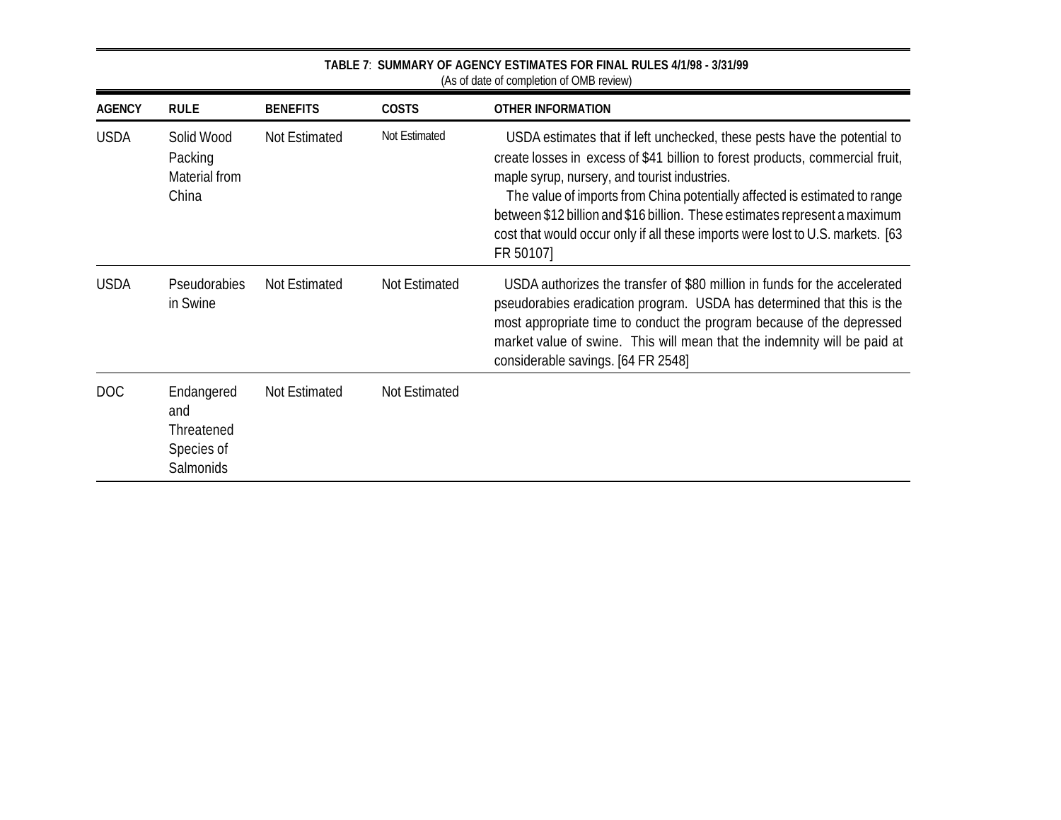|               |                                                            |                 |               | (As of date of completion of OMB review)                                                                                                                                                                                                                                                                                                                                                                                                                              |
|---------------|------------------------------------------------------------|-----------------|---------------|-----------------------------------------------------------------------------------------------------------------------------------------------------------------------------------------------------------------------------------------------------------------------------------------------------------------------------------------------------------------------------------------------------------------------------------------------------------------------|
| <b>AGENCY</b> | <b>RULE</b>                                                | <b>BENEFITS</b> | <b>COSTS</b>  | <b>OTHER INFORMATION</b>                                                                                                                                                                                                                                                                                                                                                                                                                                              |
| <b>USDA</b>   | Solid Wood<br>Packing<br>Material from<br>China            | Not Estimated   | Not Estimated | USDA estimates that if left unchecked, these pests have the potential to<br>create losses in excess of \$41 billion to forest products, commercial fruit,<br>maple syrup, nursery, and tourist industries.<br>The value of imports from China potentially affected is estimated to range<br>between \$12 billion and \$16 billion. These estimates represent a maximum<br>cost that would occur only if all these imports were lost to U.S. markets. [63<br>FR 50107] |
| <b>USDA</b>   | Pseudorabies<br>in Swine                                   | Not Estimated   | Not Estimated | USDA authorizes the transfer of \$80 million in funds for the accelerated<br>pseudorabies eradication program. USDA has determined that this is the<br>most appropriate time to conduct the program because of the depressed<br>market value of swine. This will mean that the indemnity will be paid at<br>considerable savings. [64 FR 2548]                                                                                                                        |
| DOC           | Endangered<br>and<br>Threatened<br>Species of<br>Salmonids | Not Estimated   | Not Estimated |                                                                                                                                                                                                                                                                                                                                                                                                                                                                       |

**TABLE 7**: **SUMMARY OF AGENCY ESTIMATES FOR FINAL RULES 4/1/98 - 3/31/99**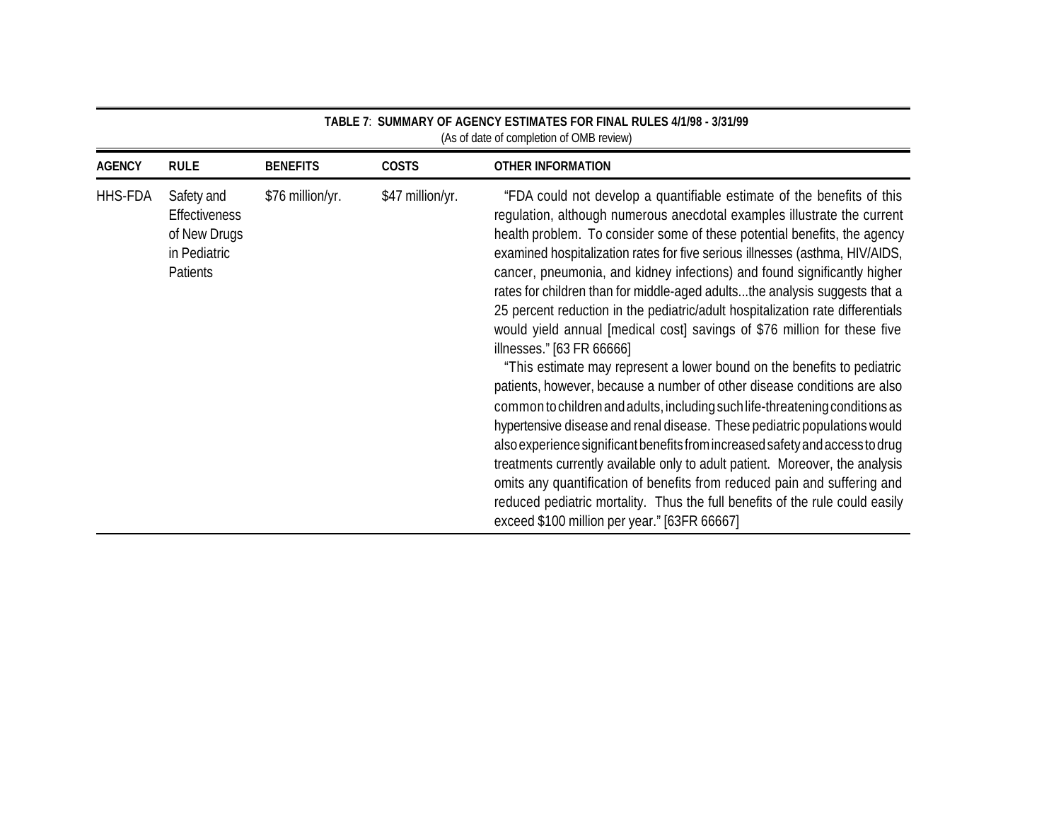| <b>AGENCY</b> | <b>RULE</b>                                                                           | <b>BENEFITS</b>  | <b>COSTS</b>     | <b>OTHER INFORMATION</b>                                                                                                                                                                                                                                                                                                                                                                                                                                                                                                                                                                                                                                                                                                                                                                                                                                                                                                                                                                                                                                                                                                                                                                                                                                                                                                                                            |
|---------------|---------------------------------------------------------------------------------------|------------------|------------------|---------------------------------------------------------------------------------------------------------------------------------------------------------------------------------------------------------------------------------------------------------------------------------------------------------------------------------------------------------------------------------------------------------------------------------------------------------------------------------------------------------------------------------------------------------------------------------------------------------------------------------------------------------------------------------------------------------------------------------------------------------------------------------------------------------------------------------------------------------------------------------------------------------------------------------------------------------------------------------------------------------------------------------------------------------------------------------------------------------------------------------------------------------------------------------------------------------------------------------------------------------------------------------------------------------------------------------------------------------------------|
| HHS-FDA       | Safety and<br><b>Effectiveness</b><br>of New Drugs<br>in Pediatric<br><b>Patients</b> | \$76 million/yr. | \$47 million/yr. | "FDA could not develop a quantifiable estimate of the benefits of this<br>regulation, although numerous anecdotal examples illustrate the current<br>health problem. To consider some of these potential benefits, the agency<br>examined hospitalization rates for five serious illnesses (asthma, HIV/AIDS,<br>cancer, pneumonia, and kidney infections) and found significantly higher<br>rates for children than for middle-aged adultsthe analysis suggests that a<br>25 percent reduction in the pediatric/adult hospitalization rate differentials<br>would yield annual [medical cost] savings of \$76 million for these five<br>illnesses." [63 FR 66666]<br>"This estimate may represent a lower bound on the benefits to pediatric<br>patients, however, because a number of other disease conditions are also<br>common to children and adults, including such life-threatening conditions as<br>hypertensive disease and renal disease. These pediatric populations would<br>also experience significant benefits from increased safety and access to drug<br>treatments currently available only to adult patient. Moreover, the analysis<br>omits any quantification of benefits from reduced pain and suffering and<br>reduced pediatric mortality. Thus the full benefits of the rule could easily<br>exceed \$100 million per year." [63FR 66667] |

**TABLE 7**: **SUMMARY OF AGENCY ESTIMATES FOR FINAL RULES 4/1/98 - 3/31/99**  (As of date of completion of OMB review)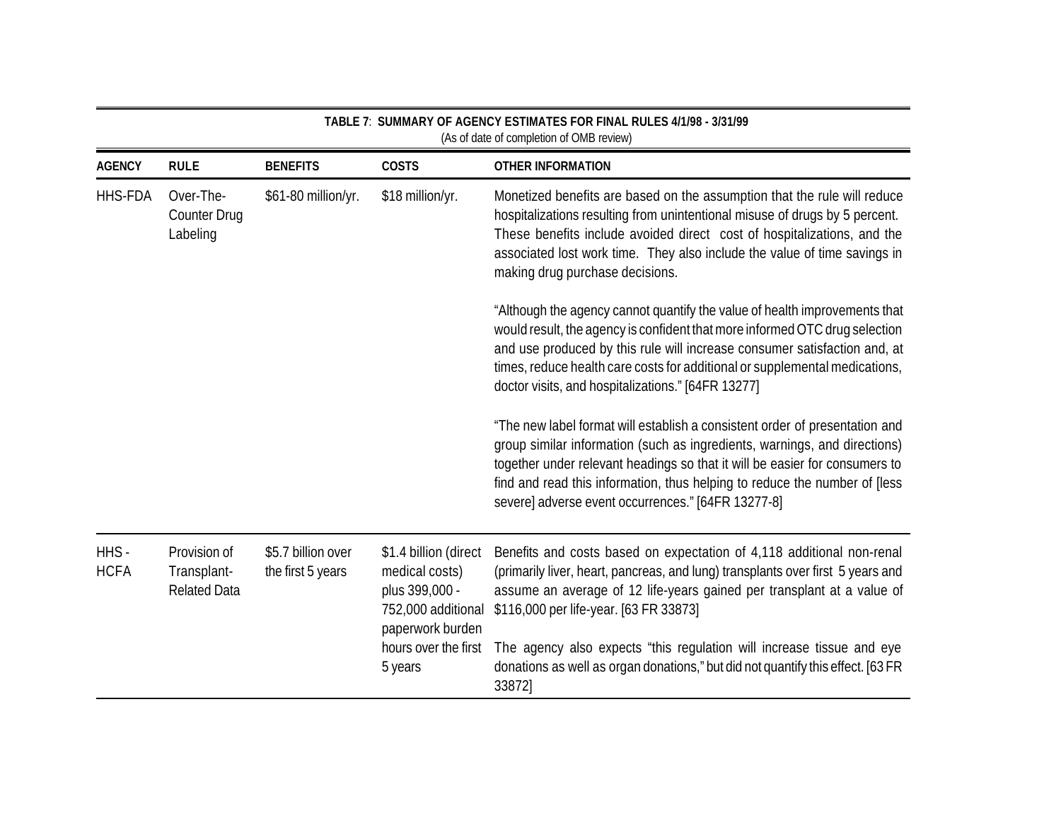|                     |                                                    |                                         |                                                                                                     | (As of date of completion of OMB review)                                                                                                                                                                                                                                                                                                                                    |
|---------------------|----------------------------------------------------|-----------------------------------------|-----------------------------------------------------------------------------------------------------|-----------------------------------------------------------------------------------------------------------------------------------------------------------------------------------------------------------------------------------------------------------------------------------------------------------------------------------------------------------------------------|
| <b>AGENCY</b>       | <b>RULE</b>                                        | <b>BENEFITS</b>                         | <b>COSTS</b>                                                                                        | <b>OTHER INFORMATION</b>                                                                                                                                                                                                                                                                                                                                                    |
| <b>HHS-FDA</b>      | Over-The-<br><b>Counter Drug</b><br>Labeling       | \$61-80 million/yr.                     | \$18 million/yr.                                                                                    | Monetized benefits are based on the assumption that the rule will reduce<br>hospitalizations resulting from unintentional misuse of drugs by 5 percent.<br>These benefits include avoided direct cost of hospitalizations, and the<br>associated lost work time. They also include the value of time savings in<br>making drug purchase decisions.                          |
|                     |                                                    |                                         |                                                                                                     | "Although the agency cannot quantify the value of health improvements that<br>would result, the agency is confident that more informed OTC drug selection<br>and use produced by this rule will increase consumer satisfaction and, at<br>times, reduce health care costs for additional or supplemental medications,<br>doctor visits, and hospitalizations." [64FR 13277] |
|                     |                                                    |                                         |                                                                                                     | "The new label format will establish a consistent order of presentation and<br>group similar information (such as ingredients, warnings, and directions)<br>together under relevant headings so that it will be easier for consumers to<br>find and read this information, thus helping to reduce the number of [less<br>severe] adverse event occurrences." [64FR 13277-8] |
| HHS-<br><b>HCFA</b> | Provision of<br>Transplant-<br><b>Related Data</b> | \$5.7 billion over<br>the first 5 years | \$1.4 billion (direct<br>medical costs)<br>plus 399,000 -<br>752,000 additional<br>paperwork burden | Benefits and costs based on expectation of 4,118 additional non-renal<br>(primarily liver, heart, pancreas, and lung) transplants over first 5 years and<br>assume an average of 12 life-years gained per transplant at a value of<br>\$116,000 per life-year. [63 FR 33873]                                                                                                |
|                     |                                                    |                                         | hours over the first<br>5 years                                                                     | The agency also expects "this regulation will increase tissue and eye<br>donations as well as organ donations," but did not quantify this effect. [63 FR<br>33872]                                                                                                                                                                                                          |

**TABLE 7**: **SUMMARY OF AGENCY ESTIMATES FOR FINAL RULES 4/1/98 - 3/31/99**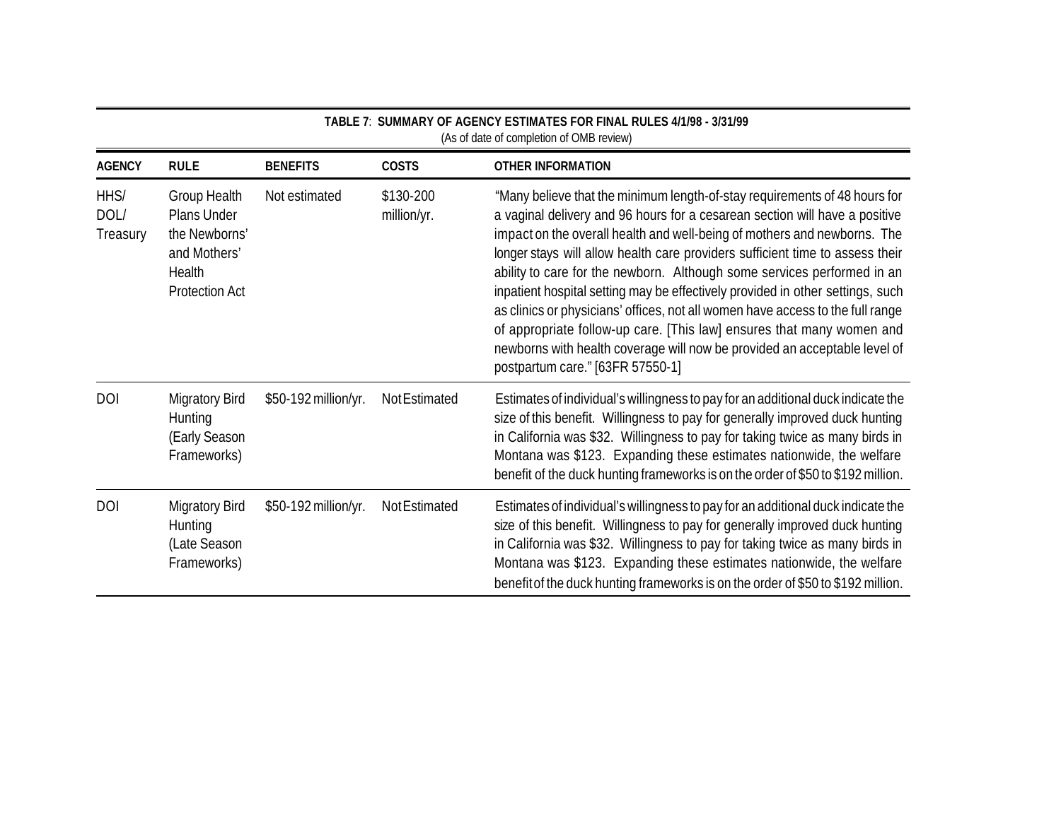| <b>AGENCY</b>            | <b>RULE</b>                                                                                     | <b>BENEFITS</b>      | <b>COSTS</b>             | <b>OTHER INFORMATION</b>                                                                                                                                                                                                                                                                                                                                                                                                                                                                                                                                                                                                                                                                                                                                        |
|--------------------------|-------------------------------------------------------------------------------------------------|----------------------|--------------------------|-----------------------------------------------------------------------------------------------------------------------------------------------------------------------------------------------------------------------------------------------------------------------------------------------------------------------------------------------------------------------------------------------------------------------------------------------------------------------------------------------------------------------------------------------------------------------------------------------------------------------------------------------------------------------------------------------------------------------------------------------------------------|
| HHS/<br>DOL/<br>Treasury | Group Health<br>Plans Under<br>the Newborns'<br>and Mothers'<br>Health<br><b>Protection Act</b> | Not estimated        | \$130-200<br>million/yr. | "Many believe that the minimum length-of-stay requirements of 48 hours for<br>a vaginal delivery and 96 hours for a cesarean section will have a positive<br>impact on the overall health and well-being of mothers and newborns. The<br>longer stays will allow health care providers sufficient time to assess their<br>ability to care for the newborn. Although some services performed in an<br>inpatient hospital setting may be effectively provided in other settings, such<br>as clinics or physicians' offices, not all women have access to the full range<br>of appropriate follow-up care. [This law] ensures that many women and<br>newborns with health coverage will now be provided an acceptable level of<br>postpartum care." [63FR 57550-1] |
| DOI                      | <b>Migratory Bird</b><br>Hunting<br>(Early Season<br>Frameworks)                                | \$50-192 million/yr. | Not Estimated            | Estimates of individual's willingness to pay for an additional duck indicate the<br>size of this benefit. Willingness to pay for generally improved duck hunting<br>in California was \$32. Willingness to pay for taking twice as many birds in<br>Montana was \$123. Expanding these estimates nationwide, the welfare<br>benefit of the duck hunting frameworks is on the order of \$50 to \$192 million.                                                                                                                                                                                                                                                                                                                                                    |
| <b>DOI</b>               | <b>Migratory Bird</b><br>Hunting<br>(Late Season<br>Frameworks)                                 | \$50-192 million/yr. | Not Estimated            | Estimates of individual's willingness to pay for an additional duck indicate the<br>size of this benefit. Willingness to pay for generally improved duck hunting<br>in California was \$32. Willingness to pay for taking twice as many birds in<br>Montana was \$123. Expanding these estimates nationwide, the welfare<br>benefit of the duck hunting frameworks is on the order of \$50 to \$192 million.                                                                                                                                                                                                                                                                                                                                                    |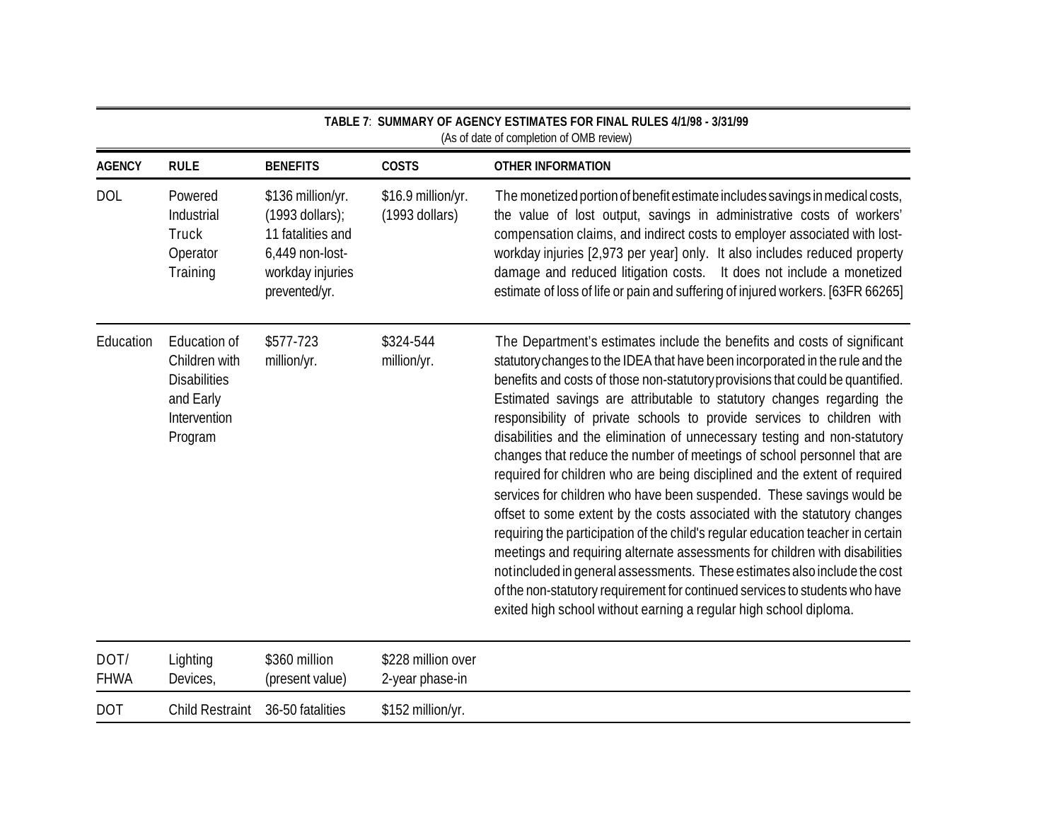|                     | TABLE 7: SUMMARY OF AGENCY ESTIMATES FOR FINAL RULES 4/1/98 - 3/31/99<br>(As of date of completion of OMB review) |                                                                                                                     |                                        |                                                                                                                                                                                                                                                                                                                                                                                                                                                                                                                                                                                                                                                                                                                                                                                                                                                                                                                                                                                                                                                                                                                                                                                               |  |
|---------------------|-------------------------------------------------------------------------------------------------------------------|---------------------------------------------------------------------------------------------------------------------|----------------------------------------|-----------------------------------------------------------------------------------------------------------------------------------------------------------------------------------------------------------------------------------------------------------------------------------------------------------------------------------------------------------------------------------------------------------------------------------------------------------------------------------------------------------------------------------------------------------------------------------------------------------------------------------------------------------------------------------------------------------------------------------------------------------------------------------------------------------------------------------------------------------------------------------------------------------------------------------------------------------------------------------------------------------------------------------------------------------------------------------------------------------------------------------------------------------------------------------------------|--|
| <b>AGENCY</b>       | <b>RULE</b>                                                                                                       | <b>BENEFITS</b>                                                                                                     | <b>COSTS</b>                           | <b>OTHER INFORMATION</b>                                                                                                                                                                                                                                                                                                                                                                                                                                                                                                                                                                                                                                                                                                                                                                                                                                                                                                                                                                                                                                                                                                                                                                      |  |
| <b>DOL</b>          | Powered<br>Industrial<br>Truck<br>Operator<br>Training                                                            | \$136 million/yr.<br>$(1993$ dollars);<br>11 fatalities and<br>6,449 non-lost-<br>workday injuries<br>prevented/yr. | \$16.9 million/yr.<br>$(1993$ dollars) | The monetized portion of benefit estimate includes savings in medical costs,<br>the value of lost output, savings in administrative costs of workers'<br>compensation claims, and indirect costs to employer associated with lost-<br>workday injuries [2,973 per year] only. It also includes reduced property<br>damage and reduced litigation costs. It does not include a monetized<br>estimate of loss of life or pain and suffering of injured workers. [63FR 66265]                                                                                                                                                                                                                                                                                                                                                                                                                                                                                                                                                                                                                                                                                                                    |  |
| Education           | Education of<br>Children with<br><b>Disabilities</b><br>and Early<br>Intervention<br>Program                      | \$577-723<br>million/yr.                                                                                            | \$324-544<br>million/yr.               | The Department's estimates include the benefits and costs of significant<br>statutory changes to the IDEA that have been incorporated in the rule and the<br>benefits and costs of those non-statutory provisions that could be quantified.<br>Estimated savings are attributable to statutory changes regarding the<br>responsibility of private schools to provide services to children with<br>disabilities and the elimination of unnecessary testing and non-statutory<br>changes that reduce the number of meetings of school personnel that are<br>required for children who are being disciplined and the extent of required<br>services for children who have been suspended. These savings would be<br>offset to some extent by the costs associated with the statutory changes<br>requiring the participation of the child's regular education teacher in certain<br>meetings and requiring alternate assessments for children with disabilities<br>notincluded in general assessments. These estimates also include the cost<br>of the non-statutory requirement for continued services to students who have<br>exited high school without earning a regular high school diploma. |  |
| DOT/<br><b>FHWA</b> | Lighting<br>Devices,                                                                                              | \$360 million<br>(present value)                                                                                    | \$228 million over<br>2-year phase-in  |                                                                                                                                                                                                                                                                                                                                                                                                                                                                                                                                                                                                                                                                                                                                                                                                                                                                                                                                                                                                                                                                                                                                                                                               |  |
| <b>DOT</b>          | <b>Child Restraint</b>                                                                                            | 36-50 fatalities                                                                                                    | \$152 million/yr.                      |                                                                                                                                                                                                                                                                                                                                                                                                                                                                                                                                                                                                                                                                                                                                                                                                                                                                                                                                                                                                                                                                                                                                                                                               |  |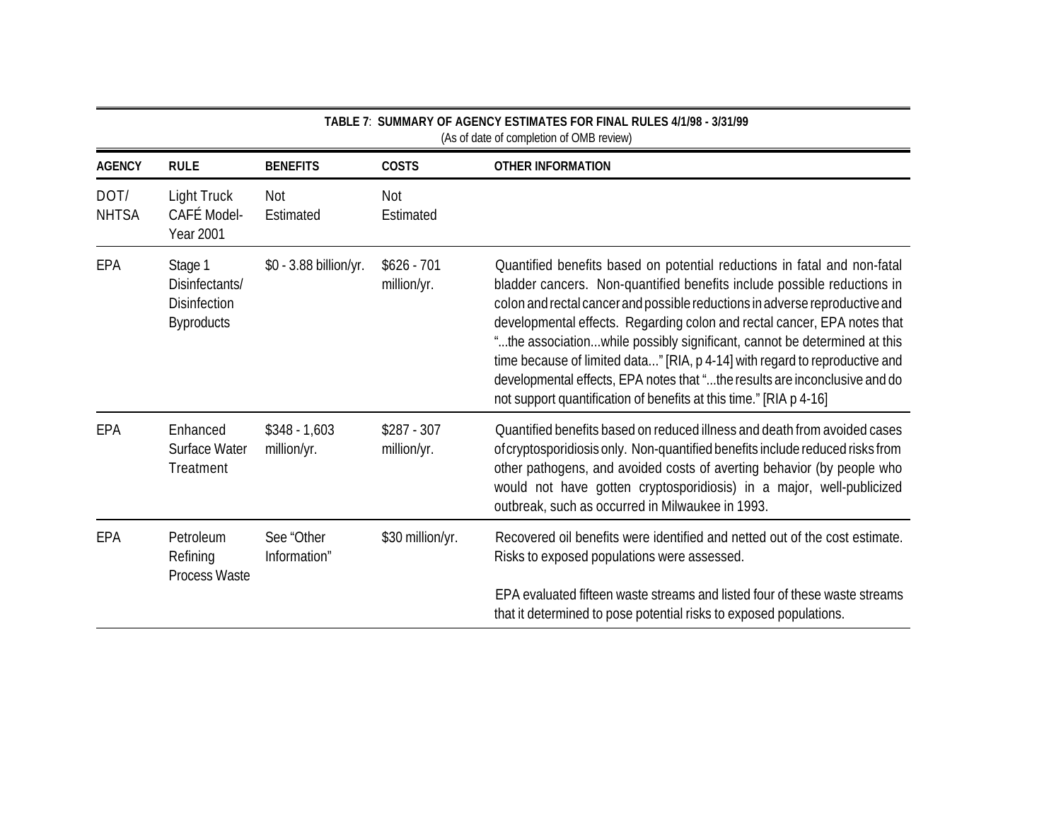|                      |                                                                       |                               |                             | TABLE 7: SUMMARY OF AGENCY ESTIMATES FOR FINAL RULES 4/1/98 - 3/31/99<br>(As of date of completion of OMB review)                                                                                                                                                                                                                                                                                                                                                                                                                                                                                                             |
|----------------------|-----------------------------------------------------------------------|-------------------------------|-----------------------------|-------------------------------------------------------------------------------------------------------------------------------------------------------------------------------------------------------------------------------------------------------------------------------------------------------------------------------------------------------------------------------------------------------------------------------------------------------------------------------------------------------------------------------------------------------------------------------------------------------------------------------|
| <b>AGENCY</b>        | <b>RULE</b>                                                           | <b>BENEFITS</b>               | <b>COSTS</b>                | <b>OTHER INFORMATION</b>                                                                                                                                                                                                                                                                                                                                                                                                                                                                                                                                                                                                      |
| DOT/<br><b>NHTSA</b> | <b>Light Truck</b><br>CAFÉ Model-<br><b>Year 2001</b>                 | Not<br>Estimated              | Not<br>Estimated            |                                                                                                                                                                                                                                                                                                                                                                                                                                                                                                                                                                                                                               |
| EPA                  | Stage 1<br>Disinfectants/<br><b>Disinfection</b><br><b>Byproducts</b> | \$0 - 3.88 billion/yr.        | $$626 - 701$<br>million/yr. | Quantified benefits based on potential reductions in fatal and non-fatal<br>bladder cancers. Non-quantified benefits include possible reductions in<br>colon and rectal cancer and possible reductions in adverse reproductive and<br>developmental effects. Regarding colon and rectal cancer, EPA notes that<br>"the associationwhile possibly significant, cannot be determined at this<br>time because of limited data" [RIA, p 4-14] with regard to reproductive and<br>developmental effects, EPA notes that "the results are inconclusive and do<br>not support quantification of benefits at this time." [RIA p 4-16] |
| EPA                  | Enhanced<br>Surface Water<br>Treatment                                | $$348 - 1,603$<br>million/yr. | $$287 - 307$<br>million/yr. | Quantified benefits based on reduced illness and death from avoided cases<br>of cryptosporidiosis only. Non-quantified benefits include reduced risks from<br>other pathogens, and avoided costs of averting behavior (by people who<br>would not have gotten cryptosporidiosis) in a major, well-publicized<br>outbreak, such as occurred in Milwaukee in 1993.                                                                                                                                                                                                                                                              |
| EPA                  | Petroleum<br>Refining<br>Process Waste                                | See "Other<br>Information"    | \$30 million/yr.            | Recovered oil benefits were identified and netted out of the cost estimate.<br>Risks to exposed populations were assessed.                                                                                                                                                                                                                                                                                                                                                                                                                                                                                                    |
|                      |                                                                       |                               |                             | EPA evaluated fifteen waste streams and listed four of these waste streams<br>that it determined to pose potential risks to exposed populations.                                                                                                                                                                                                                                                                                                                                                                                                                                                                              |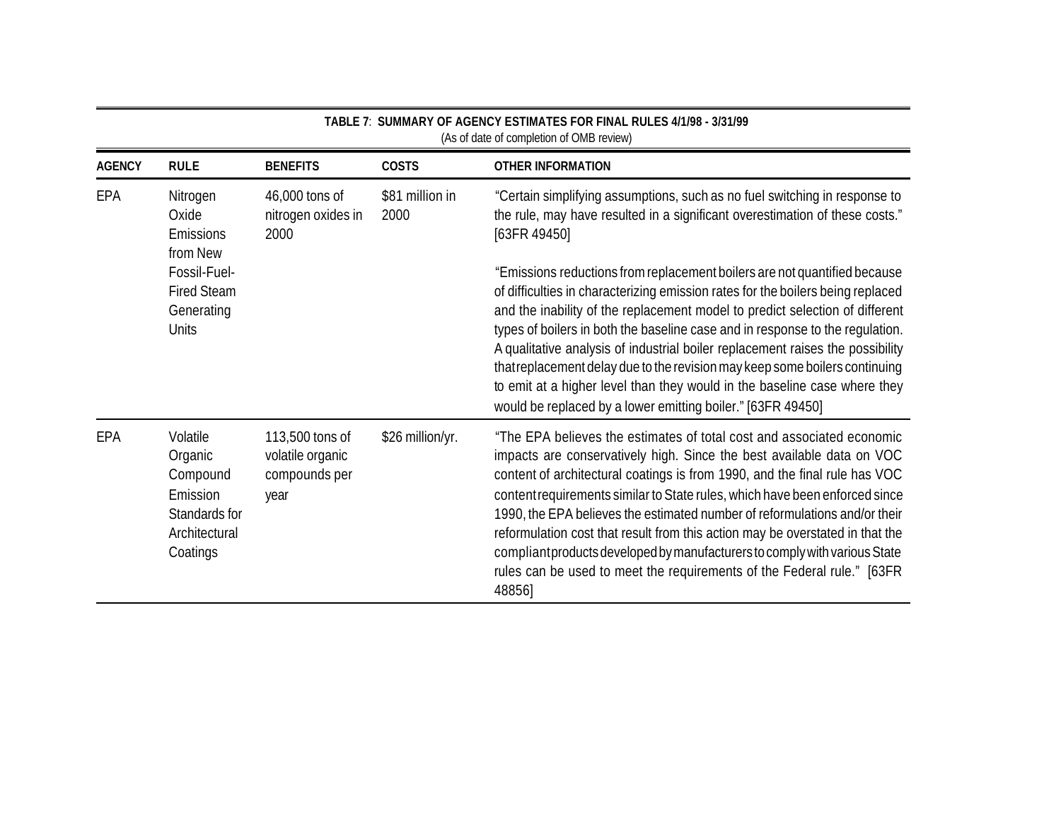| (As of date of completion of OMB review) |                                                                                           |                                                              |                         |                                                                                                                                                                                                                                                                                                                                                                                                                                                                                                                                                                                                                                              |  |  |  |  |
|------------------------------------------|-------------------------------------------------------------------------------------------|--------------------------------------------------------------|-------------------------|----------------------------------------------------------------------------------------------------------------------------------------------------------------------------------------------------------------------------------------------------------------------------------------------------------------------------------------------------------------------------------------------------------------------------------------------------------------------------------------------------------------------------------------------------------------------------------------------------------------------------------------------|--|--|--|--|
| <b>AGENCY</b>                            | <b>RULE</b>                                                                               | <b>BENEFITS</b>                                              | <b>COSTS</b>            | <b>OTHER INFORMATION</b>                                                                                                                                                                                                                                                                                                                                                                                                                                                                                                                                                                                                                     |  |  |  |  |
| EPA                                      | Nitrogen<br>Oxide<br>Emissions<br>from New                                                | 46,000 tons of<br>nitrogen oxides in<br>2000                 | \$81 million in<br>2000 | "Certain simplifying assumptions, such as no fuel switching in response to<br>the rule, may have resulted in a significant overestimation of these costs."<br>[63FR 49450]                                                                                                                                                                                                                                                                                                                                                                                                                                                                   |  |  |  |  |
| EPA                                      | Fossil-Fuel-<br><b>Fired Steam</b><br>Generating<br><b>Units</b>                          |                                                              |                         | "Emissions reductions from replacement boilers are not quantified because<br>of difficulties in characterizing emission rates for the boilers being replaced<br>and the inability of the replacement model to predict selection of different<br>types of boilers in both the baseline case and in response to the regulation.<br>A qualitative analysis of industrial boiler replacement raises the possibility<br>that replacement delay due to the revision may keep some boilers continuing<br>to emit at a higher level than they would in the baseline case where they<br>would be replaced by a lower emitting boiler." [63FR 49450]   |  |  |  |  |
|                                          | Volatile<br>Organic<br>Compound<br>Emission<br>Standards for<br>Architectural<br>Coatings | 113,500 tons of<br>volatile organic<br>compounds per<br>year | \$26 million/yr.        | "The EPA believes the estimates of total cost and associated economic<br>impacts are conservatively high. Since the best available data on VOC<br>content of architectural coatings is from 1990, and the final rule has VOC<br>content requirements similar to State rules, which have been enforced since<br>1990, the EPA believes the estimated number of reformulations and/or their<br>reformulation cost that result from this action may be overstated in that the<br>compliant products developed by manufacturers to comply with various State<br>rules can be used to meet the requirements of the Federal rule." [63FR<br>48856] |  |  |  |  |

**TABLE 7**: **SUMMARY OF AGENCY ESTIMATES FOR FINAL RULES 4/1/98 - 3/31/99**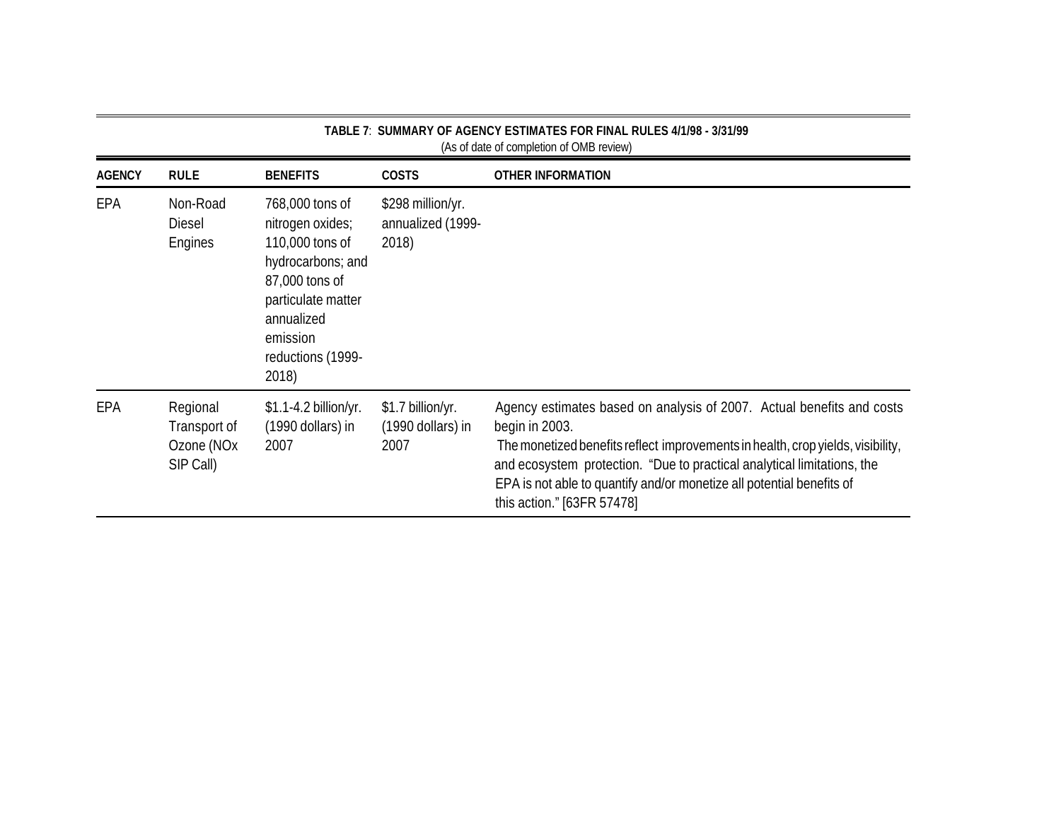|               |                                                                 |                                                                                                                                                                             |                                                 | (As of date of completion of OMB review)                                                                                                                                                                                                                                                                                                                     |
|---------------|-----------------------------------------------------------------|-----------------------------------------------------------------------------------------------------------------------------------------------------------------------------|-------------------------------------------------|--------------------------------------------------------------------------------------------------------------------------------------------------------------------------------------------------------------------------------------------------------------------------------------------------------------------------------------------------------------|
| <b>AGENCY</b> | <b>RULE</b>                                                     | <b>BENEFITS</b>                                                                                                                                                             | <b>COSTS</b>                                    | <b>OTHER INFORMATION</b>                                                                                                                                                                                                                                                                                                                                     |
| EPA           | Non-Road<br><b>Diesel</b><br>Engines                            | 768,000 tons of<br>nitrogen oxides;<br>110,000 tons of<br>hydrocarbons; and<br>87,000 tons of<br>particulate matter<br>annualized<br>emission<br>reductions (1999-<br>2018) | \$298 million/yr.<br>annualized (1999-<br>2018) |                                                                                                                                                                                                                                                                                                                                                              |
| EPA           | Regional<br>Transport of<br>Ozone (NO <sub>x</sub><br>SIP Call) | $$1.1-4.2$ billion/yr.<br>(1990 dollars) in<br>2007                                                                                                                         | \$1.7 billion/yr.<br>(1990 dollars) in<br>2007  | Agency estimates based on analysis of 2007. Actual benefits and costs<br>begin in 2003.<br>The monetized benefits reflect improvements in health, crop yields, visibility,<br>and ecosystem protection. "Due to practical analytical limitations, the<br>EPA is not able to quantify and/or monetize all potential benefits of<br>this action." [63FR 57478] |

**TABLE 7**: **SUMMARY OF AGENCY ESTIMATES FOR FINAL RULES 4/1/98 - 3/31/99**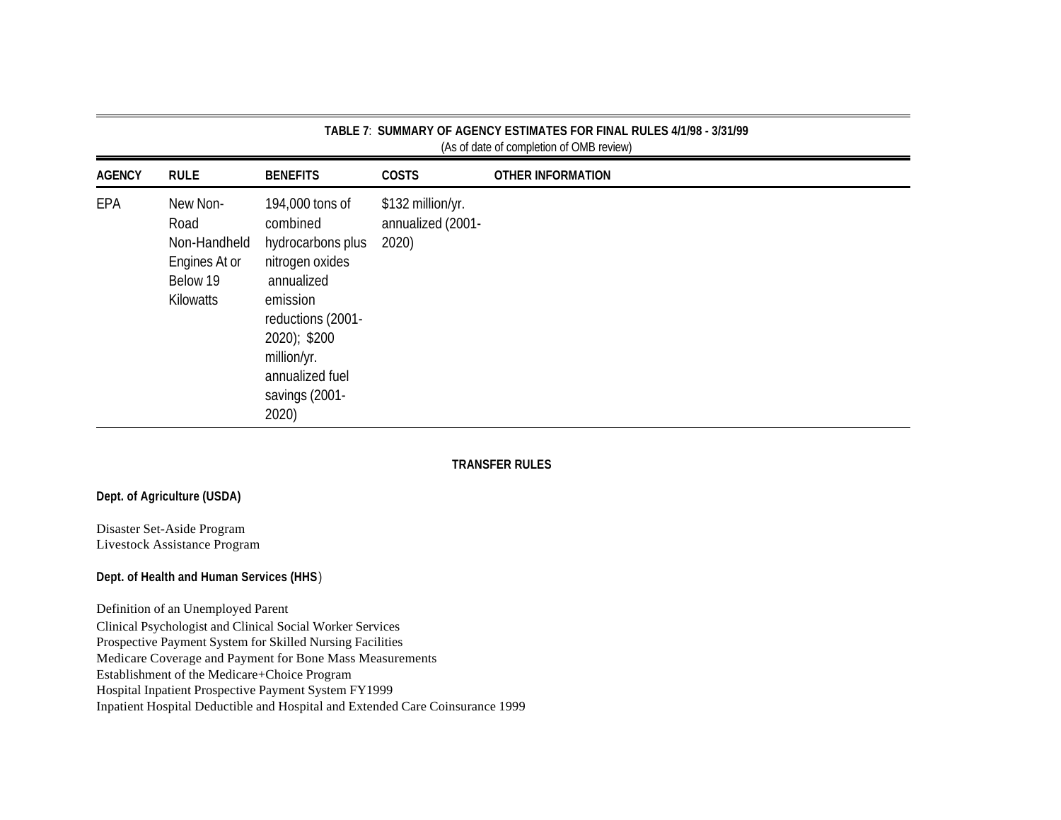| <b>AGENCY</b> | <b>RULE</b>                                                                | <b>BENEFITS</b>                                                                                                                                                                                 | <b>COSTS</b>                                    | <b>OTHER INFORMATION</b> |
|---------------|----------------------------------------------------------------------------|-------------------------------------------------------------------------------------------------------------------------------------------------------------------------------------------------|-------------------------------------------------|--------------------------|
| EPA           | New Non-<br>Road<br>Non-Handheld<br>Engines At or<br>Below 19<br>Kilowatts | 194,000 tons of<br>combined<br>hydrocarbons plus<br>nitrogen oxides<br>annualized<br>emission<br>reductions (2001-<br>2020); \$200<br>million/yr.<br>annualized fuel<br>savings (2001-<br>2020) | \$132 million/yr.<br>annualized (2001-<br>2020) |                          |

### **TRANSFER RULES**

### **Dept. of Agriculture (USDA)**

Disaster Set-Aside Program Livestock Assistance Program

### **Dept. of Health and Human Services (HHS** )

Definition of an Unemployed Parent

Clinical Psychologist and Clinical Social Worker Services

Prospective Payment System for Skilled Nursing Facilities

Medicare Coverage and Payment for Bone Mass Measurements

Establishment of the Medicare+Choice Program

Hospital Inpatient Prospective Payment System FY1999

Inpatient Hospital Deductible and Hospital and Extended Care Coinsurance 1999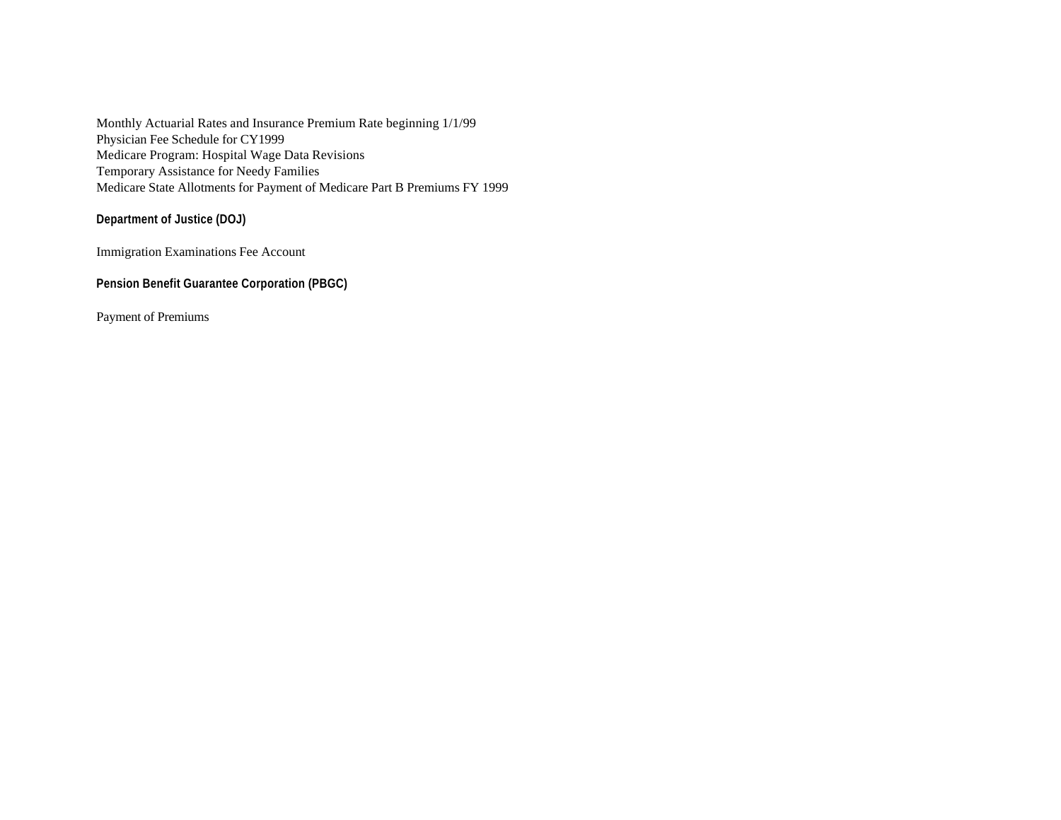Monthly Actuarial Rates and Insurance Premium Rate beginning 1/1/99 Physician Fee Schedule for CY1999 Medicare Program: Hospital Wage Data Revisions Temporary Assistance for Needy Families Medicare State Allotments for Payment of Medicare Part B Premiums FY 1999

**Department of Justice (DOJ)** 

Immigration Examinations Fee Account

**Pension Benefit Guarantee Corporation (PBGC)** 

Payment of Premiums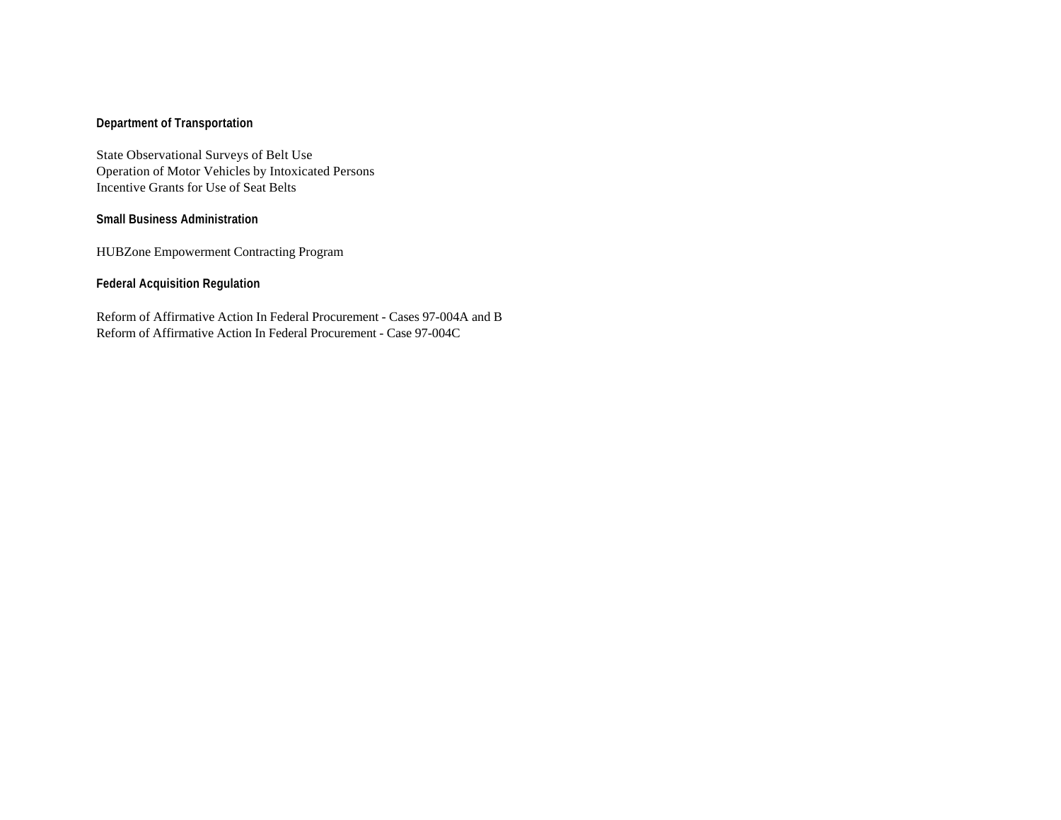### **Department of Transportation**

State Observational Surveys of Belt Use Operation of Motor Vehicles by Intoxicated Persons Incentive Grants for Use of Seat Belts

### **Small Business Administration**

HUBZone Empowerment Contracting Program

### **Federal Acquisition Regulation**

Reform of Affirmative Action In Federal Procurement - Cases 97-004A and B Reform of Affirmative Action In Federal Procurement - Case 97-004C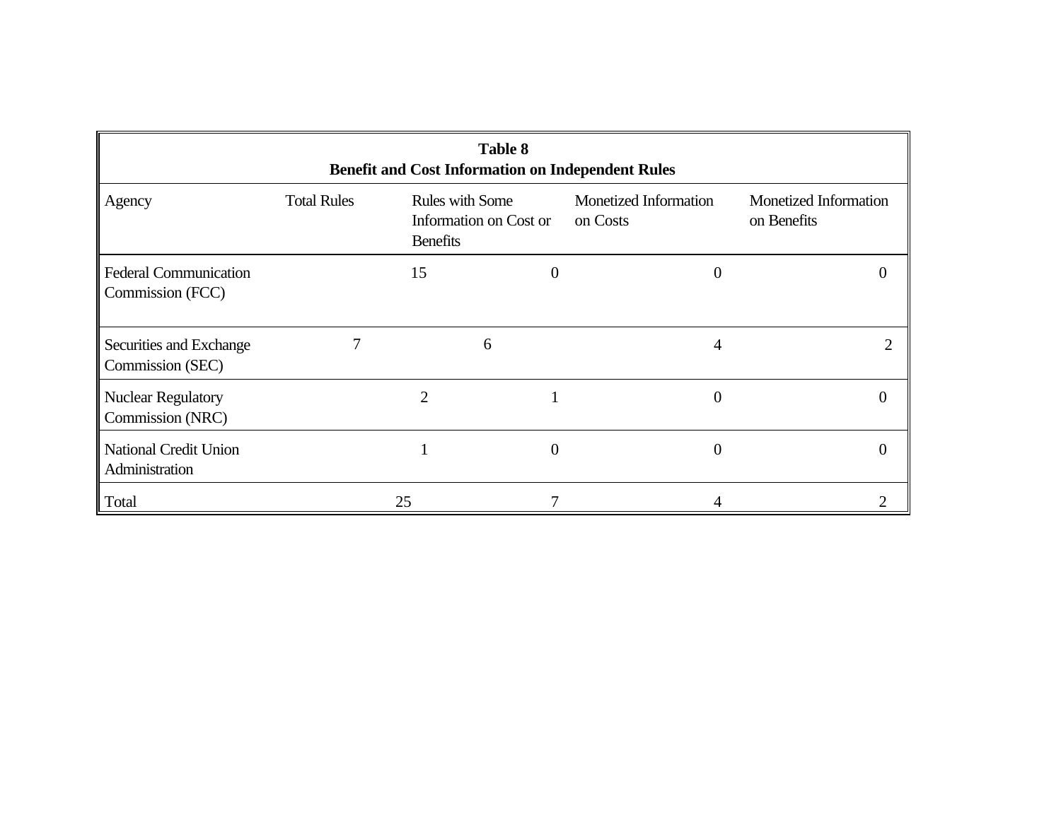| <b>Table 8</b><br><b>Benefit and Cost Information on Independent Rules</b> |                    |                                           |                        |                                   |                                      |  |  |  |  |  |  |
|----------------------------------------------------------------------------|--------------------|-------------------------------------------|------------------------|-----------------------------------|--------------------------------------|--|--|--|--|--|--|
| Agency                                                                     | <b>Total Rules</b> | <b>Rules with Some</b><br><b>Benefits</b> | Information on Cost or | Monetized Information<br>on Costs | Monetized Information<br>on Benefits |  |  |  |  |  |  |
| <b>Federal Communication</b><br>Commission (FCC)                           |                    | 15                                        | $_{0}$                 | $\mathbf{\Omega}$                 | $\theta$                             |  |  |  |  |  |  |
| Securities and Exchange<br>Commission (SEC)                                |                    |                                           | 6                      | 4                                 |                                      |  |  |  |  |  |  |
| <b>Nuclear Regulatory</b><br>Commission (NRC)                              |                    | 2                                         |                        | 0                                 | 0                                    |  |  |  |  |  |  |
| <b>National Credit Union</b><br>Administration                             |                    |                                           | 0                      | $\mathbf{0}$                      | 0                                    |  |  |  |  |  |  |
| Total                                                                      |                    | 25                                        | 7                      | 4                                 |                                      |  |  |  |  |  |  |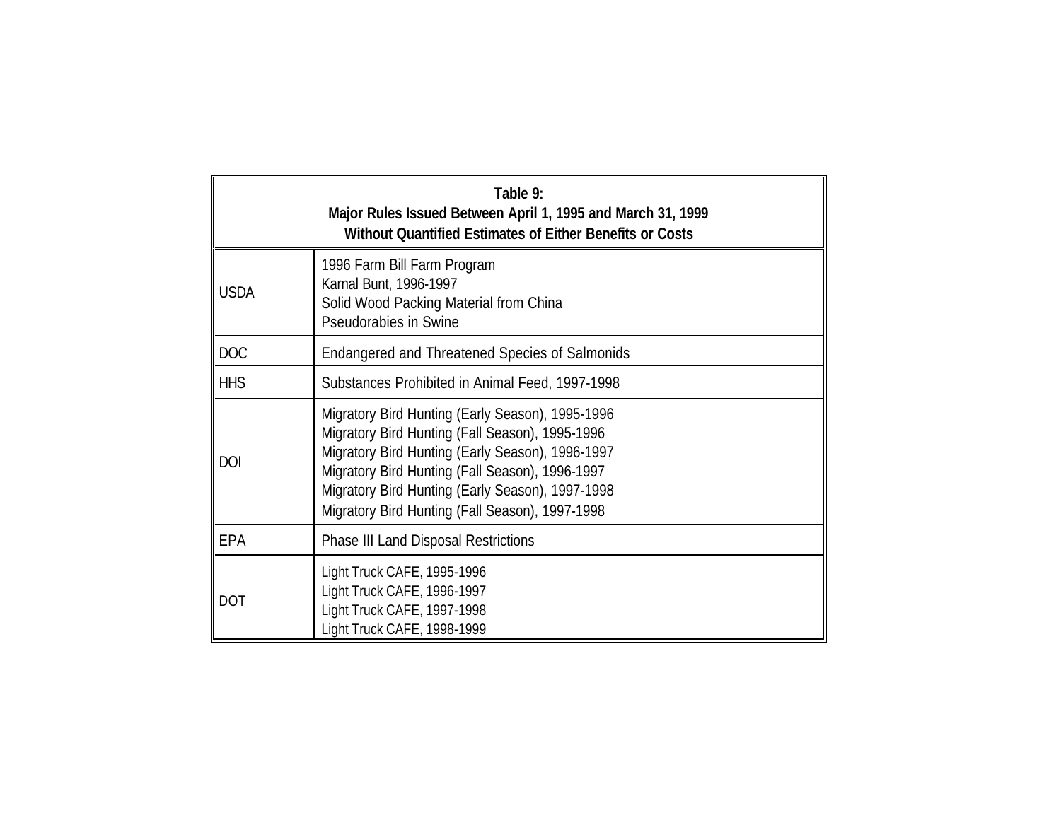| Table 9:<br>Major Rules Issued Between April 1, 1995 and March 31, 1999<br>Without Quantified Estimates of Either Benefits or Costs |                                                                                                                                                                                                                                                                                                                   |  |  |  |  |  |  |  |  |
|-------------------------------------------------------------------------------------------------------------------------------------|-------------------------------------------------------------------------------------------------------------------------------------------------------------------------------------------------------------------------------------------------------------------------------------------------------------------|--|--|--|--|--|--|--|--|
| <b>USDA</b>                                                                                                                         | 1996 Farm Bill Farm Program<br>Karnal Bunt, 1996-1997<br>Solid Wood Packing Material from China<br>Pseudorabies in Swine                                                                                                                                                                                          |  |  |  |  |  |  |  |  |
| <b>DOC</b>                                                                                                                          | Endangered and Threatened Species of Salmonids                                                                                                                                                                                                                                                                    |  |  |  |  |  |  |  |  |
| <b>HHS</b>                                                                                                                          | Substances Prohibited in Animal Feed, 1997-1998                                                                                                                                                                                                                                                                   |  |  |  |  |  |  |  |  |
| <b>DOI</b>                                                                                                                          | Migratory Bird Hunting (Early Season), 1995-1996<br>Migratory Bird Hunting (Fall Season), 1995-1996<br>Migratory Bird Hunting (Early Season), 1996-1997<br>Migratory Bird Hunting (Fall Season), 1996-1997<br>Migratory Bird Hunting (Early Season), 1997-1998<br>Migratory Bird Hunting (Fall Season), 1997-1998 |  |  |  |  |  |  |  |  |
| EPA                                                                                                                                 | Phase III Land Disposal Restrictions                                                                                                                                                                                                                                                                              |  |  |  |  |  |  |  |  |
| <b>DOT</b>                                                                                                                          | Light Truck CAFE, 1995-1996<br>Light Truck CAFE, 1996-1997<br>Light Truck CAFE, 1997-1998<br>Light Truck CAFE, 1998-1999                                                                                                                                                                                          |  |  |  |  |  |  |  |  |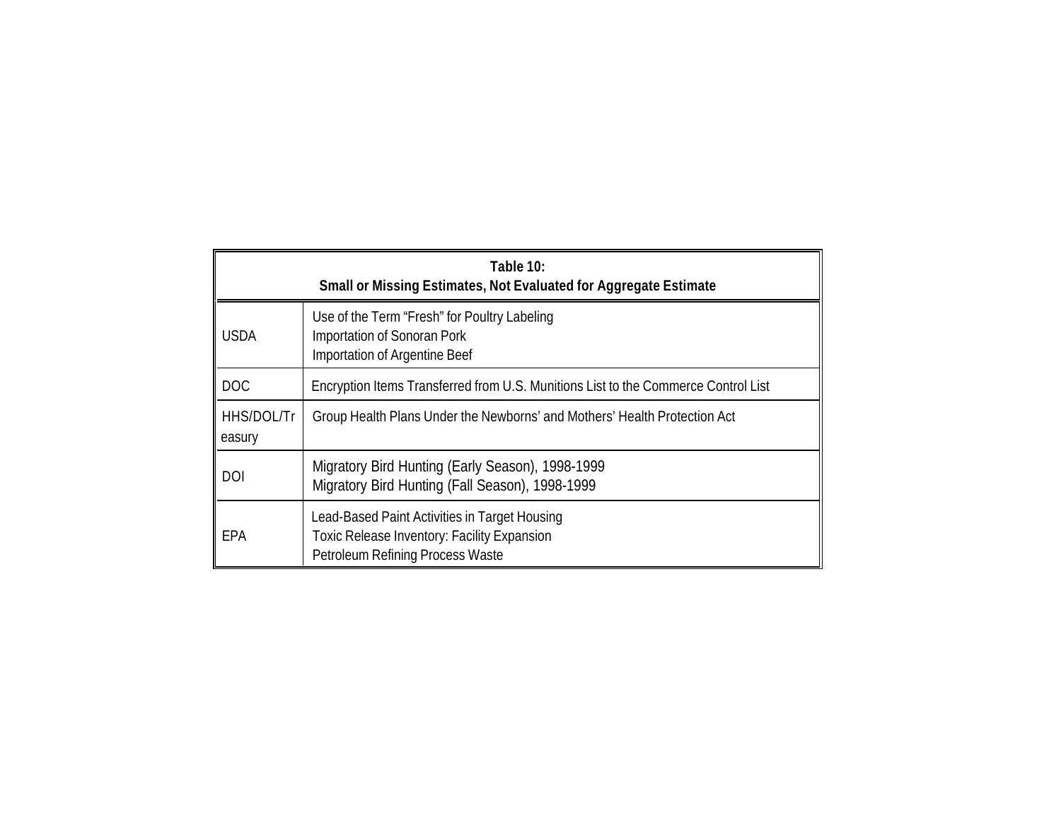|                      | Table 10:<br>Small or Missing Estimates, Not Evaluated for Aggregate Estimate                                                    |  |  |  |  |  |  |  |  |  |  |  |
|----------------------|----------------------------------------------------------------------------------------------------------------------------------|--|--|--|--|--|--|--|--|--|--|--|
| <b>USDA</b>          | Use of the Term "Fresh" for Poultry Labeling<br>Importation of Sonoran Pork<br>Importation of Argentine Beef                     |  |  |  |  |  |  |  |  |  |  |  |
| <b>DOC</b>           | Encryption Items Transferred from U.S. Munitions List to the Commerce Control List                                               |  |  |  |  |  |  |  |  |  |  |  |
| HHS/DOL/Tr<br>easury | Group Health Plans Under the Newborns' and Mothers' Health Protection Act                                                        |  |  |  |  |  |  |  |  |  |  |  |
| DOI                  | Migratory Bird Hunting (Early Season), 1998-1999<br>Migratory Bird Hunting (Fall Season), 1998-1999                              |  |  |  |  |  |  |  |  |  |  |  |
| EPA                  | Lead-Based Paint Activities in Target Housing<br>Toxic Release Inventory: Facility Expansion<br>Petroleum Refining Process Waste |  |  |  |  |  |  |  |  |  |  |  |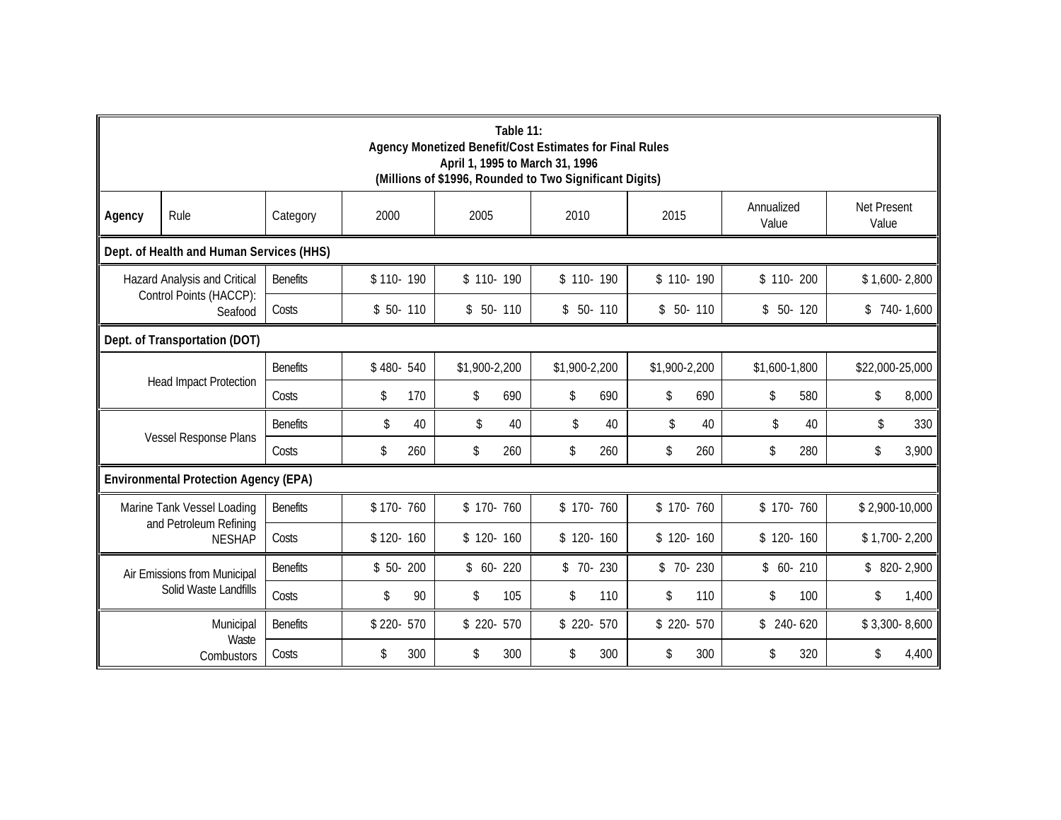|                       | Table 11:<br>Agency Monetized Benefit/Cost Estimates for Final Rules<br>April 1, 1995 to March 31, 1996<br>(Millions of \$1996, Rounded to Two Significant Digits) |                 |            |               |               |               |                     |                      |  |  |  |  |  |  |
|-----------------------|--------------------------------------------------------------------------------------------------------------------------------------------------------------------|-----------------|------------|---------------|---------------|---------------|---------------------|----------------------|--|--|--|--|--|--|
| Agency                | Rule                                                                                                                                                               | Category        | 2000       | 2005          | 2010          | 2015          | Annualized<br>Value | Net Present<br>Value |  |  |  |  |  |  |
|                       | Dept. of Health and Human Services (HHS)                                                                                                                           |                 |            |               |               |               |                     |                      |  |  |  |  |  |  |
|                       | $$1,600-2,800$<br>Hazard Analysis and Critical<br><b>Benefits</b><br>$$110-190$<br>$$110-190$<br>$$110-190$<br>$$110-190$<br>$$110-200$                            |                 |            |               |               |               |                     |                      |  |  |  |  |  |  |
|                       | Control Points (HACCP):<br>Seafood                                                                                                                                 | Costs           | $$50-110$  | $$50-110$     | $$50-110$     | $$50-110$     | $$50-120$           | $$740-1,600$         |  |  |  |  |  |  |
|                       | Dept. of Transportation (DOT)                                                                                                                                      |                 |            |               |               |               |                     |                      |  |  |  |  |  |  |
|                       |                                                                                                                                                                    | <b>Benefits</b> | \$480-540  | \$1,900-2,200 | \$1,900-2,200 | \$1,900-2,200 | \$1,600-1,800       | \$22,000-25,000      |  |  |  |  |  |  |
|                       | <b>Head Impact Protection</b>                                                                                                                                      | Costs           | \$<br>170  | \$<br>690     | \$<br>690     | \$<br>690     | \$<br>580           | \$<br>8,000          |  |  |  |  |  |  |
|                       |                                                                                                                                                                    | <b>Benefits</b> | \$<br>40   | \$<br>40      | \$<br>40      | \$<br>40      | \$<br>40            | 330<br>\$            |  |  |  |  |  |  |
|                       | Vessel Response Plans                                                                                                                                              | Costs           | \$<br>260  | \$<br>260     | \$<br>260     | \$<br>260     | \$<br>280           | \$<br>3,900          |  |  |  |  |  |  |
|                       | <b>Environmental Protection Agency (EPA)</b>                                                                                                                       |                 |            |               |               |               |                     |                      |  |  |  |  |  |  |
|                       | Marine Tank Vessel Loading                                                                                                                                         | <b>Benefits</b> | \$170-760  | $$170-760$    | $$170-760$    | $$170-760$    | $$170-760$          | $$2,900-10,000$      |  |  |  |  |  |  |
|                       | and Petroleum Refining<br><b>NESHAP</b>                                                                                                                            | Costs           | $$120-160$ | $$120-160$    | $$120-160$    | $$120-160$    | $$120-160$          | $$1,700-2,200$       |  |  |  |  |  |  |
|                       | Air Emissions from Municipal                                                                                                                                       | <b>Benefits</b> | $$50-200$  | $$60-220$     | $$70-230$     | $$70-230$     | $$60-210$           | $$820-2,900$         |  |  |  |  |  |  |
| Solid Waste Landfills |                                                                                                                                                                    | Costs           | \$<br>90   | 105<br>\$     | \$<br>110     | \$<br>110     | 100<br>\$           | \$<br>1,400          |  |  |  |  |  |  |
|                       | Municipal                                                                                                                                                          |                 | \$220-570  | $$220-570$    | $$220-570$    | \$ 220- 570   | $$240-620$          | $$3,300-8,600$       |  |  |  |  |  |  |
|                       | Waste<br>Combustors                                                                                                                                                | Costs           | \$<br>300  | 300<br>\$     | \$<br>300     | \$<br>300     | 320<br>\$           | 4,400<br>\$          |  |  |  |  |  |  |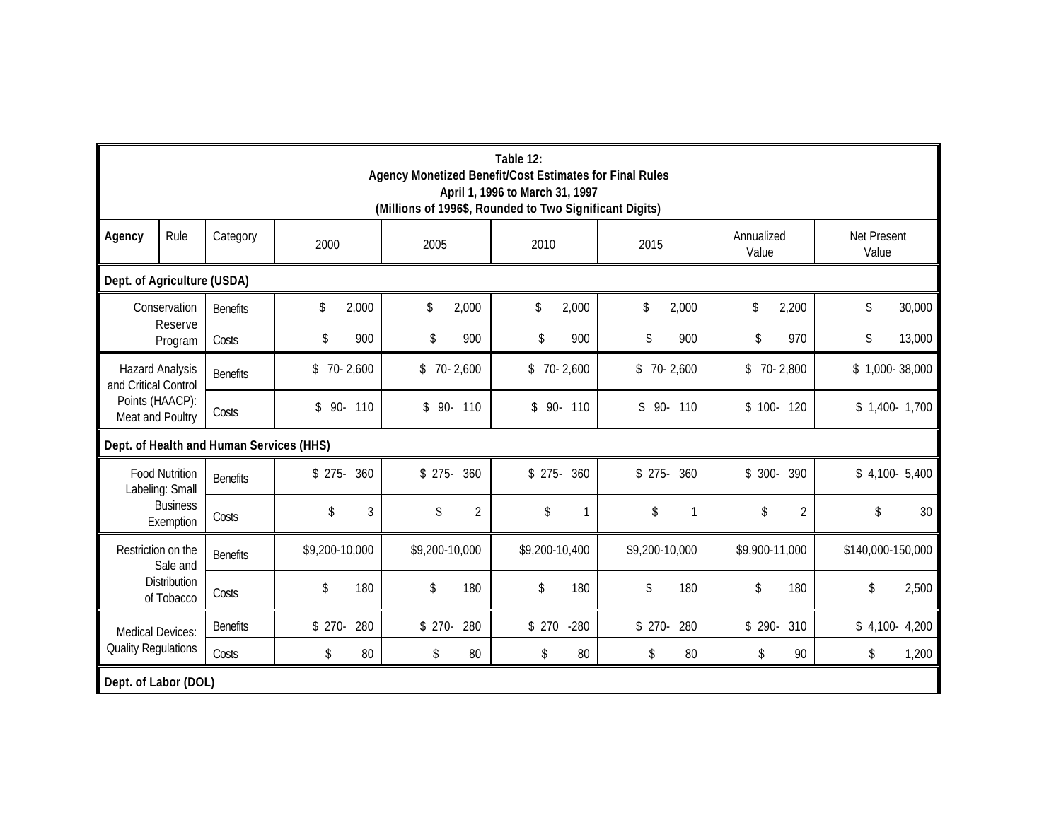|                            | Table 12:<br>Agency Monetized Benefit/Cost Estimates for Final Rules<br>April 1, 1996 to March 31, 1997<br>(Millions of 1996\$, Rounded to Two Significant Digits) |                                          |                |                |                |                |        |                |     |                     |                |                      |                |  |
|----------------------------|--------------------------------------------------------------------------------------------------------------------------------------------------------------------|------------------------------------------|----------------|----------------|----------------|----------------|--------|----------------|-----|---------------------|----------------|----------------------|----------------|--|
| Agency                     | Rule                                                                                                                                                               | Category                                 | 2000           | 2005           |                | 2010           |        | 2015           |     | Annualized<br>Value |                | Net Present<br>Value |                |  |
|                            | Dept. of Agriculture (USDA)                                                                                                                                        |                                          |                |                |                |                |        |                |     |                     |                |                      |                |  |
|                            | \$<br>Conservation<br>\$<br>2,000<br>\$<br>\$<br>2,000<br>\$<br>2,000<br>\$<br>2,200<br>30,000<br>2,000<br><b>Benefits</b>                                         |                                          |                |                |                |                |        |                |     |                     |                |                      |                |  |
|                            | Reserve<br>Program                                                                                                                                                 | Costs                                    | \$<br>900      | \$             | 900            | \$             | 900    | \$             | 900 | \$                  | 970            | \$                   | 13,000         |  |
| and Critical Control       | <b>Hazard Analysis</b>                                                                                                                                             | <b>Benefits</b>                          | \$<br>70-2,600 |                | $$70-2,600$    | $$70-2,600$    |        | $$70-2,600$    |     |                     | $$70-2,800$    | $$1,000-38,000$      |                |  |
|                            | Points (HAACP):<br>Meat and Poultry                                                                                                                                | Costs                                    | 90- 110<br>\$  |                | $$90-110$      | $$90-110$      |        | 90- 110<br>\$  |     |                     | $$100-120$     |                      | $$1,400-1,700$ |  |
|                            |                                                                                                                                                                    | Dept. of Health and Human Services (HHS) |                |                |                |                |        |                |     |                     |                |                      |                |  |
|                            | <b>Food Nutrition</b><br>Labeling: Small                                                                                                                           | <b>Benefits</b>                          | 360<br>$$275-$ | $$275-$        | 360            | $$275-360$     |        | $$275-$        | 360 | $$300-$             | 390            |                      | $$4,100-5,400$ |  |
|                            | <b>Business</b><br>Exemption                                                                                                                                       | Costs                                    | \$             | 3<br>\$        | $\overline{2}$ | \$             |        | \$             |     | \$                  | $\overline{2}$ | \$                   | 30             |  |
|                            | Restriction on the<br>Sale and                                                                                                                                     | <b>Benefits</b>                          | \$9,200-10,000 | \$9,200-10,000 |                | \$9,200-10,400 |        | \$9,200-10,000 |     | \$9,900-11,000      |                | \$140,000-150,000    |                |  |
| Distribution<br>of Tobacco |                                                                                                                                                                    | Costs                                    | \$<br>180      | \$             | 180            | \$             | 180    | \$             | 180 | \$                  | 180            | \$                   | 2,500          |  |
| <b>Medical Devices:</b>    |                                                                                                                                                                    | <b>Benefits</b>                          | 280<br>$$270-$ | $$270-$        | 280            | \$270          | $-280$ | $$270-$        | 280 | $$290-$             | 310            |                      | $$4,100-4,200$ |  |
| <b>Quality Regulations</b> |                                                                                                                                                                    | Costs                                    | \$             | 80<br>\$       | 80             | \$             | 80     | \$             | 80  | \$                  | 90             | \$                   | 1,200          |  |
| Dept. of Labor (DOL)       |                                                                                                                                                                    |                                          |                |                |                |                |        |                |     |                     |                |                      |                |  |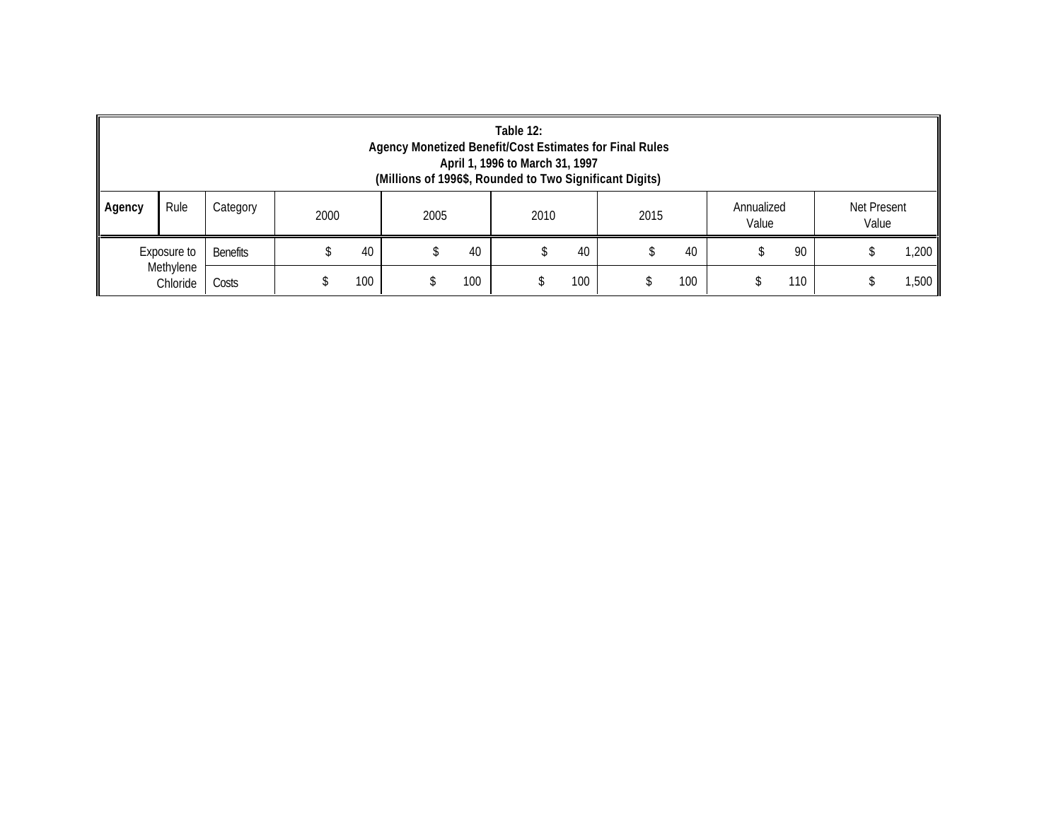|                                                                                                           | Table 12:<br>Agency Monetized Benefit/Cost Estimates for Final Rules<br>April 1, 1996 to March 31, 1997<br>(Millions of 1996\$, Rounded to Two Significant Digits) |                 |  |     |  |     |  |     |  |     |  |     |  |      |
|-----------------------------------------------------------------------------------------------------------|--------------------------------------------------------------------------------------------------------------------------------------------------------------------|-----------------|--|-----|--|-----|--|-----|--|-----|--|-----|--|------|
| Rule<br>Net Present<br>Annualized<br>Category<br>Agency<br>2005<br>2000<br>2015<br>2010<br>Value<br>Value |                                                                                                                                                                    |                 |  |     |  |     |  |     |  |     |  |     |  |      |
| Exposure to<br>Methylene<br>Chloride                                                                      |                                                                                                                                                                    | <b>Benefits</b> |  | 40  |  | 40  |  | 40  |  | 40  |  | 90  |  | ,200 |
|                                                                                                           |                                                                                                                                                                    | Costs           |  | 100 |  | 100 |  | 100 |  | 100 |  | 110 |  | ,500 |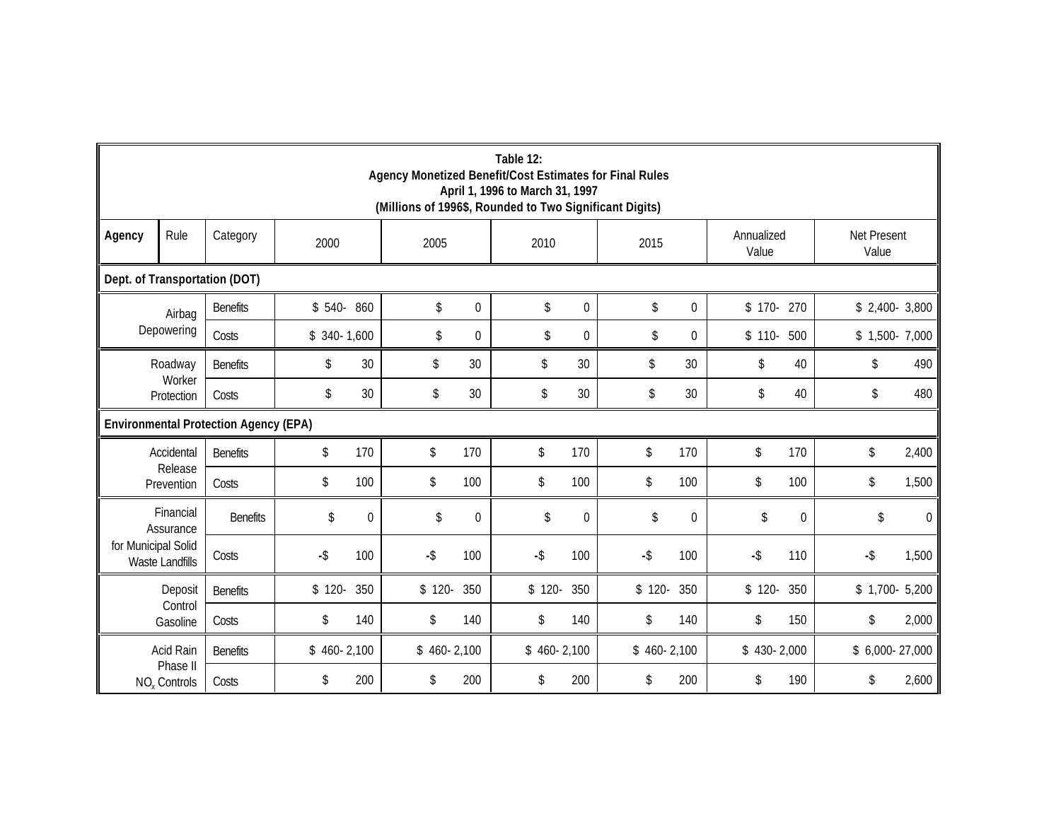|                     | Table 12:<br>Agency Monetized Benefit/Cost Estimates for Final Rules<br>April 1, 1996 to March 31, 1997<br>(Millions of 1996\$, Rounded to Two Significant Digits) |                                              |              |          |              |             |              |          |              |                 |                     |          |                      |          |
|---------------------|--------------------------------------------------------------------------------------------------------------------------------------------------------------------|----------------------------------------------|--------------|----------|--------------|-------------|--------------|----------|--------------|-----------------|---------------------|----------|----------------------|----------|
| Agency              | Rule                                                                                                                                                               | Category                                     | 2000         |          | 2005         |             | 2010         |          | 2015         |                 | Annualized<br>Value |          | Net Present<br>Value |          |
|                     | Dept. of Transportation (DOT)                                                                                                                                      |                                              |              |          |              |             |              |          |              |                 |                     |          |                      |          |
|                     | Airbag                                                                                                                                                             | <b>Benefits</b>                              | $$540-860$   |          | \$           | $\mathbf 0$ | \$           | 0        | \$           | 0               | $$170-270$          |          | $$2,400-3,800$       |          |
|                     | Depowering                                                                                                                                                         | Costs                                        | $$340-1,600$ |          | \$           | $\mathbf 0$ | \$           | 0        | \$           | $\overline{0}$  | $$110-$             | 500      | $$1,500-7,000$       |          |
|                     | Roadway                                                                                                                                                            | <b>Benefits</b>                              | \$           | 30       | \$           | 30          | \$           | 30       | \$           | 30              | \$                  | 40       | \$                   | 490      |
|                     | Worker<br>Protection                                                                                                                                               | Costs                                        | \$           | 30       | \$           | 30          | \$           | 30       | \$           | 30 <sup>°</sup> | \$                  | 40       | \$                   | 480      |
|                     |                                                                                                                                                                    | <b>Environmental Protection Agency (EPA)</b> |              |          |              |             |              |          |              |                 |                     |          |                      |          |
|                     | Accidental                                                                                                                                                         | <b>Benefits</b>                              | \$           | 170      | \$           | 170         | \$           | 170      | \$           | 170             | \$                  | 170      | \$                   | 2,400    |
|                     | Release<br>Prevention                                                                                                                                              | Costs                                        | \$           | 100      | \$           | 100         | \$           | 100      | \$           | 100             | \$                  | 100      | \$                   | 1,500    |
|                     | Financial<br>Assurance                                                                                                                                             | <b>Benefits</b>                              | \$           | $\theta$ | \$           | $\Omega$    | \$           | $\Omega$ | \$           | $\Omega$        | \$                  | $\Omega$ | \$                   | $\Omega$ |
| for Municipal Solid | Waste Landfills                                                                                                                                                    | Costs                                        | $-$ \$       | 100      | $-$ \$       | 100         | $-$ \$       | 100      | $-$ \$       | 100             | $-$ \$              | 110      | $-$ \$               | 1,500    |
|                     | Deposit                                                                                                                                                            | <b>Benefits</b>                              | $$120-$      | 350      | $$120-$      | 350         | $$120-$      | 350      | $$120-$      | 350             | $$120-$             | 350      | $$1,700-5,200$       |          |
|                     | Control<br>Gasoline                                                                                                                                                | Costs                                        | \$           | 140      | \$           | 140         | \$           | 140      | \$           | 140             | \$                  | 150      | \$                   | 2,000    |
|                     | Acid Rain                                                                                                                                                          | <b>Benefits</b>                              | $$460-2,100$ |          | $$460-2,100$ |             | $$460-2,100$ |          | $$460-2,100$ |                 | $$430-2,000$        |          | $$6,000-27,000$      |          |
|                     | Phase II<br>NO <sub>v</sub> Controls                                                                                                                               | Costs                                        | \$           | 200      | \$           | 200         | \$           | 200      | \$           | 200             | \$                  | 190      | \$                   | 2,600    |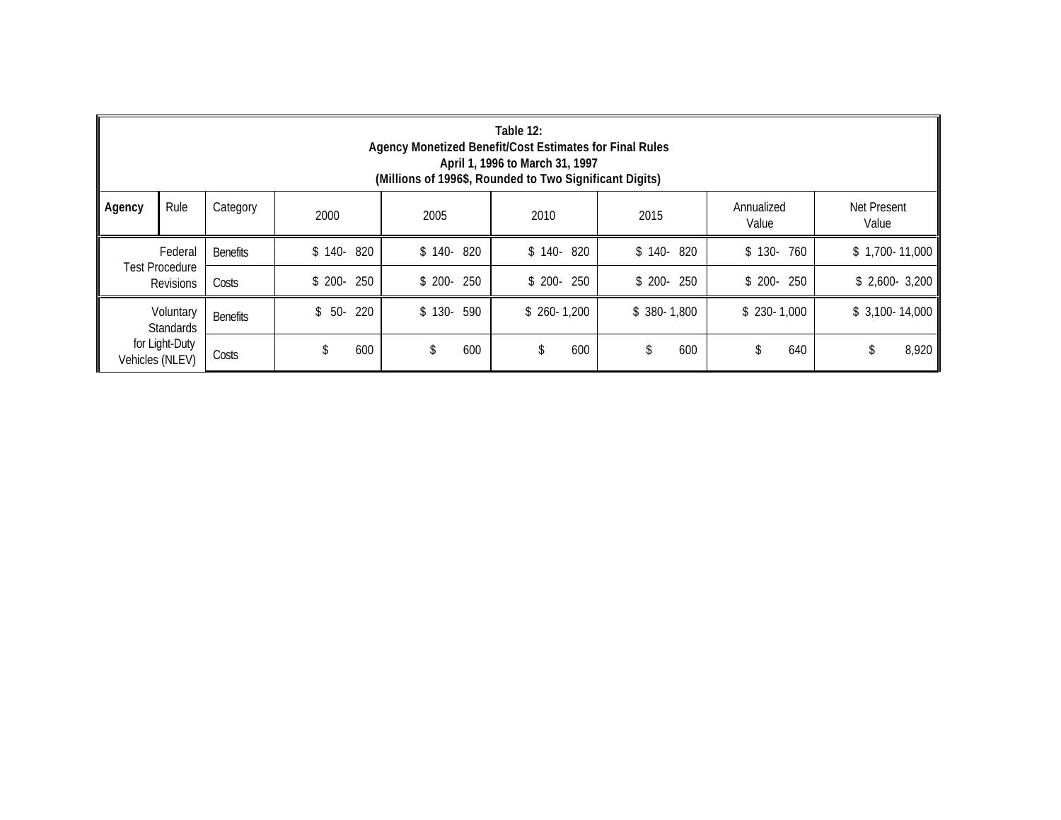|                               | Table 12:<br>Agency Monetized Benefit/Cost Estimates for Final Rules<br>April 1, 1996 to March 31, 1997<br>(Millions of 1996\$, Rounded to Two Significant Digits) |                 |                |            |              |              |              |                 |  |  |  |  |  |
|-------------------------------|--------------------------------------------------------------------------------------------------------------------------------------------------------------------|-----------------|----------------|------------|--------------|--------------|--------------|-----------------|--|--|--|--|--|
| Agency                        | Rule<br><b>Net Present</b><br>Category<br>Annualized<br>2005<br>2015<br>2010<br>2000<br>Value<br>Value                                                             |                 |                |            |              |              |              |                 |  |  |  |  |  |
|                               | Federal                                                                                                                                                            | <b>Benefits</b> | $$140-820$     | $$140-820$ | $$140-820$   | $$140-820$   | $$130-760$   | $$1,700-11,000$ |  |  |  |  |  |
|                               | <b>Test Procedure</b><br><b>Revisions</b>                                                                                                                          | Costs           | 250<br>$$200-$ | $$200-250$ | $$200-250$   | $$200-250$   | $$200-250$   | $$2,600-3,200$  |  |  |  |  |  |
| Voluntary<br><b>Standards</b> |                                                                                                                                                                    | <b>Benefits</b> | 220<br>$$50-$  | $$130-590$ | $$260-1,200$ | $$380-1,800$ | $$230-1,000$ | $$3,100-14,000$ |  |  |  |  |  |
| Vehicles (NLEV)               | for Light-Duty                                                                                                                                                     | Costs           | 600            | 600<br>\$  | 600<br>\$    | 600<br>\$    | \$<br>640    | 8,920<br>\$     |  |  |  |  |  |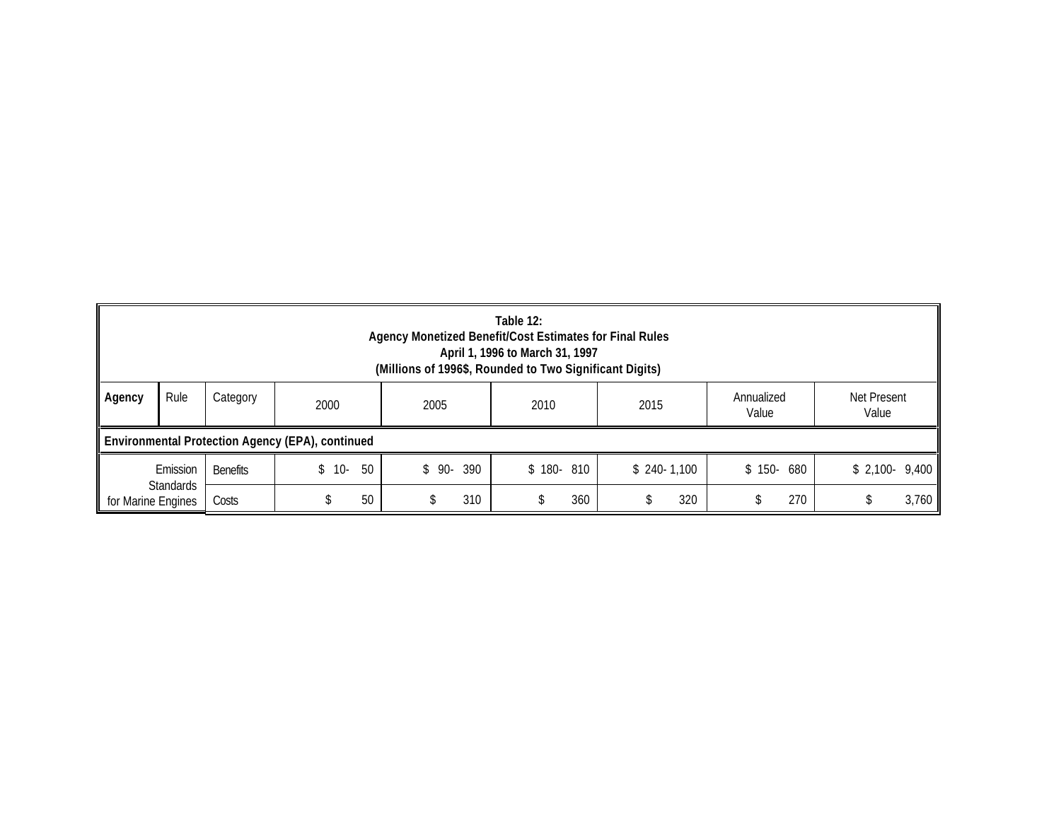|                    | Table 12:<br>Agency Monetized Benefit/Cost Estimates for Final Rules<br>April 1, 1996 to March 31, 1997<br>(Millions of 1996\$, Rounded to Two Significant Digits) |                 |                                                  |               |            |              |            |                |  |  |  |  |  |
|--------------------|--------------------------------------------------------------------------------------------------------------------------------------------------------------------|-----------------|--------------------------------------------------|---------------|------------|--------------|------------|----------------|--|--|--|--|--|
| Agency             | Rule<br>Annualized<br>Net Present<br>Category<br>2000<br>2005<br>2015<br>2010<br>Value<br>Value                                                                    |                 |                                                  |               |            |              |            |                |  |  |  |  |  |
|                    |                                                                                                                                                                    |                 | Environmental Protection Agency (EPA), continued |               |            |              |            |                |  |  |  |  |  |
|                    | Emission                                                                                                                                                           | <b>Benefits</b> | 50<br>$$10-$                                     | 390<br>$$90-$ | $$180-810$ | $$240-1,100$ | $$150-680$ | $$2,100-9,400$ |  |  |  |  |  |
| for Marine Engines | <b>Standards</b>                                                                                                                                                   | Costs           | 50                                               | 310           | 360        | 320          | 270        | 3,760          |  |  |  |  |  |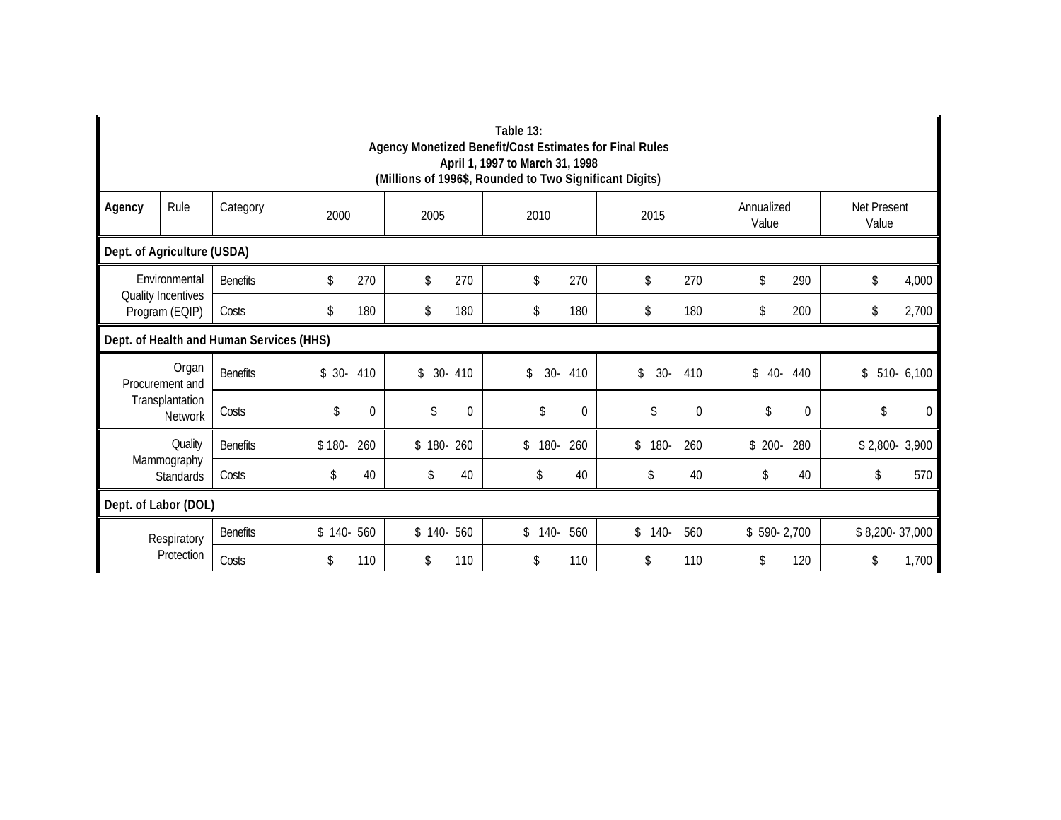|                             | Table 13:<br>Agency Monetized Benefit/Cost Estimates for Final Rules<br>April 1, 1997 to March 31, 1998<br>(Millions of 1996\$, Rounded to Two Significant Digits) |                 |           |                |            |          |             |              |             |              |                     |                |                      |              |
|-----------------------------|--------------------------------------------------------------------------------------------------------------------------------------------------------------------|-----------------|-----------|----------------|------------|----------|-------------|--------------|-------------|--------------|---------------------|----------------|----------------------|--------------|
| Agency                      | Rule                                                                                                                                                               | Category        | 2000      |                | 2005       |          | 2010        |              | 2015        |              | Annualized<br>Value |                | Net Present<br>Value |              |
| Dept. of Agriculture (USDA) |                                                                                                                                                                    |                 |           |                |            |          |             |              |             |              |                     |                |                      |              |
|                             | Environmental                                                                                                                                                      | <b>Benefits</b> | \$        | 270            | \$         | 270      | \$          | 270          | \$          | 270          | \$                  | 290            | \$                   | 4,000        |
|                             | <b>Quality Incentives</b><br>Program (EQIP)                                                                                                                        | Costs           | \$        | 180            | \$         | 180      | \$          | 180          | \$          | 180          | \$                  | 200            | \$                   | 2,700        |
|                             | Dept. of Health and Human Services (HHS)                                                                                                                           |                 |           |                |            |          |             |              |             |              |                     |                |                      |              |
|                             | Organ<br>Procurement and                                                                                                                                           | <b>Benefits</b> | $$30-410$ |                | $$30-410$  |          | $30-$<br>\$ | 410          | \$<br>$30-$ | 410          | \$<br>$40 -$        | 440            |                      | $$510-6,100$ |
|                             | Transplantation<br>Network                                                                                                                                         | Costs           | \$        | $\overline{0}$ | \$         | $\Omega$ | \$          | $\mathbf{0}$ | \$          | $\Omega$     | \$                  | $\Omega$       | \$                   | $\Omega$     |
|                             | Quality                                                                                                                                                            | <b>Benefits</b> | $$180-$   | 260            | $$180-260$ |          | 180-<br>\$  | 260          | $$180-$     | 260          | $$200-$             | 280            | $$2,800-3,900$       |              |
|                             | Mammography<br>Standards                                                                                                                                           | Costs           | \$        | 40             | \$         | 40       | \$          | 40           | \$          | 40           |                     | 40             |                      | 570          |
|                             | Dept. of Labor (DOL)                                                                                                                                               |                 |           |                |            |          |             |              |             |              |                     |                |                      |              |
| Respiratory<br>Protection   | <b>Benefits</b>                                                                                                                                                    | $$140-560$      |           | $$140-560$     |            | $$140-$  | 560         | $$140-$      | 560         | $$590-2,700$ |                     | \$8,200-37,000 |                      |              |
|                             | Costs                                                                                                                                                              | \$              | 110       | \$             | 110        | \$       | 110         | \$           | 110         | \$           | 120                 | \$             | 1,700                |              |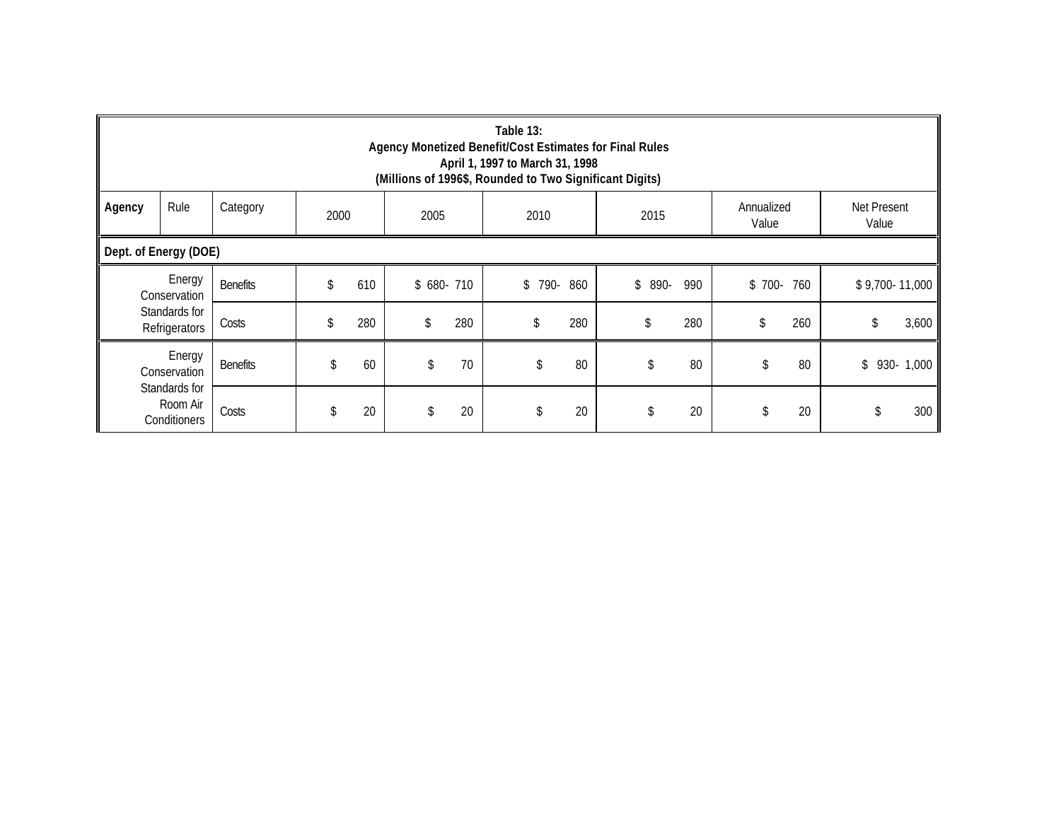|                                                                     | Table 13:<br>Agency Monetized Benefit/Cost Estimates for Final Rules<br>April 1, 1997 to March 31, 1998<br>(Millions of 1996\$, Rounded to Two Significant Digits) |                 |    |     |            |     |            |     |            |     |         |     |                |              |
|---------------------------------------------------------------------|--------------------------------------------------------------------------------------------------------------------------------------------------------------------|-----------------|----|-----|------------|-----|------------|-----|------------|-----|---------|-----|----------------|--------------|
| Agency                                                              | Rule<br>Net Present<br>Category<br>Annualized<br>2000<br>2005<br>2010<br>2015<br>Value<br>Value                                                                    |                 |    |     |            |     |            |     |            |     |         |     |                |              |
|                                                                     | Dept. of Energy (DOE)                                                                                                                                              |                 |    |     |            |     |            |     |            |     |         |     |                |              |
|                                                                     | Energy<br>Conservation                                                                                                                                             | <b>Benefits</b> | \$ | 610 | $$680-710$ |     | 790-<br>\$ | 860 | \$<br>890- | 990 | $$700-$ | 760 | \$9,700-11,000 |              |
|                                                                     | Standards for<br>Refrigerators                                                                                                                                     | Costs           | \$ | 280 | \$         | 280 | \$         | 280 | \$         | 280 | \$      | 260 | \$             | 3,600        |
| Energy<br>Conservation<br>Standards for<br>Room Air<br>Conditioners |                                                                                                                                                                    | <b>Benefits</b> | \$ | 60  | \$         | 70  |            | 80  |            | 80  |         | 80  |                | $$930-1,000$ |
|                                                                     |                                                                                                                                                                    | Costs           | \$ | 20  | \$         | 20  | J.         | 20  |            | 20  | \$      | 20  | \$             | 300          |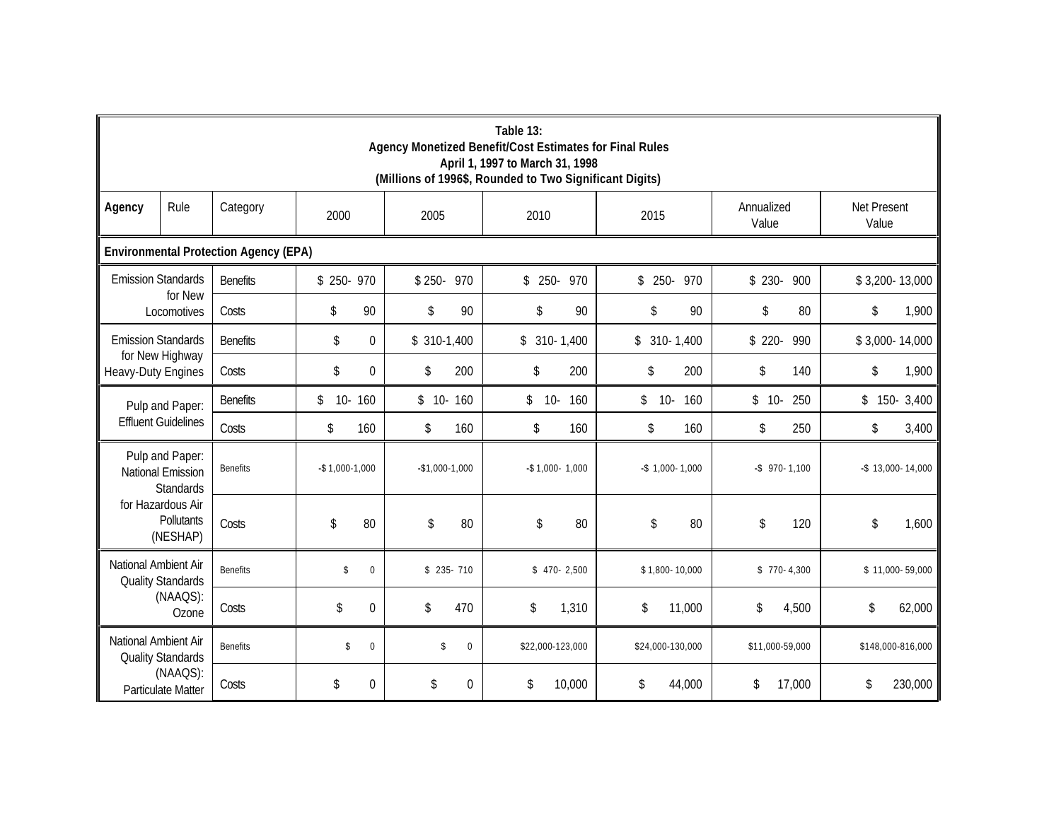|                                                                                    | Table 13:<br>Agency Monetized Benefit/Cost Estimates for Final Rules<br>April 1, 1997 to March 31, 1998<br>(Millions of 1996\$, Rounded to Two Significant Digits) |                    |                      |                                |                     |                     |                     |                        |  |  |  |
|------------------------------------------------------------------------------------|--------------------------------------------------------------------------------------------------------------------------------------------------------------------|--------------------|----------------------|--------------------------------|---------------------|---------------------|---------------------|------------------------|--|--|--|
| Agency                                                                             | Rule                                                                                                                                                               | Category           | 2000                 | 2005                           | 2010                | 2015                | Annualized<br>Value | Net Present<br>Value   |  |  |  |
|                                                                                    | <b>Environmental Protection Agency (EPA)</b>                                                                                                                       |                    |                      |                                |                     |                     |                     |                        |  |  |  |
| <b>Emission Standards</b>                                                          |                                                                                                                                                                    | <b>Benefits</b>    | $$250-970$           | $$250-970$                     | \$ 250- 970         | \$ 250- 970         | $$230-$<br>900      | \$3,200-13,000         |  |  |  |
|                                                                                    | for New<br>Locomotives                                                                                                                                             | Costs              | 90<br>\$             | \$<br>90                       | 90<br>\$            | 90<br>\$            | \$<br>80            | \$<br>1,900            |  |  |  |
| <b>Emission Standards</b>                                                          |                                                                                                                                                                    | <b>Benefits</b>    | \$<br>$\overline{0}$ | $$310-1,400$                   | $$310-1,400$        | $$310-1,400$        | $$220-$<br>990      | \$3,000-14,000         |  |  |  |
| Heavy-Duty Engines                                                                 | for New Highway                                                                                                                                                    | Costs              | \$<br>0              | $\sqrt[6]{\frac{1}{2}}$<br>200 | 200<br>\$           | \$<br>200           | \$<br>140           | \$<br>1,900            |  |  |  |
|                                                                                    | Pulp and Paper:                                                                                                                                                    | <b>Benefits</b>    | \$<br>10-160         | $$10-$<br>160                  | \$<br>$10-$<br>160  | \$<br>$10-$<br>160  | 250<br>$$10-$       | 3,400<br>$$150-$       |  |  |  |
|                                                                                    | <b>Effluent Guidelines</b>                                                                                                                                         | Costs              | \$<br>160            | \$<br>160                      | \$<br>160           | \$<br>160           | \$<br>250           | 3,400<br>\$            |  |  |  |
|                                                                                    | Pulp and Paper:<br>National Emission<br><b>Standards</b>                                                                                                           | <b>Benefits</b>    | $-$ \$1,000 $-1,000$ | $-$1,000-1,000$                | $-$ \$1,000 - 1,000 | $-$ \$1,000 - 1,000 | $-$ \$ 970 - 1,100  | $-$ \$ 13,000 - 14,000 |  |  |  |
|                                                                                    | for Hazardous Air<br>Pollutants<br>(NESHAP)                                                                                                                        | Costs              | 80<br>\$             | \$<br>80                       | \$<br>80            | \$<br>80            | \$<br>120           | \$<br>1,600            |  |  |  |
| National Ambient Air                                                               | <b>Quality Standards</b>                                                                                                                                           | <b>Benefits</b>    | \$<br>$\mathbf 0$    | $$235-710$                     | $$470-2,500$        | \$1,800-10,000      | $$770-4,300$        | \$11,000-59,000        |  |  |  |
| (NAAQS):<br>Ozone                                                                  | Costs                                                                                                                                                              | \$<br>$\Omega$     | \$<br>470            | \$<br>1,310                    | \$<br>11,000        | \$<br>4,500         | \$<br>62,000        |                        |  |  |  |
| National Ambient Air<br><b>Quality Standards</b><br>(NAAQS):<br>Particulate Matter | <b>Benefits</b>                                                                                                                                                    | \$<br>$\mathbf{0}$ | \$<br>0              | \$22,000-123,000               | \$24,000-130,000    | \$11,000-59,000     | \$148,000-816,000   |                        |  |  |  |
|                                                                                    | Costs                                                                                                                                                              | $\Omega$<br>\$     | \$<br>$\Omega$       | \$<br>10,000                   | \$<br>44,000        | \$<br>17,000        | \$<br>230,000       |                        |  |  |  |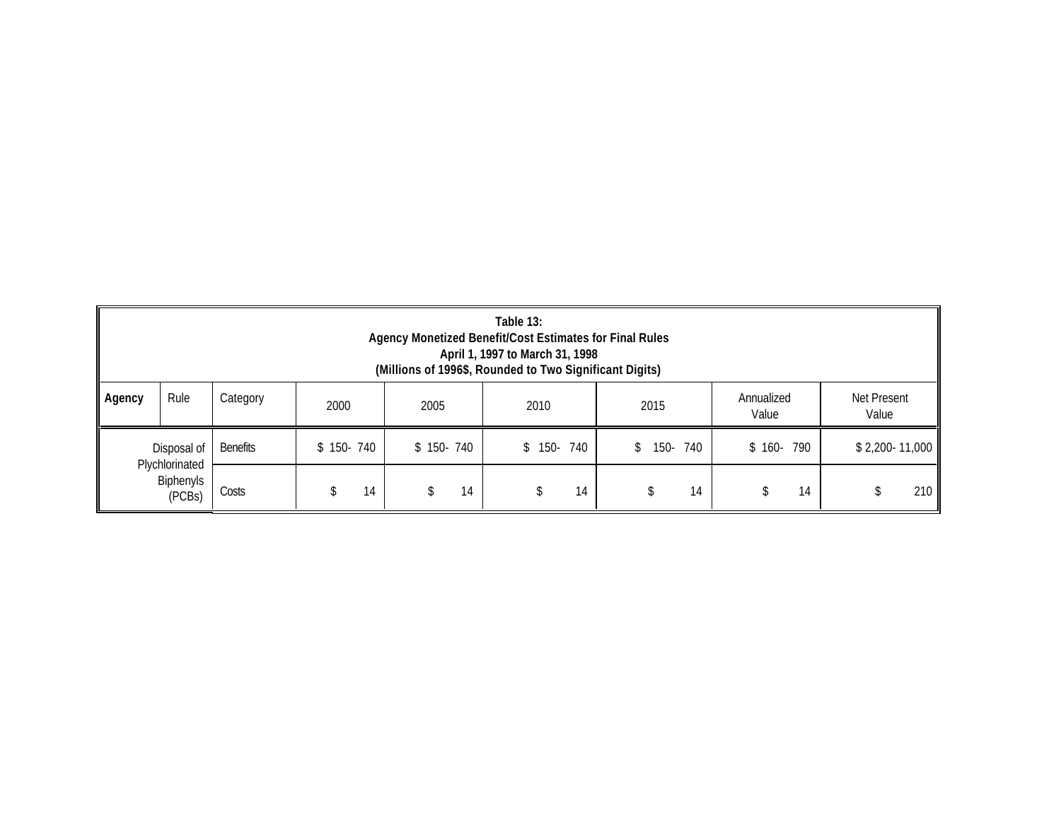|                                              | Table 13:<br>Agency Monetized Benefit/Cost Estimates for Final Rules<br>April 1, 1997 to March 31, 1998<br>(Millions of 1996\$, Rounded to Two Significant Digits) |                 |            |            |                |             |                |                 |  |  |
|----------------------------------------------|--------------------------------------------------------------------------------------------------------------------------------------------------------------------|-----------------|------------|------------|----------------|-------------|----------------|-----------------|--|--|
| Agency                                       | Rule<br>Net Present<br>Category<br>Annualized<br>2015<br>2000<br>2005<br>2010<br>Value<br>Value                                                                    |                 |            |            |                |             |                |                 |  |  |
|                                              | Disposal of                                                                                                                                                        | <b>Benefits</b> | $$150-740$ | $$150-740$ | 740<br>$$150-$ | 150-<br>740 | 790<br>$$160-$ | $$2,200-11,000$ |  |  |
| Plychlorinated<br><b>Biphenyls</b><br>(PCBs) |                                                                                                                                                                    | Costs           | 14         | 14         | 14             | 14          | 14             | 210             |  |  |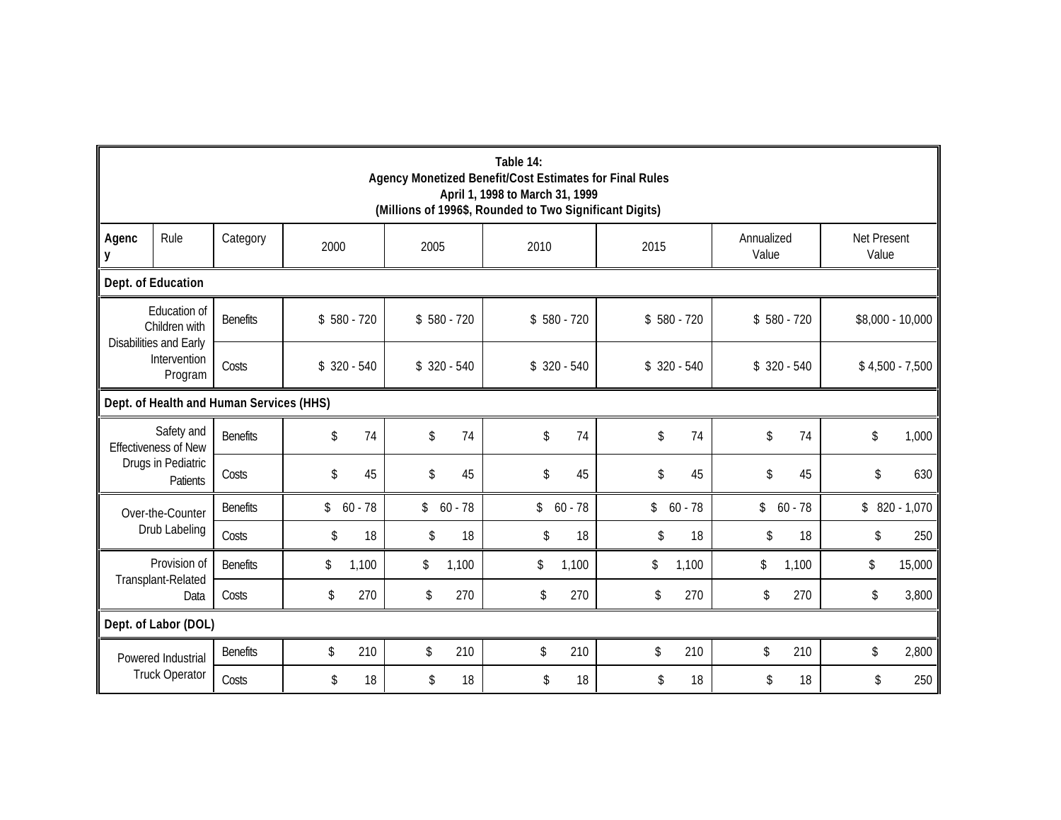|                       | Table 14:<br>Agency Monetized Benefit/Cost Estimates for Final Rules<br>April 1, 1998 to March 31, 1999<br>(Millions of 1996\$, Rounded to Two Significant Digits) |                 |               |           |               |              |                         |              |      |              |                     |              |                      |                  |
|-----------------------|--------------------------------------------------------------------------------------------------------------------------------------------------------------------|-----------------|---------------|-----------|---------------|--------------|-------------------------|--------------|------|--------------|---------------------|--------------|----------------------|------------------|
| Agenc<br>y            | Rule                                                                                                                                                               | Category        | 2000          |           | 2005          |              | 2010                    |              | 2015 |              | Annualized<br>Value |              | Net Present<br>Value |                  |
|                       | Dept. of Education                                                                                                                                                 |                 |               |           |               |              |                         |              |      |              |                     |              |                      |                  |
|                       | Education of<br>Children with<br>Disabilities and Early                                                                                                            | <b>Benefits</b> | $$580 - 720$  |           |               | $$580 - 720$ |                         | $$580 - 720$ |      | $$580 - 720$ |                     | $$580 - 720$ |                      | \$8,000 - 10,000 |
|                       | Intervention<br>Program                                                                                                                                            | Costs           | $$320 - 540$  |           |               | $$320 - 540$ |                         | $$320 - 540$ |      | $$320 - 540$ |                     | $$320 - 540$ |                      | $$4,500 - 7,500$ |
|                       | Dept. of Health and Human Services (HHS)                                                                                                                           |                 |               |           |               |              |                         |              |      |              |                     |              |                      |                  |
|                       | Safety and<br><b>Effectiveness of New</b>                                                                                                                          | <b>Benefits</b> | \$            | 74        | \$            | 74           | \$                      | 74           | \$   | 74           | \$                  | 74           | \$                   | 1,000            |
|                       | Drugs in Pediatric<br>Patients                                                                                                                                     | Costs           | \$            | 45        | \$            | 45           | $\sqrt[6]{\frac{1}{2}}$ | 45           | \$   | 45           | \$                  | 45           | \$                   | 630              |
|                       | Over-the-Counter                                                                                                                                                   | <b>Benefits</b> | \$            | $60 - 78$ | $\frac{1}{2}$ | $60 - 78$    | \$                      | $60 - 78$    | \$   | $60 - 78$    | $\frac{1}{2}$       | $60 - 78$    |                      | $$820 - 1,070$   |
|                       | Drub Labeling                                                                                                                                                      | Costs           | \$            | 18        | \$            | 18           | \$                      | 18           | \$   | 18           | \$                  | 18           | \$                   | 250              |
|                       | Provision of                                                                                                                                                       | <b>Benefits</b> | \$            | 1,100     | \$            | 1,100        | \$                      | 1,100        | \$   | 1,100        | \$                  | 1,100        | \$                   | 15,000           |
|                       | Transplant-Related<br>Data                                                                                                                                         | Costs           | \$            | 270       | \$            | 270          | \$                      | 270          | \$   | 270          | \$                  | 270          | \$                   | 3,800            |
|                       | Dept. of Labor (DOL)                                                                                                                                               |                 |               |           |               |              |                         |              |      |              |                     |              |                      |                  |
|                       | Powered Industrial                                                                                                                                                 | <b>Benefits</b> | $\mathsf{\$}$ | 210       | \$            | 210          | \$                      | 210          | \$   | 210          | \$                  | 210          | \$                   | 2,800            |
| <b>Truck Operator</b> | Costs                                                                                                                                                              | \$              | 18            | \$        | 18            | \$           | 18                      | \$           | 18   | \$           | 18                  | \$           | 250                  |                  |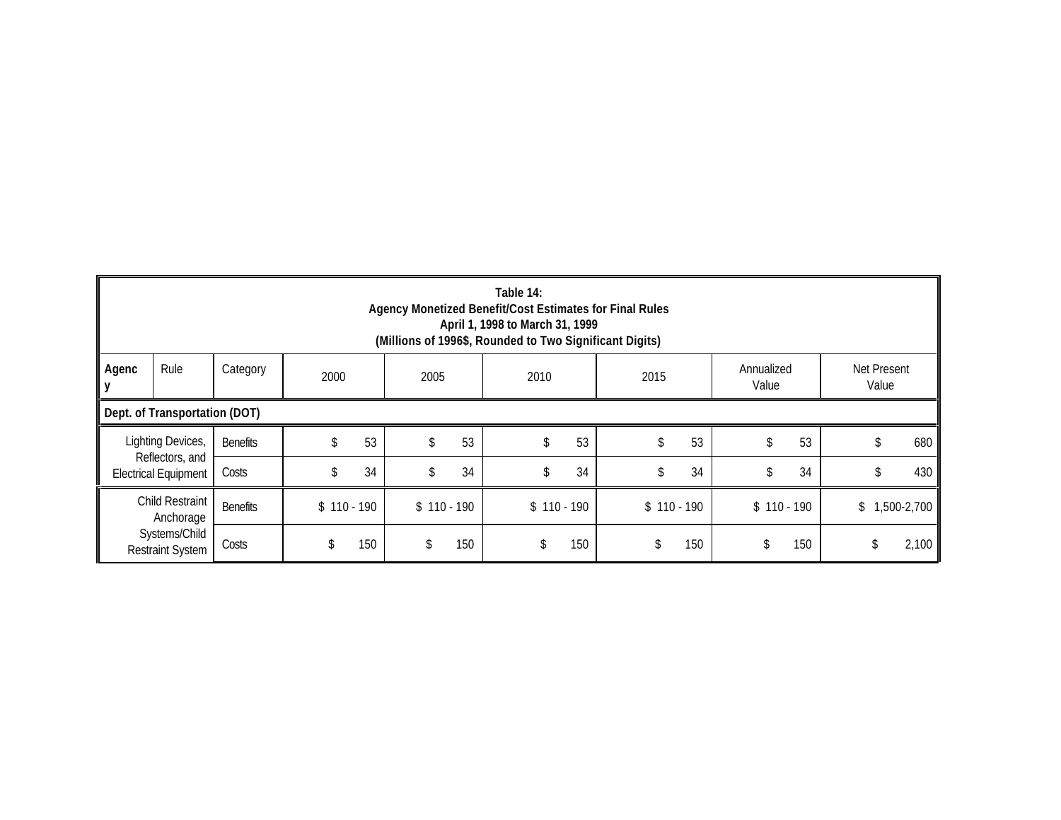|                                          | Table 14:<br>Agency Monetized Benefit/Cost Estimates for Final Rules<br>April 1, 1998 to March 31, 1999<br>(Millions of 1996\$, Rounded to Two Significant Digits) |                 |    |              |    |              |    |              |              |                   |             |
|------------------------------------------|--------------------------------------------------------------------------------------------------------------------------------------------------------------------|-----------------|----|--------------|----|--------------|----|--------------|--------------|-------------------|-------------|
| Agenc<br>IУ                              | Rule<br>Net Present<br>Category<br>Annualized<br>2000<br>2010<br>2005<br>2015<br>Value<br>Value                                                                    |                 |    |              |    |              |    |              |              |                   |             |
|                                          | Dept. of Transportation (DOT)                                                                                                                                      |                 |    |              |    |              |    |              |              |                   |             |
|                                          | Lighting Devices,                                                                                                                                                  | <b>Benefits</b> | \$ | 53           | \$ | 53           | \$ | 53           | 53           | 53<br>S           | 680         |
|                                          | Reflectors, and<br><b>Electrical Equipment</b>                                                                                                                     | Costs           | \$ | 34           | \$ | 34           | \$ | 34           | 34<br>\$     | 34<br>Ъ           | 430<br>S    |
| Child Restraint<br>Anchorage             | <b>Benefits</b>                                                                                                                                                    | $$110 - 190$    |    | $$110 - 190$ |    | $$110 - 190$ |    | $$110 - 190$ | $$110 - 190$ | \$<br>1,500-2,700 |             |
| Systems/Child<br><b>Restraint System</b> |                                                                                                                                                                    | Costs           | \$ | 150          | \$ | 150          | \$ | 150          | 150          | 150               | \$<br>2,100 |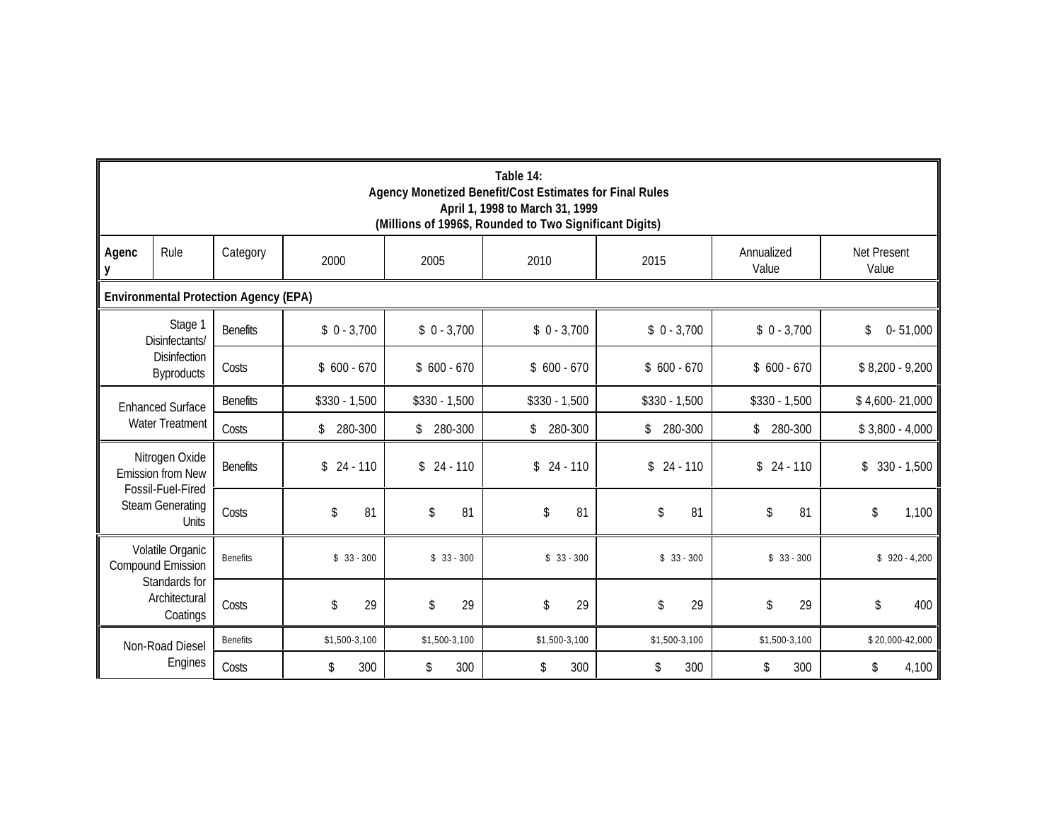|                                            | Table 14:<br>Agency Monetized Benefit/Cost Estimates for Final Rules<br>April 1, 1998 to March 31, 1999<br>(Millions of 1996\$, Rounded to Two Significant Digits) |                                              |                |                |                |                |                     |                             |  |  |  |  |
|--------------------------------------------|--------------------------------------------------------------------------------------------------------------------------------------------------------------------|----------------------------------------------|----------------|----------------|----------------|----------------|---------------------|-----------------------------|--|--|--|--|
| Agenc<br>y                                 | Rule                                                                                                                                                               | Category                                     | 2000           | 2005           | 2010           | 2015           | Annualized<br>Value | <b>Net Present</b><br>Value |  |  |  |  |
|                                            |                                                                                                                                                                    | <b>Environmental Protection Agency (EPA)</b> |                |                |                |                |                     |                             |  |  |  |  |
|                                            | Stage 1<br>Disinfectants/                                                                                                                                          | <b>Benefits</b>                              | $$0 - 3,700$   | $$0 - 3,700$   | $$0 - 3,700$   | $$0 - 3,700$   | $$0 - 3,700$        | $0 - 51,000$<br>\$          |  |  |  |  |
|                                            | <b>Disinfection</b><br><b>Byproducts</b>                                                                                                                           | Costs                                        | $$600 - 670$   | $$600 - 670$   | $$600 - 670$   | $$600 - 670$   | $$600 - 670$        | $$8,200 - 9,200$            |  |  |  |  |
|                                            | <b>Enhanced Surface</b>                                                                                                                                            | <b>Benefits</b>                              | $$330 - 1,500$ | $$330 - 1,500$ | $$330 - 1,500$ | $$330 - 1,500$ | $$330 - 1,500$      | \$4,600-21,000              |  |  |  |  |
|                                            | Water Treatment                                                                                                                                                    | Costs                                        | 280-300<br>\$  | \$<br>280-300  | 280-300<br>\$  | 280-300<br>\$  | 280-300<br>\$       | $$3,800 - 4,000$            |  |  |  |  |
|                                            | Nitrogen Oxide<br><b>Emission from New</b>                                                                                                                         | <b>Benefits</b>                              | \$<br>24 - 110 | $$24 - 110$    | $$24 - 110$    | $$24 - 110$    | $$24 - 110$         | $$330 - 1,500$              |  |  |  |  |
|                                            | Fossil-Fuel-Fired<br><b>Steam Generating</b><br>Units                                                                                                              | Costs                                        | 81<br>\$       | \$<br>81       | \$<br>81       | \$<br>81       | \$<br>81            | \$<br>1,100                 |  |  |  |  |
|                                            | Volatile Organic<br><b>Compound Emission</b>                                                                                                                       |                                              | $$33 - 300$    | $$33 - 300$    | $$33 - 300$    | $$33 - 300$    | $$33 - 300$         | $$920 - 4,200$              |  |  |  |  |
| Standards for<br>Architectural<br>Coatings | Costs                                                                                                                                                              | \$<br>29                                     | \$<br>29       | \$<br>29       | \$<br>29       | \$<br>29       | \$<br>400           |                             |  |  |  |  |
|                                            | Non-Road Diesel<br>Engines                                                                                                                                         | <b>Benefits</b>                              | \$1,500-3,100  | \$1,500-3,100  | \$1,500-3,100  | \$1,500-3,100  | \$1,500-3,100       | \$20,000-42,000             |  |  |  |  |
|                                            |                                                                                                                                                                    | Costs                                        | 300<br>\$      | \$<br>300      | 300<br>\$      | 300<br>\$      | \$<br>300           | 4,100<br>\$                 |  |  |  |  |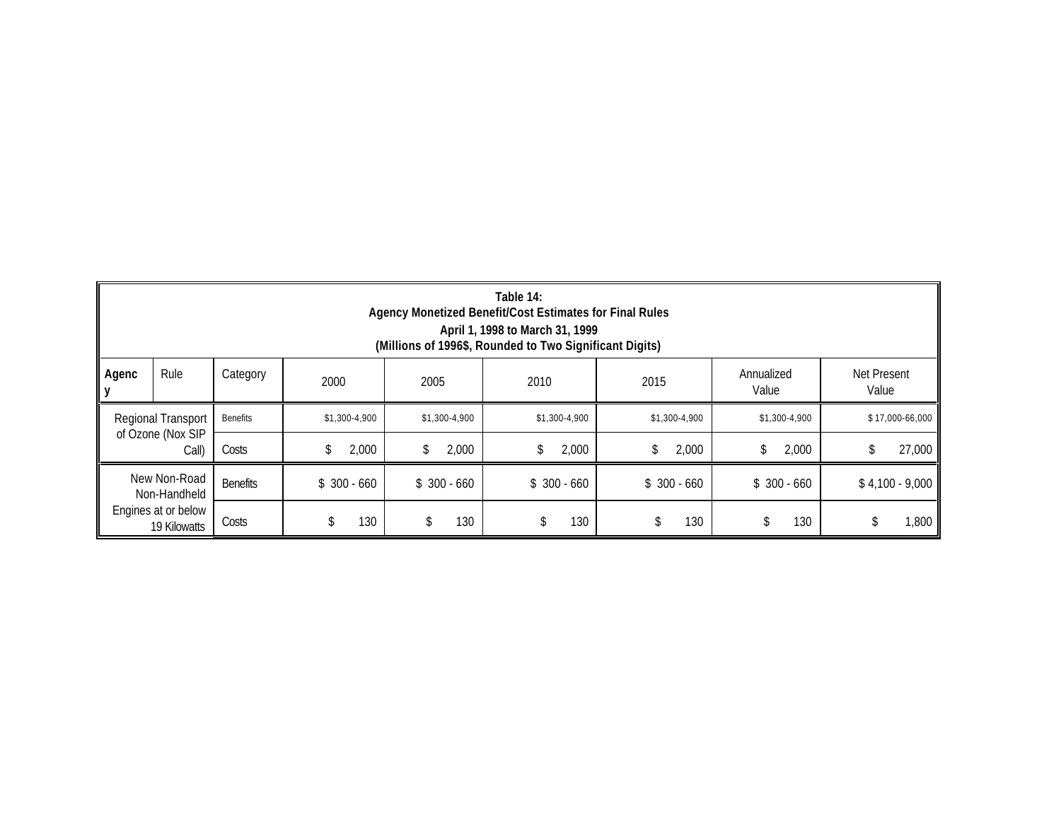|                                                                     | Table 14:<br>Agency Monetized Benefit/Cost Estimates for Final Rules<br>April 1, 1998 to March 31, 1999<br>(Millions of 1996\$, Rounded to Two Significant Digits) |                 |               |               |               |               |               |                  |  |  |
|---------------------------------------------------------------------|--------------------------------------------------------------------------------------------------------------------------------------------------------------------|-----------------|---------------|---------------|---------------|---------------|---------------|------------------|--|--|
| Agenc                                                               | Rule<br>Net Present<br>Category<br>Annualized<br>2010<br>2000<br>2005<br>2015<br>Value<br>Value                                                                    |                 |               |               |               |               |               |                  |  |  |
|                                                                     | Regional Transport                                                                                                                                                 | <b>Benefits</b> | \$1,300-4,900 | \$1,300-4,900 | \$1,300-4,900 | \$1,300-4,900 | \$1,300-4,900 | \$17,000-66,000  |  |  |
|                                                                     | of Ozone (Nox SIP<br>Call)                                                                                                                                         | Costs           | 2,000<br>\$   | 2,000<br>\$   | 2,000<br>\$   | 2,000<br>\$   | \$<br>2,000   | 27,000<br>\$     |  |  |
| New Non-Road<br>Non-Handheld<br>Engines at or below<br>19 Kilowatts |                                                                                                                                                                    | <b>Benefits</b> | $$300 - 660$  | $$300 - 660$  | $$300 - 660$  | $$300 - 660$  | $$300 - 660$  | $$4,100 - 9,000$ |  |  |
|                                                                     |                                                                                                                                                                    | Costs           | 130<br>\$     | 130<br>\$     | 130<br>\$     | 130           | 130<br>\$     | ,800<br>\$       |  |  |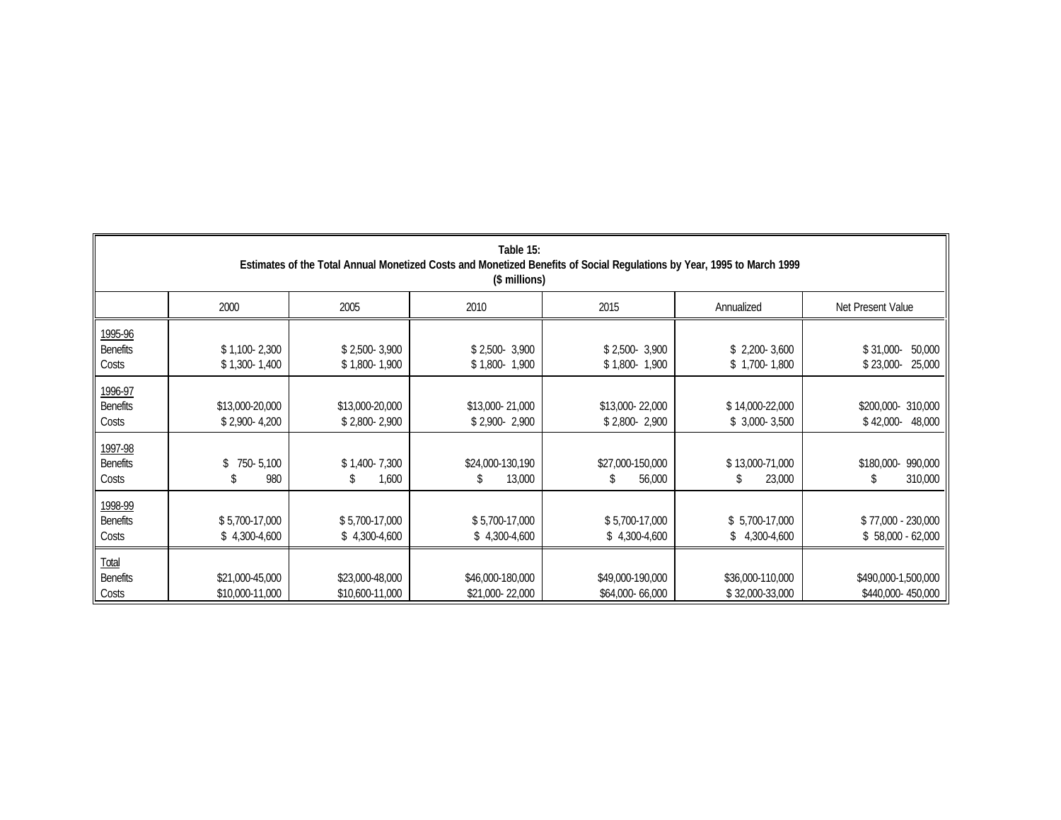|                                     | Table 15:<br>Estimates of the Total Annual Monetized Costs and Monetized Benefits of Social Regulations by Year, 1995 to March 1999<br>(\$ millions) |                                    |                                     |                                     |                                     |                                              |  |  |  |  |
|-------------------------------------|------------------------------------------------------------------------------------------------------------------------------------------------------|------------------------------------|-------------------------------------|-------------------------------------|-------------------------------------|----------------------------------------------|--|--|--|--|
|                                     | 2000                                                                                                                                                 | 2005                               | 2010                                | 2015                                | Annualized                          | Net Present Value                            |  |  |  |  |
| 1995-96<br><b>Benefits</b><br>Costs | $$1,100-2,300$<br>$$1,300-1,400$                                                                                                                     | $$2,500-3,900$<br>$$1,800-1,900$   | $$2,500-3,900$<br>$$1,800-1,900$    | $$2,500-3,900$<br>$$1,800-1,900$    | $$2,200-3,600$<br>$$1,700-1,800$    | $$31,000-$<br>50,000<br>25,000<br>$$23,000-$ |  |  |  |  |
| 1996-97<br><b>Benefits</b><br>Costs | \$13,000-20,000<br>$$2,900-4,200$                                                                                                                    | \$13,000-20,000<br>$$2,800-2,900$  | \$13,000-21,000<br>$$2,900-2,900$   | \$13,000-22,000<br>\$2,800-2,900    | \$14,000-22,000<br>$$3,000-3,500$   | \$200,000-310,000<br>$$42,000-$<br>48,000    |  |  |  |  |
| 1997-98<br><b>Benefits</b><br>Costs | 750-5,100<br>\$<br>980                                                                                                                               | \$1,400-7,300<br>1,600<br>\$       | \$24,000-130,190<br>13,000          | \$27,000-150,000<br>56,000<br>S     | \$13,000-71,000<br>23,000<br>\$     | 990,000<br>\$180,000-<br>310,000<br>\$       |  |  |  |  |
| 1998-99<br><b>Benefits</b><br>Costs | \$5,700-17,000<br>$$4,300-4,600$                                                                                                                     | \$5,700-17,000<br>$$4,300-4,600$   | \$5,700-17,000<br>$$4,300-4,600$    | \$5,700-17,000<br>$$4,300-4,600$    | \$5,700-17,000<br>$$4,300-4,600$    | \$77,000 - 230,000<br>$$58,000 - 62,000$     |  |  |  |  |
| Total<br><b>Benefits</b><br>Costs   | \$21,000-45,000<br>\$10,000-11,000                                                                                                                   | \$23,000-48,000<br>\$10,600-11,000 | \$46,000-180,000<br>\$21,000-22,000 | \$49,000-190,000<br>\$64,000-66,000 | \$36,000-110,000<br>\$32,000-33,000 | \$490,000-1,500,000<br>\$440,000-450,000     |  |  |  |  |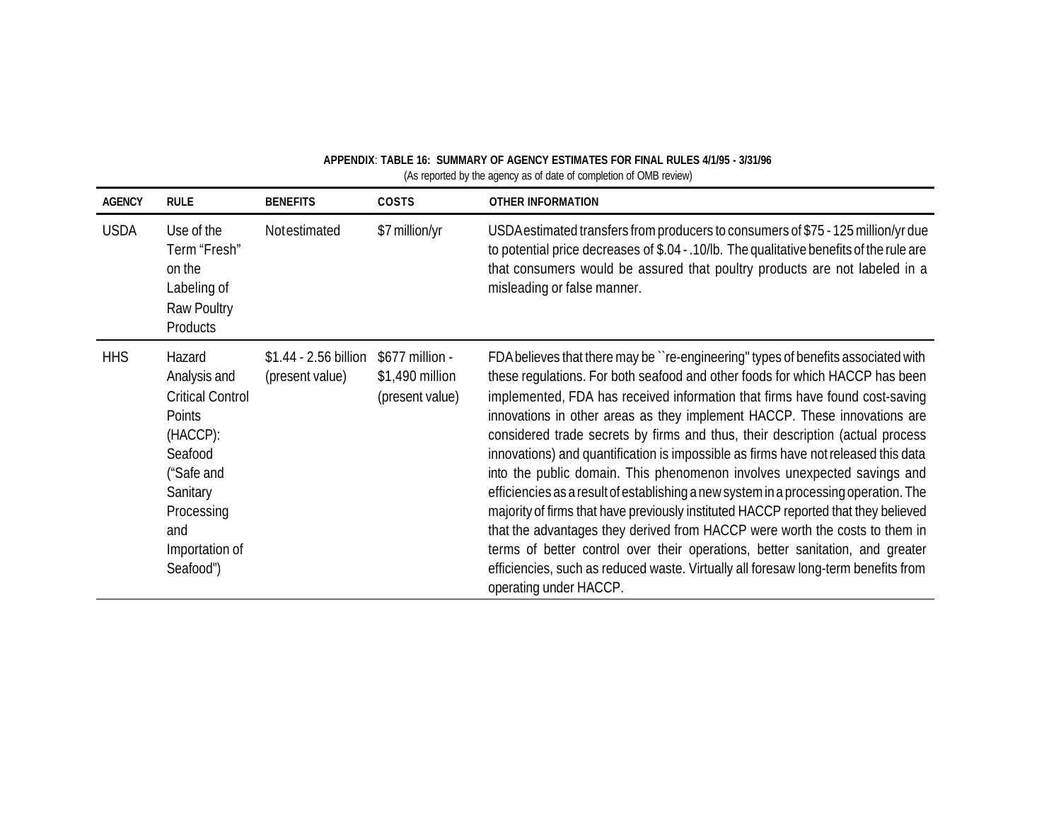| APPENDIX: TABLE 16: SUMMARY OF AGENCY ESTIMATES FOR FINAL RULES 4/1/95 - 3/31/96 |
|----------------------------------------------------------------------------------|
| (As reported by the agency as of date of completion of OMB review)               |

| <b>AGENCY</b> | <b>RULE</b>                                                                                                                                                      | <b>BENEFITS</b>                          | COSTS                                                 | <b>OTHER INFORMATION</b>                                                                                                                                                                                                                                                                                                                                                                                                                                                                                                                                                                                                                                                                                                                                                                                                                                                                                                                                                                                                                       |
|---------------|------------------------------------------------------------------------------------------------------------------------------------------------------------------|------------------------------------------|-------------------------------------------------------|------------------------------------------------------------------------------------------------------------------------------------------------------------------------------------------------------------------------------------------------------------------------------------------------------------------------------------------------------------------------------------------------------------------------------------------------------------------------------------------------------------------------------------------------------------------------------------------------------------------------------------------------------------------------------------------------------------------------------------------------------------------------------------------------------------------------------------------------------------------------------------------------------------------------------------------------------------------------------------------------------------------------------------------------|
| <b>USDA</b>   | Use of the<br>Term "Fresh"<br>on the<br>Labeling of<br>Raw Poultry<br>Products                                                                                   | Notestimated                             | \$7 million/yr                                        | USDA estimated transfers from producers to consumers of \$75 - 125 million/yr due<br>to potential price decreases of \$.04 - .10/lb. The qualitative benefits of the rule are<br>that consumers would be assured that poultry products are not labeled in a<br>misleading or false manner.                                                                                                                                                                                                                                                                                                                                                                                                                                                                                                                                                                                                                                                                                                                                                     |
| <b>HHS</b>    | Hazard<br>Analysis and<br><b>Critical Control</b><br>Points<br>(HACCP):<br>Seafood<br>("Safe and<br>Sanitary<br>Processing<br>and<br>Importation of<br>Seafood") | \$1.44 - 2.56 billion<br>(present value) | \$677 million -<br>\$1,490 million<br>(present value) | FDA believes that there may be "re-engineering" types of benefits associated with<br>these regulations. For both seafood and other foods for which HACCP has been<br>implemented, FDA has received information that firms have found cost-saving<br>innovations in other areas as they implement HACCP. These innovations are<br>considered trade secrets by firms and thus, their description (actual process<br>innovations) and quantification is impossible as firms have not released this data<br>into the public domain. This phenomenon involves unexpected savings and<br>efficiencies as a result of establishing a new system in a processing operation. The<br>majority of firms that have previously instituted HACCP reported that they believed<br>that the advantages they derived from HACCP were worth the costs to them in<br>terms of better control over their operations, better sanitation, and greater<br>efficiencies, such as reduced waste. Virtually all foresaw long-term benefits from<br>operating under HACCP. |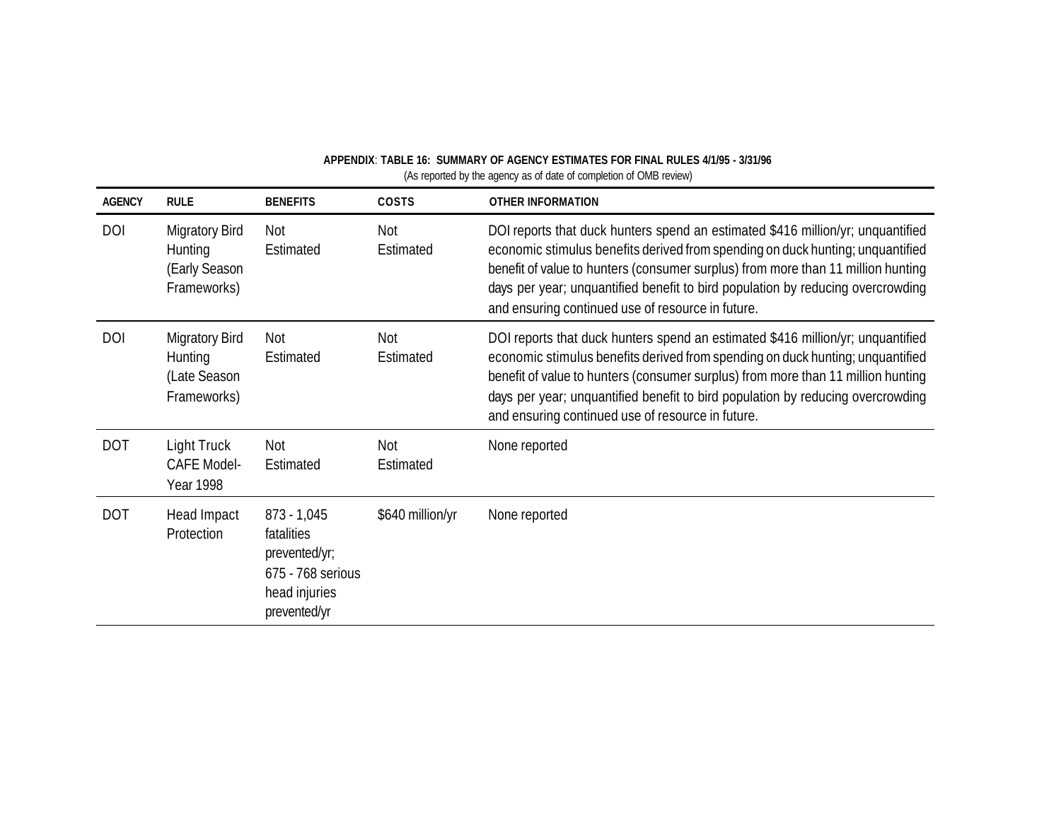| <b>AGENCY</b> | <b>RULE</b>                                                      | <b>BENEFITS</b>                                                                                    | COSTS            | <b>OTHER INFORMATION</b>                                                                                                                                                                                                                                                                                                                                                                      |
|---------------|------------------------------------------------------------------|----------------------------------------------------------------------------------------------------|------------------|-----------------------------------------------------------------------------------------------------------------------------------------------------------------------------------------------------------------------------------------------------------------------------------------------------------------------------------------------------------------------------------------------|
| <b>DOI</b>    | <b>Migratory Bird</b><br>Hunting<br>(Early Season<br>Frameworks) | Not<br>Estimated                                                                                   | Not<br>Estimated | DOI reports that duck hunters spend an estimated \$416 million/yr; unquantified<br>economic stimulus benefits derived from spending on duck hunting; unquantified<br>benefit of value to hunters (consumer surplus) from more than 11 million hunting<br>days per year; unquantified benefit to bird population by reducing overcrowding<br>and ensuring continued use of resource in future. |
| <b>DOI</b>    | <b>Migratory Bird</b><br>Hunting<br>(Late Season<br>Frameworks)  | Not<br>Estimated                                                                                   | Not<br>Estimated | DOI reports that duck hunters spend an estimated \$416 million/yr; unquantified<br>economic stimulus benefits derived from spending on duck hunting; unquantified<br>benefit of value to hunters (consumer surplus) from more than 11 million hunting<br>days per year; unquantified benefit to bird population by reducing overcrowding<br>and ensuring continued use of resource in future. |
| <b>DOT</b>    | Light Truck<br><b>CAFE Model-</b><br><b>Year 1998</b>            | Not<br>Estimated                                                                                   | Not<br>Estimated | None reported                                                                                                                                                                                                                                                                                                                                                                                 |
| <b>DOT</b>    | Head Impact<br>Protection                                        | $873 - 1,045$<br>fatalities<br>prevented/yr;<br>675 - 768 serious<br>head injuries<br>prevented/yr | \$640 million/yr | None reported                                                                                                                                                                                                                                                                                                                                                                                 |

### **APPENDIX**: **TABLE 16: SUMMARY OF AGENCY ESTIMATES FOR FINAL RULES 4/1/95 - 3/31/96**  (As reported by the agency as of date of completion of OMB review)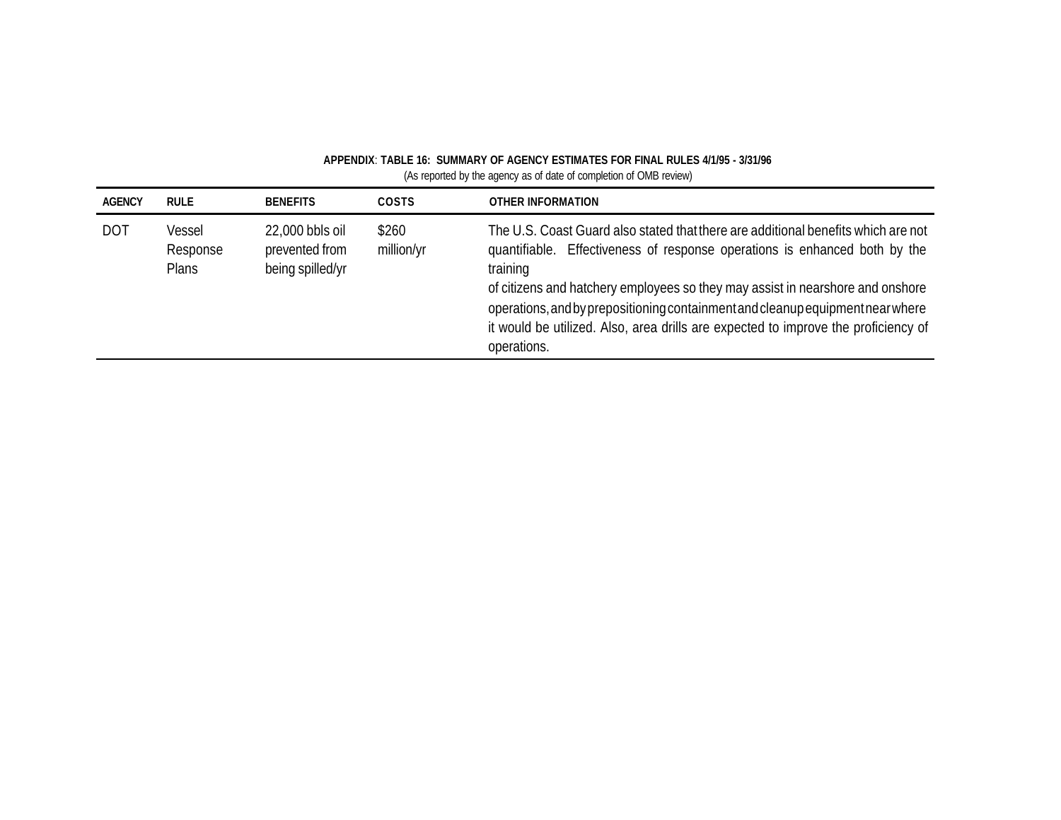| <b>AGENCY</b> | <b>RULE</b>                        | <b>BENEFITS</b>                                       | <b>COSTS</b>        | OTHER INFORMATION                                                                                                                                                                                                                                                                                                                                                                                                                                    |
|---------------|------------------------------------|-------------------------------------------------------|---------------------|------------------------------------------------------------------------------------------------------------------------------------------------------------------------------------------------------------------------------------------------------------------------------------------------------------------------------------------------------------------------------------------------------------------------------------------------------|
| <b>DOT</b>    | Vessel<br>Response<br><b>Plans</b> | 22,000 bbls oil<br>prevented from<br>being spilled/yr | \$260<br>million/yr | The U.S. Coast Guard also stated that there are additional benefits which are not<br>quantifiable. Effectiveness of response operations is enhanced both by the<br>training<br>of citizens and hatchery employees so they may assist in nearshore and onshore<br>operations, and by prepositioning containment and cleanup equipment near where<br>it would be utilized. Also, area drills are expected to improve the proficiency of<br>operations. |

# **APPENDIX**: **TABLE 16: SUMMARY OF AGENCY ESTIMATES FOR FINAL RULES 4/1/95 - 3/31/96**

(As reported by the agency as of date of completion of OMB review)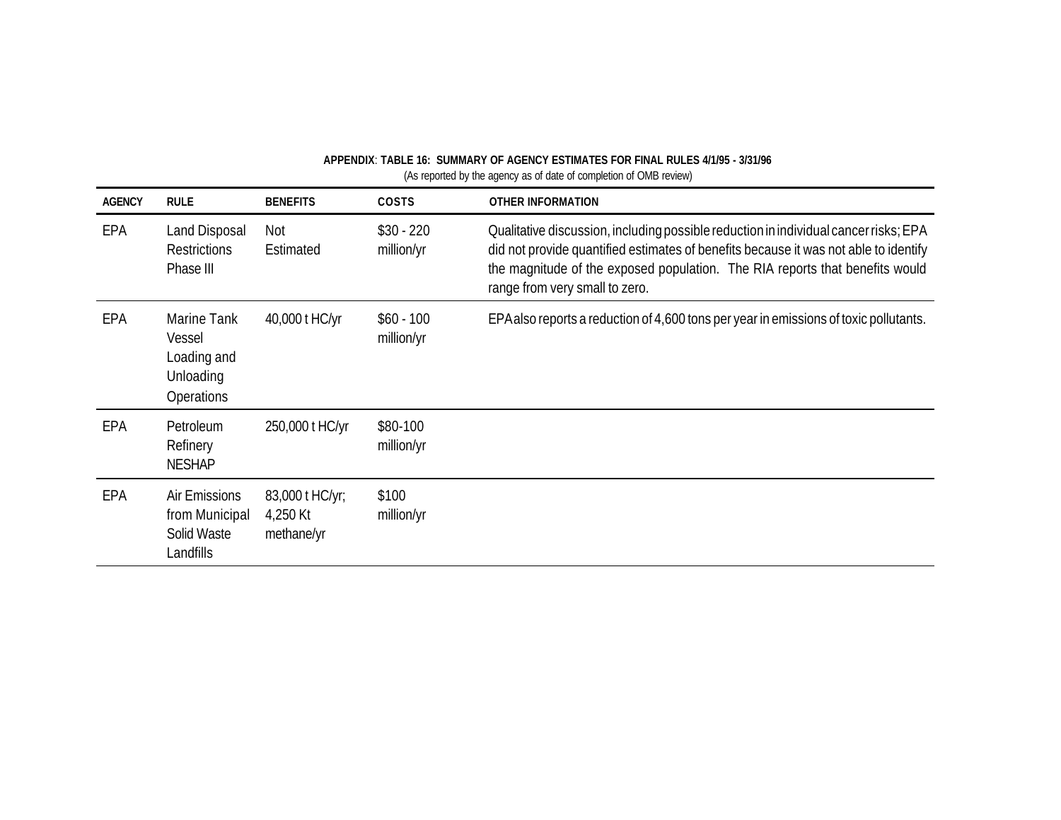| <b>AGENCY</b> | <b>RULE</b>                                                     | <b>BENEFITS</b>                           | <b>COSTS</b>              | <b>OTHER INFORMATION</b>                                                                                                                                                                                                                                                                       |
|---------------|-----------------------------------------------------------------|-------------------------------------------|---------------------------|------------------------------------------------------------------------------------------------------------------------------------------------------------------------------------------------------------------------------------------------------------------------------------------------|
| EPA           | Land Disposal<br><b>Restrictions</b><br>Phase III               | Not<br>Estimated                          | $$30 - 220$<br>million/yr | Qualitative discussion, including possible reduction in individual cancer risks; EPA<br>did not provide quantified estimates of benefits because it was not able to identify<br>the magnitude of the exposed population. The RIA reports that benefits would<br>range from very small to zero. |
| EPA           | Marine Tank<br>Vessel<br>Loading and<br>Unloading<br>Operations | 40,000 t HC/yr                            | $$60 - 100$<br>million/yr | EPA also reports a reduction of 4,600 tons per year in emissions of toxic pollutants.                                                                                                                                                                                                          |
| EPA           | Petroleum<br>Refinery<br><b>NESHAP</b>                          | 250,000 t HC/yr                           | \$80-100<br>million/yr    |                                                                                                                                                                                                                                                                                                |
| EPA           | Air Emissions<br>from Municipal<br>Solid Waste<br>Landfills     | 83,000 t HC/yr;<br>4,250 Kt<br>methane/yr | \$100<br>million/yr       |                                                                                                                                                                                                                                                                                                |

**APPENDIX**: **TABLE 16: SUMMARY OF AGENCY ESTIMATES FOR FINAL RULES 4/1/95 - 3/31/96**  (As reported by the agency as of date of completion of OMB review)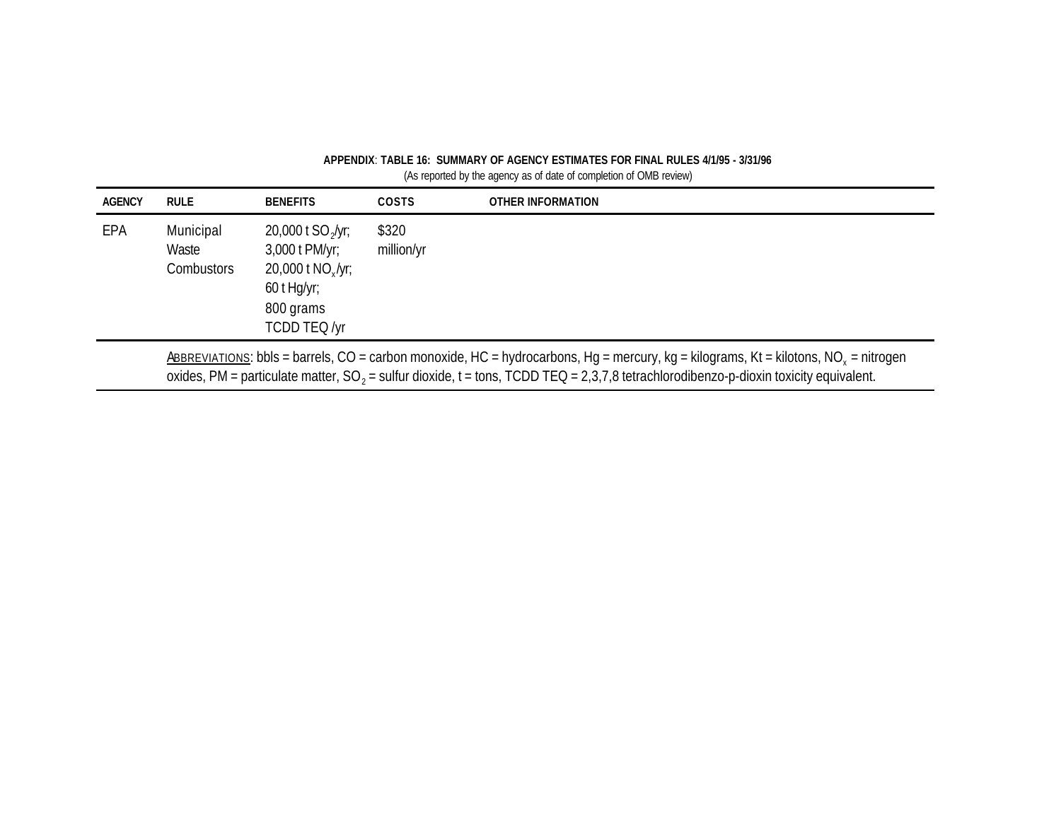| APPENDIX: TABLE 16: SUMMARY OF AGENCY ESTIMATES FOR FINAL RULES 4/1/95 - 3/31/96 |  |
|----------------------------------------------------------------------------------|--|
| (As reported by the agency as of date of completion of OMB review)               |  |

| <b>AGENCY</b> | <b>RULE</b>                                                                                                                                                                                                                                                                                         | <b>BENEFITS</b>                                                                                                       | <b>COSTS</b>        | OTHER INFORMATION |  |  |
|---------------|-----------------------------------------------------------------------------------------------------------------------------------------------------------------------------------------------------------------------------------------------------------------------------------------------------|-----------------------------------------------------------------------------------------------------------------------|---------------------|-------------------|--|--|
| EPA           | Municipal<br>Waste<br><b>Combustors</b>                                                                                                                                                                                                                                                             | 20,000 t $SO_2$ /yr;<br>3,000 t PM/yr;<br>$20,000$ t NO <sub>x</sub> /yr;<br>60 t Hg/yr;<br>800 grams<br>TCDD TEQ /yr | \$320<br>million/yr |                   |  |  |
|               | ABBREVIATIONS: bbls = barrels, CO = carbon monoxide, HC = hydrocarbons, Hg = mercury, kg = kilograms, Kt = kilotons, NO <sub>x</sub> = nitrogen<br>oxides, PM = particulate matter, SO <sub>2</sub> = sulfur dioxide, t = tons, TCDD TEQ = 2,3,7,8 tetrachlorodibenzo-p-dioxin toxicity equivalent. |                                                                                                                       |                     |                   |  |  |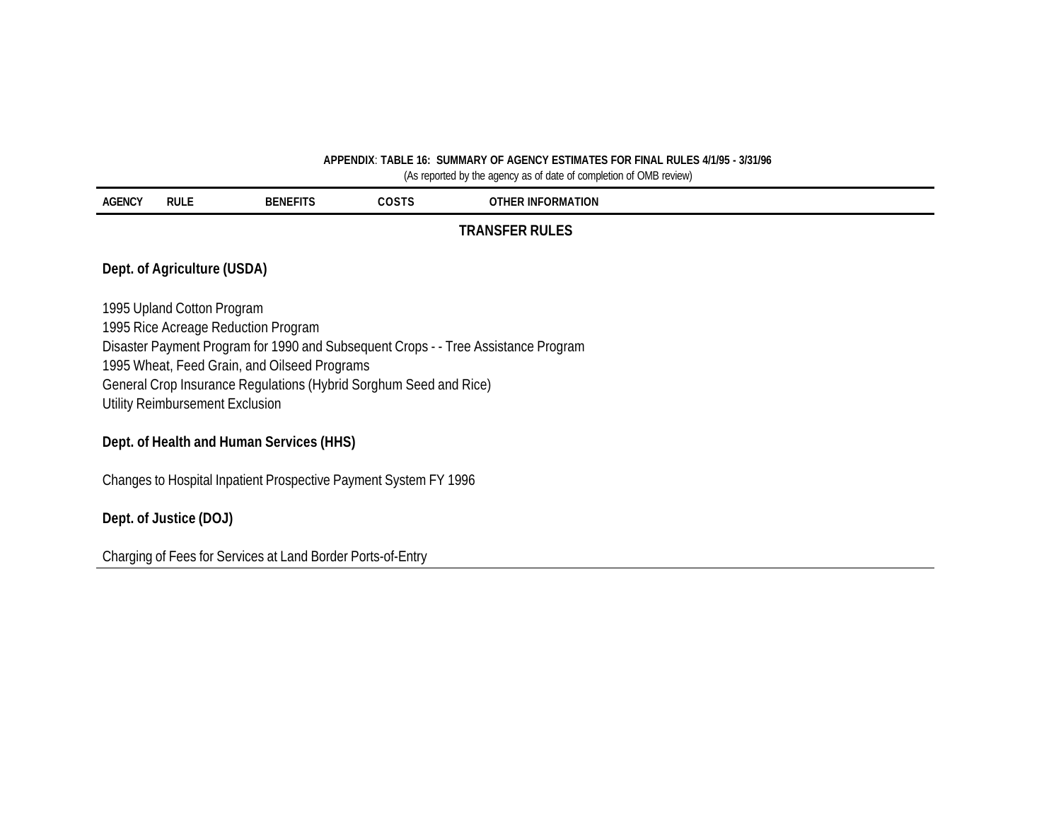### **APPENDIX**: **TABLE 16: SUMMARY OF AGENCY ESTIMATES FOR FINAL RULES 4/1/95 - 3/31/96**

(As reported by the agency as of date of completion of OMB review)

| <b>AGENCY</b> | <b>RULE</b>                                                       | <b>BENEFITS</b>                     | <b>COSTS</b> | <b>OTHER INFORMATION</b>                                                           |  |  |  |
|---------------|-------------------------------------------------------------------|-------------------------------------|--------------|------------------------------------------------------------------------------------|--|--|--|
|               |                                                                   |                                     |              | <b>TRANSFER RULES</b>                                                              |  |  |  |
|               | Dept. of Agriculture (USDA)                                       |                                     |              |                                                                                    |  |  |  |
|               | 1995 Upland Cotton Program                                        |                                     |              |                                                                                    |  |  |  |
|               |                                                                   | 1995 Rice Acreage Reduction Program |              |                                                                                    |  |  |  |
|               |                                                                   |                                     |              | Disaster Payment Program for 1990 and Subsequent Crops - - Tree Assistance Program |  |  |  |
|               | 1995 Wheat, Feed Grain, and Oilseed Programs                      |                                     |              |                                                                                    |  |  |  |
|               | General Crop Insurance Regulations (Hybrid Sorghum Seed and Rice) |                                     |              |                                                                                    |  |  |  |
|               |                                                                   | Utility Reimbursement Exclusion     |              |                                                                                    |  |  |  |
|               |                                                                   |                                     |              |                                                                                    |  |  |  |

## **Dept. of Health and Human Services (HHS)**

Changes to Hospital Inpatient Prospective Payment System FY 1996

### **Dept. of Justice (DOJ)**

Charging of Fees for Services at Land Border Ports-of-Entry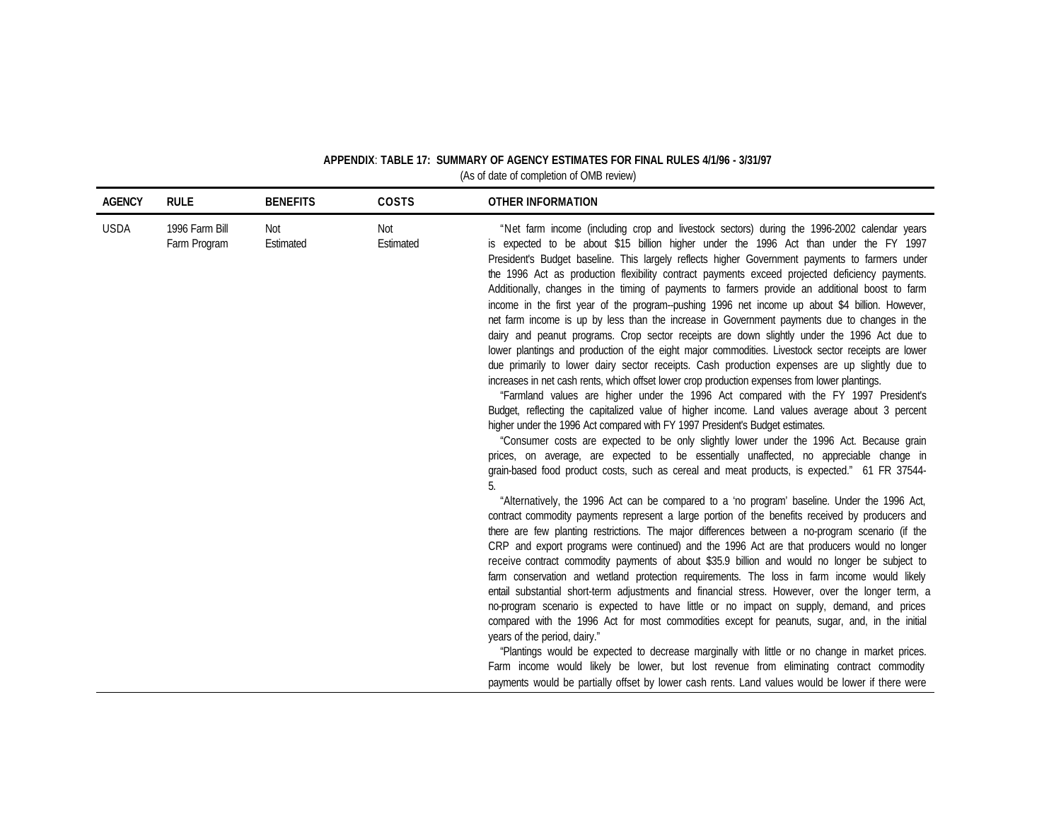| <b>AGENCY</b> | <b>RULE</b>                    | <b>BENEFITS</b>  | COSTS            | <b>OTHER INFORMATION</b>                                                                                                                                                                                                                                                                                                                                                                                                                                                                                                                                                                                                                                                                                                                                                                                                                                                                                                                                                                                                                                                                                                                                                                                                                                                                                                                                                                                                                                                                                                                                                                                                                                                                                                                                                                                                                                                                                                                                                                                                                                                                                                                                                                                                                                                                                                                                                                                                                                                                                                                                                         |
|---------------|--------------------------------|------------------|------------------|----------------------------------------------------------------------------------------------------------------------------------------------------------------------------------------------------------------------------------------------------------------------------------------------------------------------------------------------------------------------------------------------------------------------------------------------------------------------------------------------------------------------------------------------------------------------------------------------------------------------------------------------------------------------------------------------------------------------------------------------------------------------------------------------------------------------------------------------------------------------------------------------------------------------------------------------------------------------------------------------------------------------------------------------------------------------------------------------------------------------------------------------------------------------------------------------------------------------------------------------------------------------------------------------------------------------------------------------------------------------------------------------------------------------------------------------------------------------------------------------------------------------------------------------------------------------------------------------------------------------------------------------------------------------------------------------------------------------------------------------------------------------------------------------------------------------------------------------------------------------------------------------------------------------------------------------------------------------------------------------------------------------------------------------------------------------------------------------------------------------------------------------------------------------------------------------------------------------------------------------------------------------------------------------------------------------------------------------------------------------------------------------------------------------------------------------------------------------------------------------------------------------------------------------------------------------------------|
| <b>USDA</b>   | 1996 Farm Bill<br>Farm Program | Not<br>Estimated | Not<br>Estimated | "Net farm income (including crop and livestock sectors) during the 1996-2002 calendar years<br>is expected to be about \$15 billion higher under the 1996 Act than under the FY 1997<br>President's Budget baseline. This largely reflects higher Government payments to farmers under<br>the 1996 Act as production flexibility contract payments exceed projected deficiency payments.<br>Additionally, changes in the timing of payments to farmers provide an additional boost to farm<br>income in the first year of the program--pushing 1996 net income up about \$4 billion. However,<br>net farm income is up by less than the increase in Government payments due to changes in the<br>dairy and peanut programs. Crop sector receipts are down slightly under the 1996 Act due to<br>lower plantings and production of the eight major commodities. Livestock sector receipts are lower<br>due primarily to lower dairy sector receipts. Cash production expenses are up slightly due to<br>increases in net cash rents, which offset lower crop production expenses from lower plantings.<br>"Farmland values are higher under the 1996 Act compared with the FY 1997 President's<br>Budget, reflecting the capitalized value of higher income. Land values average about 3 percent<br>higher under the 1996 Act compared with FY 1997 President's Budget estimates.<br>"Consumer costs are expected to be only slightly lower under the 1996 Act. Because grain<br>prices, on average, are expected to be essentially unaffected, no appreciable change in<br>grain-based food product costs, such as cereal and meat products, is expected." 61 FR 37544-<br>"Alternatively, the 1996 Act can be compared to a 'no program' baseline. Under the 1996 Act,<br>contract commodity payments represent a large portion of the benefits received by producers and<br>there are few planting restrictions. The major differences between a no-program scenario (if the<br>CRP and export programs were continued) and the 1996 Act are that producers would no longer<br>receive contract commodity payments of about \$35.9 billion and would no longer be subject to<br>farm conservation and wetland protection requirements. The loss in farm income would likely<br>entail substantial short-term adjustments and financial stress. However, over the longer term, a<br>no-program scenario is expected to have little or no impact on supply, demand, and prices<br>compared with the 1996 Act for most commodities except for peanuts, sugar, and, in the initial |
|               |                                |                  |                  | years of the period, dairy."<br>"Plantings would be expected to decrease marginally with little or no change in market prices.                                                                                                                                                                                                                                                                                                                                                                                                                                                                                                                                                                                                                                                                                                                                                                                                                                                                                                                                                                                                                                                                                                                                                                                                                                                                                                                                                                                                                                                                                                                                                                                                                                                                                                                                                                                                                                                                                                                                                                                                                                                                                                                                                                                                                                                                                                                                                                                                                                                   |
|               |                                |                  |                  | Farm income would likely be lower, but lost revenue from eliminating contract commodity<br>payments would be partially offset by lower cash rents. Land values would be lower if there were                                                                                                                                                                                                                                                                                                                                                                                                                                                                                                                                                                                                                                                                                                                                                                                                                                                                                                                                                                                                                                                                                                                                                                                                                                                                                                                                                                                                                                                                                                                                                                                                                                                                                                                                                                                                                                                                                                                                                                                                                                                                                                                                                                                                                                                                                                                                                                                      |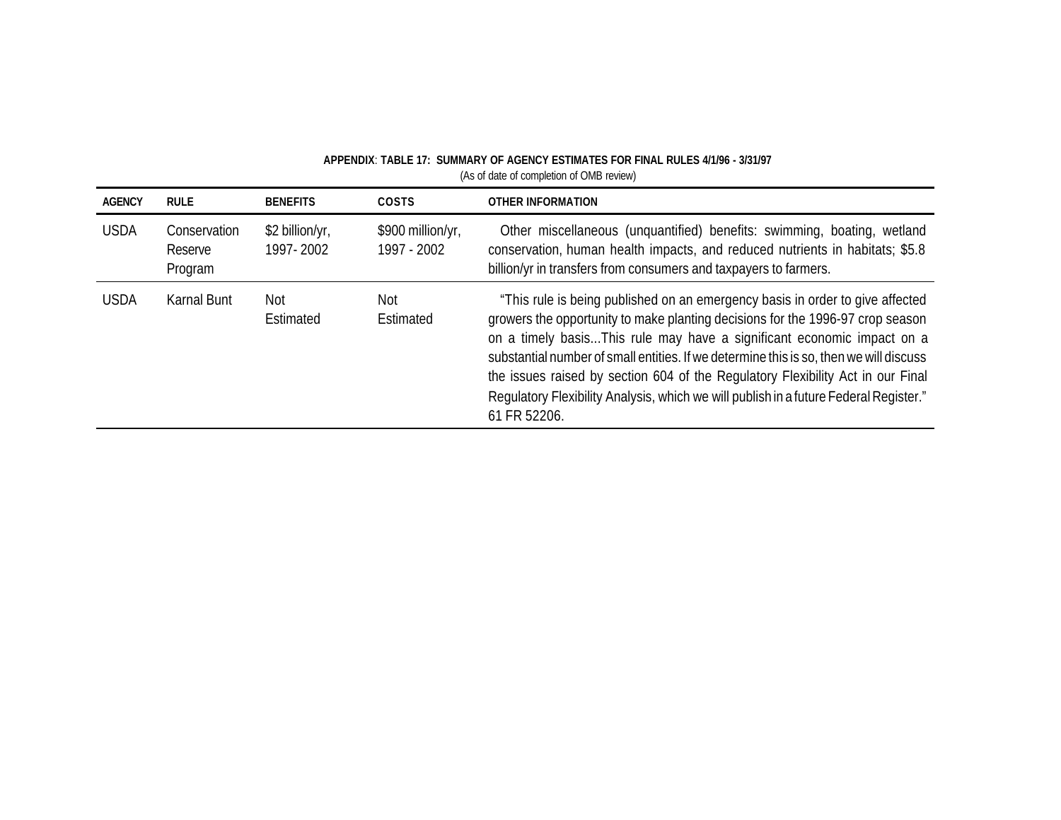| <b>AGENCY</b> | <b>RULE</b>                        | <b>BENEFITS</b>              | <b>COSTS</b>                     | <b>OTHER INFORMATION</b>                                                                                                                                                                                                                                                                                                                                                                                                                                                                                                        |
|---------------|------------------------------------|------------------------------|----------------------------------|---------------------------------------------------------------------------------------------------------------------------------------------------------------------------------------------------------------------------------------------------------------------------------------------------------------------------------------------------------------------------------------------------------------------------------------------------------------------------------------------------------------------------------|
| <b>USDA</b>   | Conservation<br>Reserve<br>Program | \$2 billion/yr,<br>1997-2002 | \$900 million/yr,<br>1997 - 2002 | Other miscellaneous (unquantified) benefits: swimming, boating, wetland<br>conservation, human health impacts, and reduced nutrients in habitats; \$5.8<br>billion/yr in transfers from consumers and taxpayers to farmers.                                                                                                                                                                                                                                                                                                     |
| <b>USDA</b>   | Karnal Bunt                        | Not<br>Estimated             | Not<br>Estimated                 | "This rule is being published on an emergency basis in order to give affected<br>growers the opportunity to make planting decisions for the 1996-97 crop season<br>on a timely basisThis rule may have a significant economic impact on a<br>substantial number of small entities. If we determine this is so, then we will discuss<br>the issues raised by section 604 of the Regulatory Flexibility Act in our Final<br>Regulatory Flexibility Analysis, which we will publish in a future Federal Register."<br>61 FR 52206. |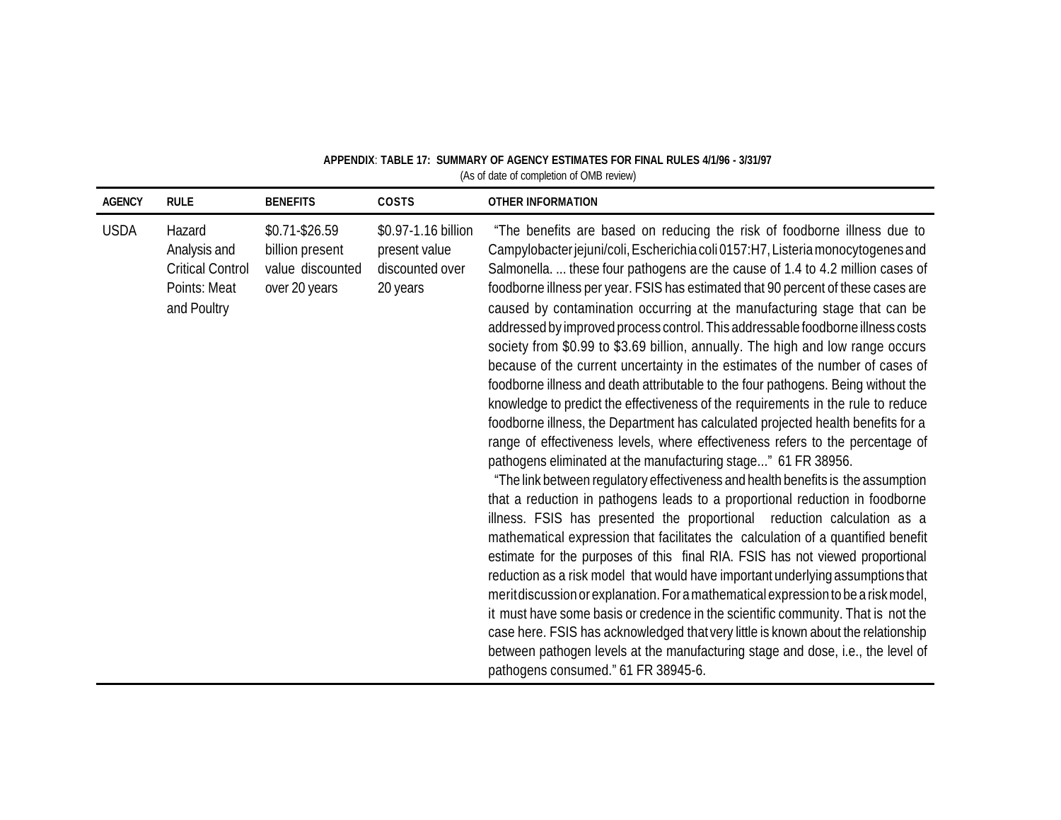| <b>AGENCY</b> | <b>RULE</b>                                                                      | <b>BENEFITS</b>                                                          | COSTS                                                               | <b>OTHER INFORMATION</b>                                                                                                                                                                                                                                                                                                                                                                                                                                                                                                                                                                                                                                                                                                                                                                                                                                                                                                                                                                                                                                                                                                                                                                                                                                                                                                                                                                                                                                                                                                                                                                                                                                                                                                                                                                                                                                                                                                                                                             |
|---------------|----------------------------------------------------------------------------------|--------------------------------------------------------------------------|---------------------------------------------------------------------|--------------------------------------------------------------------------------------------------------------------------------------------------------------------------------------------------------------------------------------------------------------------------------------------------------------------------------------------------------------------------------------------------------------------------------------------------------------------------------------------------------------------------------------------------------------------------------------------------------------------------------------------------------------------------------------------------------------------------------------------------------------------------------------------------------------------------------------------------------------------------------------------------------------------------------------------------------------------------------------------------------------------------------------------------------------------------------------------------------------------------------------------------------------------------------------------------------------------------------------------------------------------------------------------------------------------------------------------------------------------------------------------------------------------------------------------------------------------------------------------------------------------------------------------------------------------------------------------------------------------------------------------------------------------------------------------------------------------------------------------------------------------------------------------------------------------------------------------------------------------------------------------------------------------------------------------------------------------------------------|
| <b>USDA</b>   | Hazard<br>Analysis and<br><b>Critical Control</b><br>Points: Meat<br>and Poultry | $$0.71 - $26.59$<br>billion present<br>value discounted<br>over 20 years | \$0.97-1.16 billion<br>present value<br>discounted over<br>20 years | "The benefits are based on reducing the risk of foodborne illness due to<br>Campylobacter jejuni/coli, Escherichia coli 0157:H7, Listeria monocytogenes and<br>Salmonella.  these four pathogens are the cause of 1.4 to 4.2 million cases of<br>foodborne illness per year. FSIS has estimated that 90 percent of these cases are<br>caused by contamination occurring at the manufacturing stage that can be<br>addressed by improved process control. This addressable foodborne illness costs<br>society from \$0.99 to \$3.69 billion, annually. The high and low range occurs<br>because of the current uncertainty in the estimates of the number of cases of<br>foodborne illness and death attributable to the four pathogens. Being without the<br>knowledge to predict the effectiveness of the requirements in the rule to reduce<br>foodborne illness, the Department has calculated projected health benefits for a<br>range of effectiveness levels, where effectiveness refers to the percentage of<br>pathogens eliminated at the manufacturing stage" 61 FR 38956.<br>"The link between regulatory effectiveness and health benefits is the assumption<br>that a reduction in pathogens leads to a proportional reduction in foodborne<br>illness. FSIS has presented the proportional reduction calculation as a<br>mathematical expression that facilitates the calculation of a quantified benefit<br>estimate for the purposes of this final RIA. FSIS has not viewed proportional<br>reduction as a risk model that would have important underlying assumptions that<br>merit discussion or explanation. For a mathematical expression to be a risk model,<br>it must have some basis or credence in the scientific community. That is not the<br>case here. FSIS has acknowledged that very little is known about the relationship<br>between pathogen levels at the manufacturing stage and dose, i.e., the level of<br>pathogens consumed." 61 FR 38945-6. |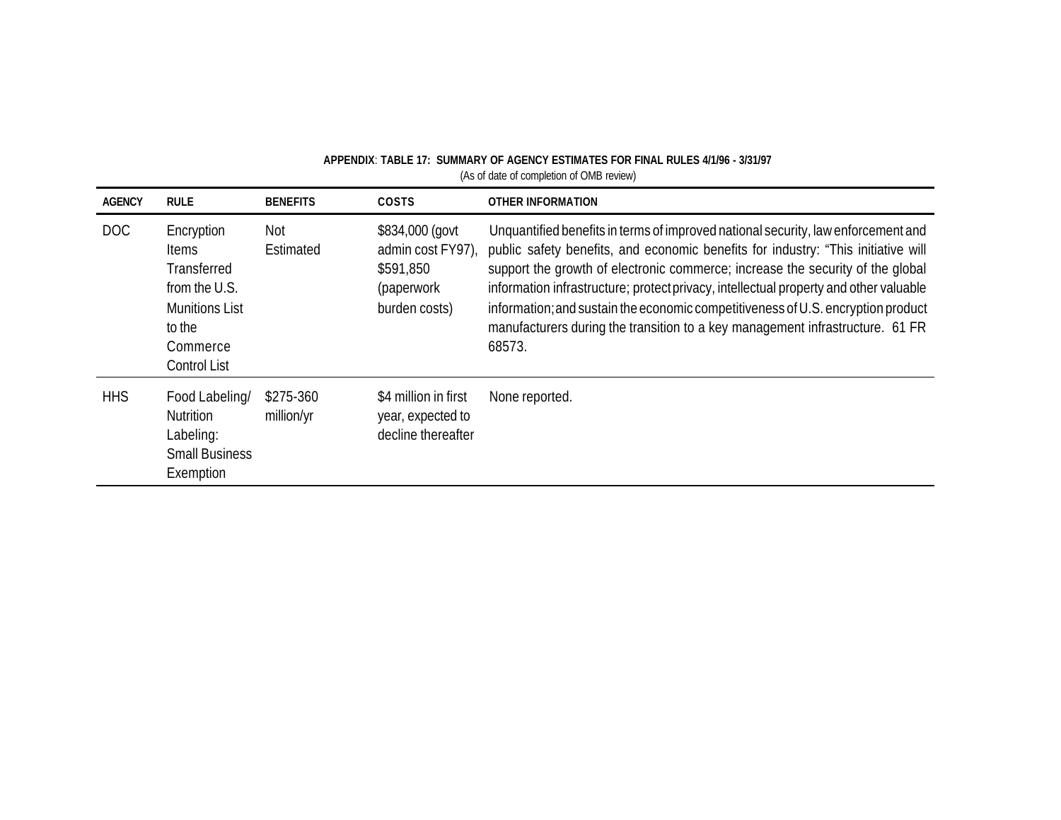| <b>AGENCY</b> | <b>RULE</b>                                                                                                                      | <b>BENEFITS</b>         | <b>COSTS</b>                                                                    | <b>OTHER INFORMATION</b>                                                                                                                                                                                                                                                                                                                                                                                                                                                                                                         |
|---------------|----------------------------------------------------------------------------------------------------------------------------------|-------------------------|---------------------------------------------------------------------------------|----------------------------------------------------------------------------------------------------------------------------------------------------------------------------------------------------------------------------------------------------------------------------------------------------------------------------------------------------------------------------------------------------------------------------------------------------------------------------------------------------------------------------------|
| <b>DOC</b>    | Encryption<br><b>Items</b><br>Transferred<br>from the U.S.<br><b>Munitions List</b><br>to the<br>Commerce<br><b>Control List</b> | Not<br>Estimated        | \$834,000 (govt<br>admin cost FY97)<br>\$591,850<br>(paperwork<br>burden costs) | Unquantified benefits in terms of improved national security, law enforcement and<br>public safety benefits, and economic benefits for industry: "This initiative will<br>support the growth of electronic commerce; increase the security of the global<br>information infrastructure; protect privacy, intellectual property and other valuable<br>information; and sustain the economic competitiveness of U.S. encryption product<br>manufacturers during the transition to a key management infrastructure. 61 FR<br>68573. |
| <b>HHS</b>    | Food Labeling/<br>Nutrition<br>Labeling:<br><b>Small Business</b><br>Exemption                                                   | \$275-360<br>million/yr | \$4 million in first<br>year, expected to<br>decline thereafter                 | None reported.                                                                                                                                                                                                                                                                                                                                                                                                                                                                                                                   |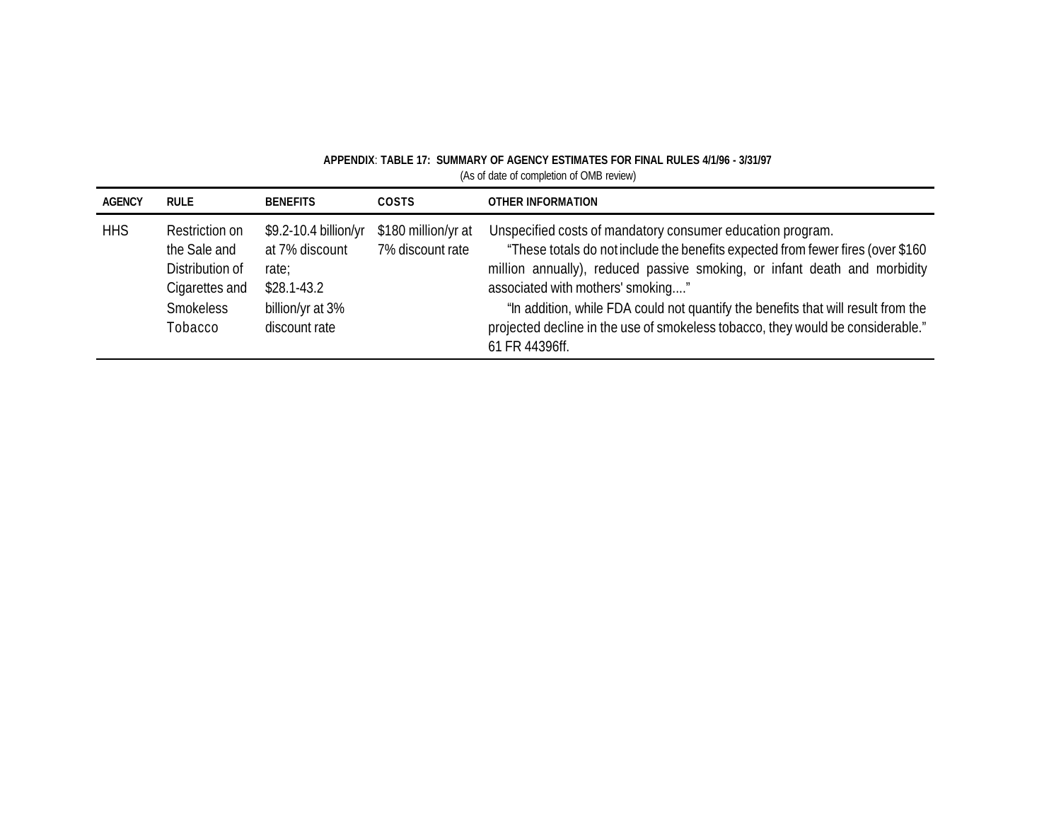| <b>AGENCY</b> | RULE                                                                                        | <b>BENEFITS</b>                                                                                         | <b>COSTS</b>                            | OTHER INFORMATION                                                                                                                                                                                                                                                                                                                                                                                                                                         |
|---------------|---------------------------------------------------------------------------------------------|---------------------------------------------------------------------------------------------------------|-----------------------------------------|-----------------------------------------------------------------------------------------------------------------------------------------------------------------------------------------------------------------------------------------------------------------------------------------------------------------------------------------------------------------------------------------------------------------------------------------------------------|
| <b>HHS</b>    | Restriction on<br>the Sale and<br>Distribution of<br>Cigarettes and<br>Smokeless<br>Tobacco | \$9.2-10.4 billion/yr<br>at 7% discount<br>rate:<br>$$28.1 - 43.2$<br>billion/yr at 3%<br>discount rate | \$180 million/yr at<br>7% discount rate | Unspecified costs of mandatory consumer education program.<br>"These totals do not include the benefits expected from fewer fires (over \$160<br>million annually), reduced passive smoking, or infant death and morbidity<br>associated with mothers' smoking"<br>"In addition, while FDA could not quantify the benefits that will result from the<br>projected decline in the use of smokeless tobacco, they would be considerable."<br>61 FR 44396ff. |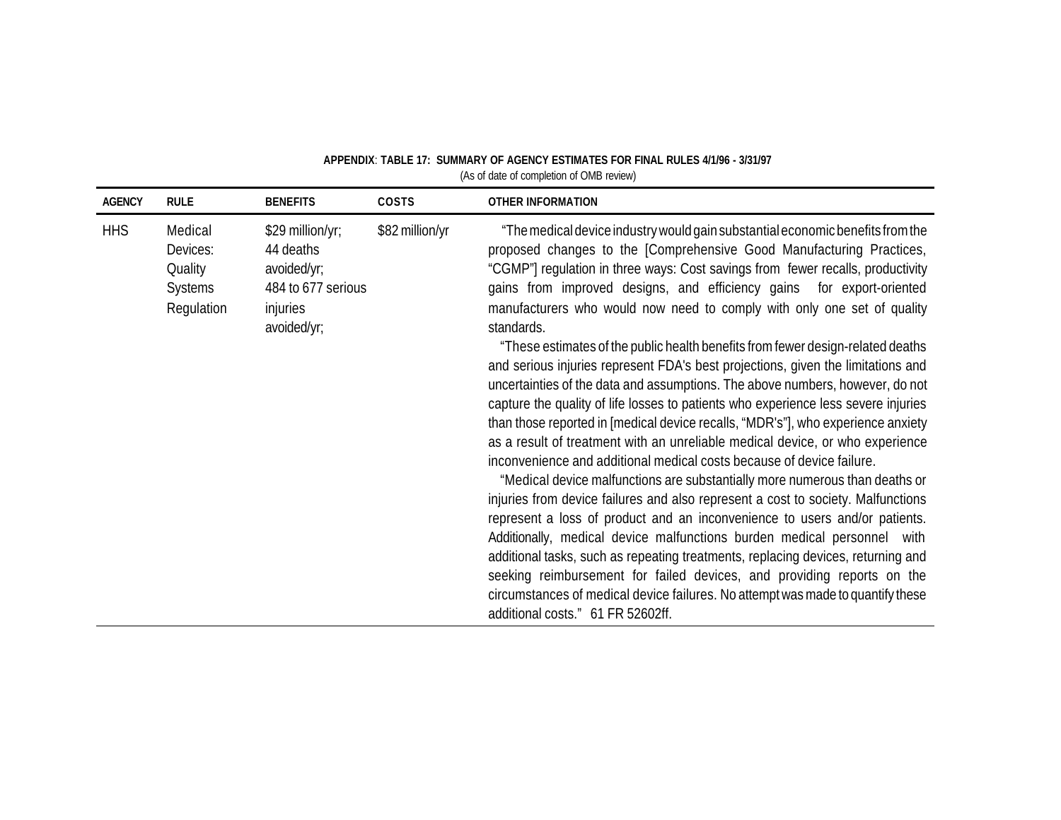| <b>AGENCY</b> | <b>RULE</b>                                                    | <b>BENEFITS</b>                                                                               | <b>COSTS</b>    | <b>OTHER INFORMATION</b>                                                                                                                                                                                                                                                                                                                                                                                                                                                                                                                                                                                                                                                                                                                                                                                                                                                                                                                                                                                                                                                                                                                                                                                                                                                                                                                                                                                                                                                                                                                                                                                                  |
|---------------|----------------------------------------------------------------|-----------------------------------------------------------------------------------------------|-----------------|---------------------------------------------------------------------------------------------------------------------------------------------------------------------------------------------------------------------------------------------------------------------------------------------------------------------------------------------------------------------------------------------------------------------------------------------------------------------------------------------------------------------------------------------------------------------------------------------------------------------------------------------------------------------------------------------------------------------------------------------------------------------------------------------------------------------------------------------------------------------------------------------------------------------------------------------------------------------------------------------------------------------------------------------------------------------------------------------------------------------------------------------------------------------------------------------------------------------------------------------------------------------------------------------------------------------------------------------------------------------------------------------------------------------------------------------------------------------------------------------------------------------------------------------------------------------------------------------------------------------------|
| <b>HHS</b>    | Medical<br>Devices:<br>Quality<br><b>Systems</b><br>Regulation | \$29 million/yr;<br>44 deaths<br>avoided/yr;<br>484 to 677 serious<br>injuries<br>avoided/yr; | \$82 million/yr | "The medical device industry would gain substantial economic benefits from the<br>proposed changes to the [Comprehensive Good Manufacturing Practices,<br>"CGMP"] regulation in three ways: Cost savings from fewer recalls, productivity<br>gains from improved designs, and efficiency gains for export-oriented<br>manufacturers who would now need to comply with only one set of quality<br>standards.<br>"These estimates of the public health benefits from fewer design-related deaths<br>and serious injuries represent FDA's best projections, given the limitations and<br>uncertainties of the data and assumptions. The above numbers, however, do not<br>capture the quality of life losses to patients who experience less severe injuries<br>than those reported in [medical device recalls, "MDR's"], who experience anxiety<br>as a result of treatment with an unreliable medical device, or who experience<br>inconvenience and additional medical costs because of device failure.<br>"Medical device malfunctions are substantially more numerous than deaths or<br>injuries from device failures and also represent a cost to society. Malfunctions<br>represent a loss of product and an inconvenience to users and/or patients.<br>Additionally, medical device malfunctions burden medical personnel with<br>additional tasks, such as repeating treatments, replacing devices, returning and<br>seeking reimbursement for failed devices, and providing reports on the<br>circumstances of medical device failures. No attempt was made to quantify these<br>additional costs." 61 FR 52602ff. |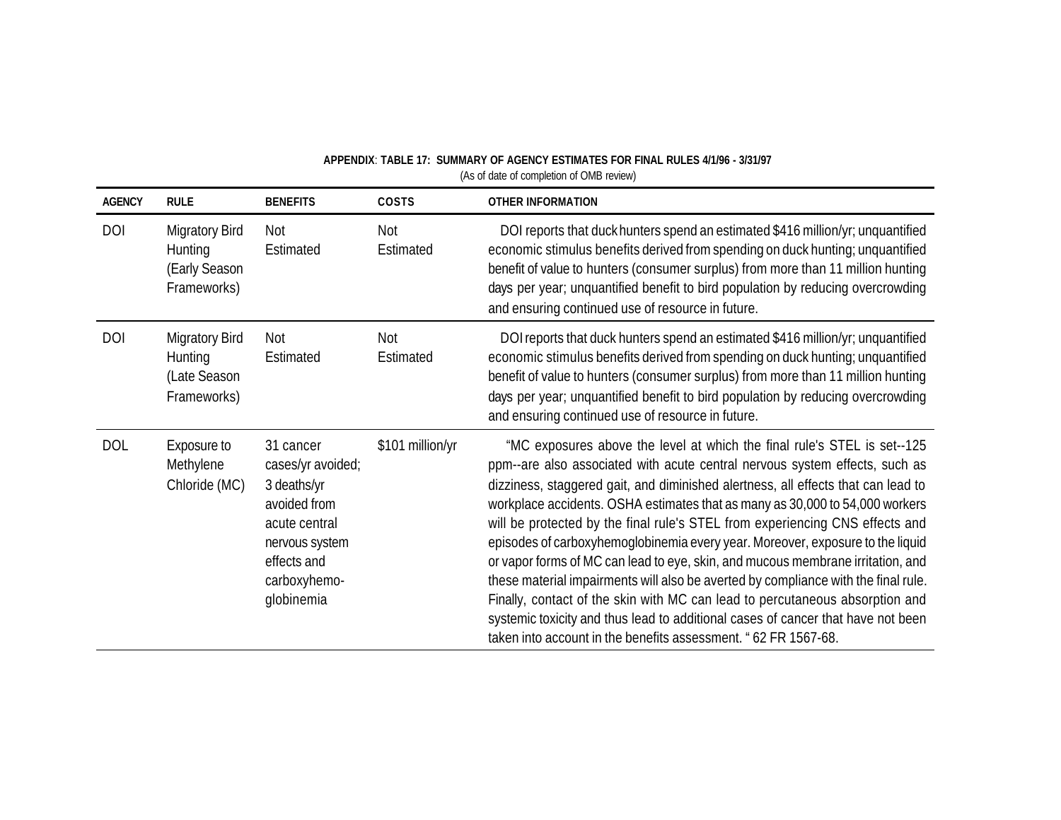| <b>AGENCY</b> | <b>RULE</b>                                                      | <b>BENEFITS</b>                                                                                                                               | <b>COSTS</b>     | <b>OTHER INFORMATION</b>                                                                                                                                                                                                                                                                                                                                                                                                                                                                                                                                                                                                                                                                                                                                                                                                                                                                                       |
|---------------|------------------------------------------------------------------|-----------------------------------------------------------------------------------------------------------------------------------------------|------------------|----------------------------------------------------------------------------------------------------------------------------------------------------------------------------------------------------------------------------------------------------------------------------------------------------------------------------------------------------------------------------------------------------------------------------------------------------------------------------------------------------------------------------------------------------------------------------------------------------------------------------------------------------------------------------------------------------------------------------------------------------------------------------------------------------------------------------------------------------------------------------------------------------------------|
| <b>DOI</b>    | <b>Migratory Bird</b><br>Hunting<br>(Early Season<br>Frameworks) | Not<br>Estimated                                                                                                                              | Not<br>Estimated | DOI reports that duck hunters spend an estimated \$416 million/yr; unquantified<br>economic stimulus benefits derived from spending on duck hunting; unquantified<br>benefit of value to hunters (consumer surplus) from more than 11 million hunting<br>days per year; unquantified benefit to bird population by reducing overcrowding<br>and ensuring continued use of resource in future.                                                                                                                                                                                                                                                                                                                                                                                                                                                                                                                  |
| <b>DOI</b>    | <b>Migratory Bird</b><br>Hunting<br>(Late Season<br>Frameworks)  | Not<br>Estimated                                                                                                                              | Not<br>Estimated | DOI reports that duck hunters spend an estimated \$416 million/yr; unquantified<br>economic stimulus benefits derived from spending on duck hunting; unquantified<br>benefit of value to hunters (consumer surplus) from more than 11 million hunting<br>days per year; unquantified benefit to bird population by reducing overcrowding<br>and ensuring continued use of resource in future.                                                                                                                                                                                                                                                                                                                                                                                                                                                                                                                  |
| <b>DOL</b>    | Exposure to<br>Methylene<br>Chloride (MC)                        | 31 cancer<br>cases/yr avoided;<br>3 deaths/yr<br>avoided from<br>acute central<br>nervous system<br>effects and<br>carboxyhemo-<br>globinemia | \$101 million/yr | "MC exposures above the level at which the final rule's STEL is set--125<br>ppm--are also associated with acute central nervous system effects, such as<br>dizziness, staggered gait, and diminished alertness, all effects that can lead to<br>workplace accidents. OSHA estimates that as many as 30,000 to 54,000 workers<br>will be protected by the final rule's STEL from experiencing CNS effects and<br>episodes of carboxyhemoglobinemia every year. Moreover, exposure to the liquid<br>or vapor forms of MC can lead to eye, skin, and mucous membrane irritation, and<br>these material impairments will also be averted by compliance with the final rule.<br>Finally, contact of the skin with MC can lead to percutaneous absorption and<br>systemic toxicity and thus lead to additional cases of cancer that have not been<br>taken into account in the benefits assessment. " 62 FR 1567-68. |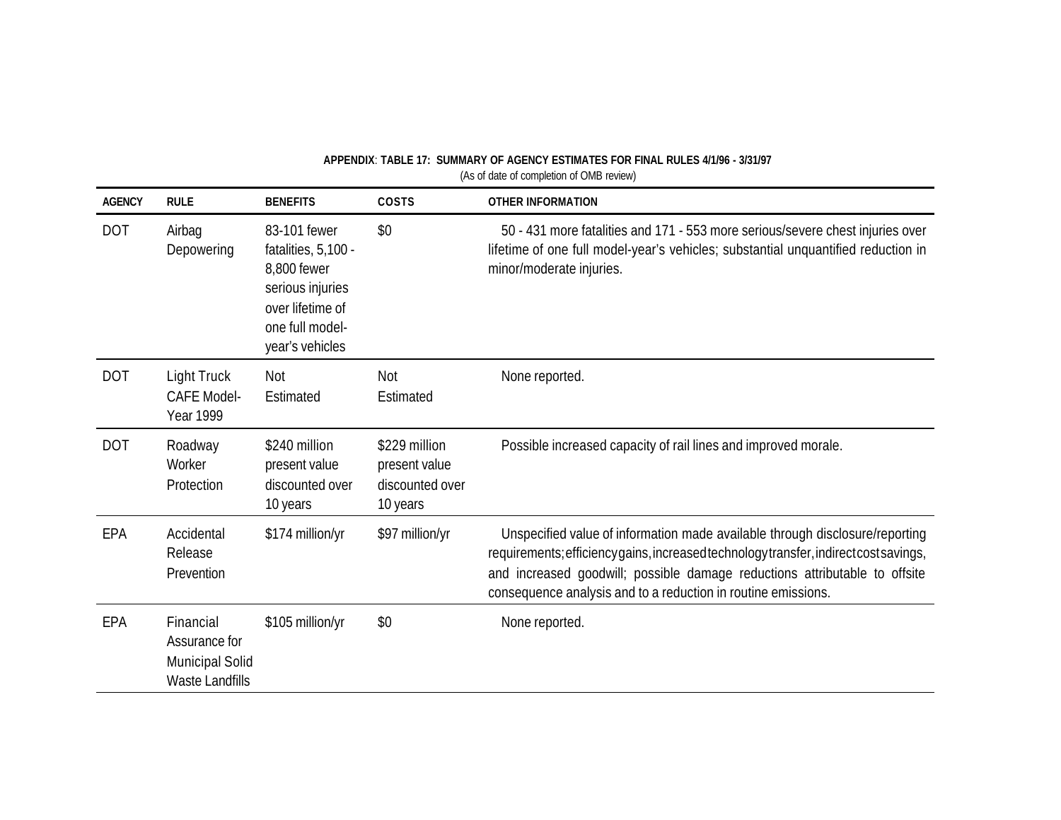| <b>AGENCY</b> | <b>RULE</b>                                                      | <b>BENEFITS</b>                                                                                                                  | COSTS                                                         | <b>OTHER INFORMATION</b>                                                                                                                                                                                                                                                                                             |
|---------------|------------------------------------------------------------------|----------------------------------------------------------------------------------------------------------------------------------|---------------------------------------------------------------|----------------------------------------------------------------------------------------------------------------------------------------------------------------------------------------------------------------------------------------------------------------------------------------------------------------------|
| <b>DOT</b>    | Airbag<br>Depowering                                             | 83-101 fewer<br>fatalities, 5,100 -<br>8,800 fewer<br>serious injuries<br>over lifetime of<br>one full model-<br>year's vehicles | \$0                                                           | 50 - 431 more fatalities and 171 - 553 more serious/severe chest injuries over<br>lifetime of one full model-year's vehicles; substantial unquantified reduction in<br>minor/moderate injuries.                                                                                                                      |
| <b>DOT</b>    | Light Truck<br><b>CAFE Model-</b><br><b>Year 1999</b>            | <b>Not</b><br>Estimated                                                                                                          | Not<br>Estimated                                              | None reported.                                                                                                                                                                                                                                                                                                       |
| <b>DOT</b>    | Roadway<br>Worker<br>Protection                                  | \$240 million<br>present value<br>discounted over<br>10 years                                                                    | \$229 million<br>present value<br>discounted over<br>10 years | Possible increased capacity of rail lines and improved morale.                                                                                                                                                                                                                                                       |
| EPA           | Accidental<br>Release<br>Prevention                              | \$174 million/yr                                                                                                                 | \$97 million/yr                                               | Unspecified value of information made available through disclosure/reporting<br>requirements; efficiency gains, increased technology transfer, indirect cost savings,<br>and increased goodwill; possible damage reductions attributable to offsite<br>consequence analysis and to a reduction in routine emissions. |
| EPA           | Financial<br>Assurance for<br>Municipal Solid<br>Waste Landfills | \$105 million/yr                                                                                                                 | \$0                                                           | None reported.                                                                                                                                                                                                                                                                                                       |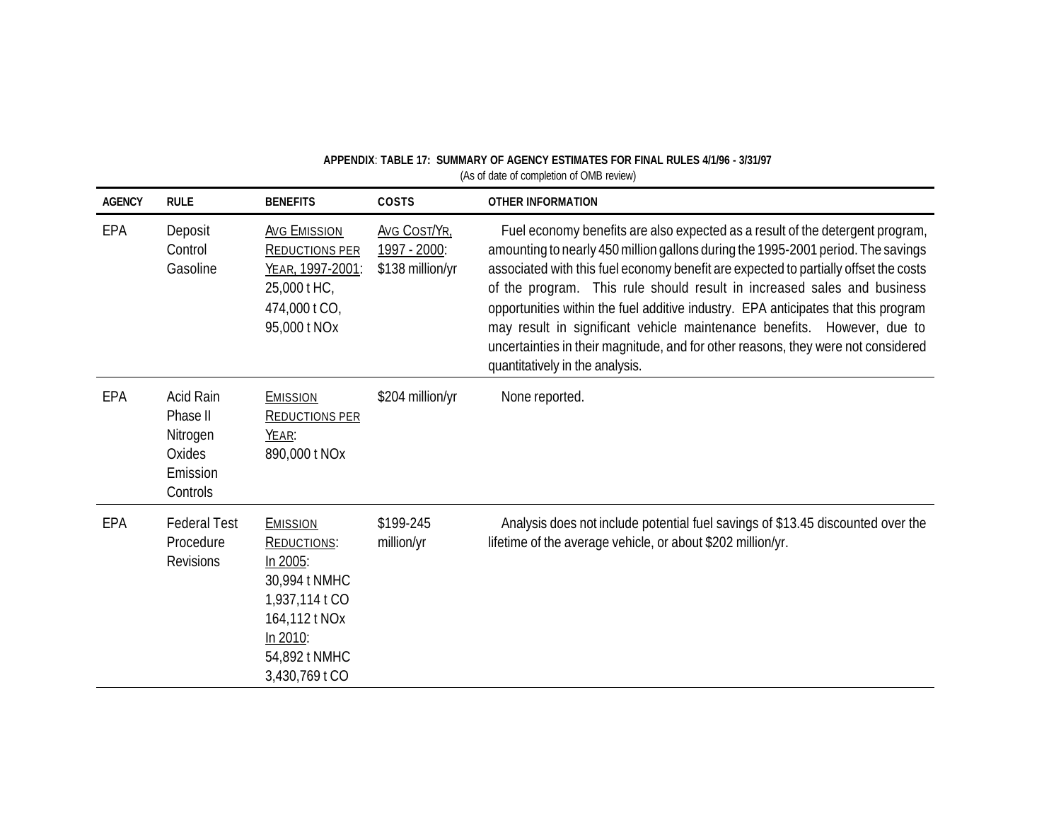| <b>AGENCY</b> | <b>RULE</b>                                                         | <b>BENEFITS</b>                                                                                                                               | COSTS                                            | <b>OTHER INFORMATION</b>                                                                                                                                                                                                                                                                                                                                                                                                                                                                                                                                                                                                      |
|---------------|---------------------------------------------------------------------|-----------------------------------------------------------------------------------------------------------------------------------------------|--------------------------------------------------|-------------------------------------------------------------------------------------------------------------------------------------------------------------------------------------------------------------------------------------------------------------------------------------------------------------------------------------------------------------------------------------------------------------------------------------------------------------------------------------------------------------------------------------------------------------------------------------------------------------------------------|
| EPA           | Deposit<br>Control<br>Gasoline                                      | <b>AVG EMISSION</b><br><b>REDUCTIONS PER</b><br>YEAR, 1997-2001:<br>25,000 t HC,<br>474,000 t CO,<br>95,000 t NOx                             | Avg Cost/Yr.<br>1997 - 2000:<br>\$138 million/yr | Fuel economy benefits are also expected as a result of the detergent program,<br>amounting to nearly 450 million gallons during the 1995-2001 period. The savings<br>associated with this fuel economy benefit are expected to partially offset the costs<br>of the program. This rule should result in increased sales and business<br>opportunities within the fuel additive industry. EPA anticipates that this program<br>may result in significant vehicle maintenance benefits. However, due to<br>uncertainties in their magnitude, and for other reasons, they were not considered<br>quantitatively in the analysis. |
| EPA           | Acid Rain<br>Phase II<br>Nitrogen<br>Oxides<br>Emission<br>Controls | <b>EMISSION</b><br><b>REDUCTIONS PER</b><br>YEAR:<br>890,000 t NOx                                                                            | \$204 million/yr                                 | None reported.                                                                                                                                                                                                                                                                                                                                                                                                                                                                                                                                                                                                                |
| EPA           | <b>Federal Test</b><br>Procedure<br><b>Revisions</b>                | <b>EMISSION</b><br>REDUCTIONS:<br>In 2005:<br>30,994 t NMHC<br>1,937,114 t CO<br>164,112 t NOx<br>In 2010:<br>54,892 t NMHC<br>3,430,769 t CO | \$199-245<br>million/yr                          | Analysis does not include potential fuel savings of \$13.45 discounted over the<br>lifetime of the average vehicle, or about \$202 million/yr.                                                                                                                                                                                                                                                                                                                                                                                                                                                                                |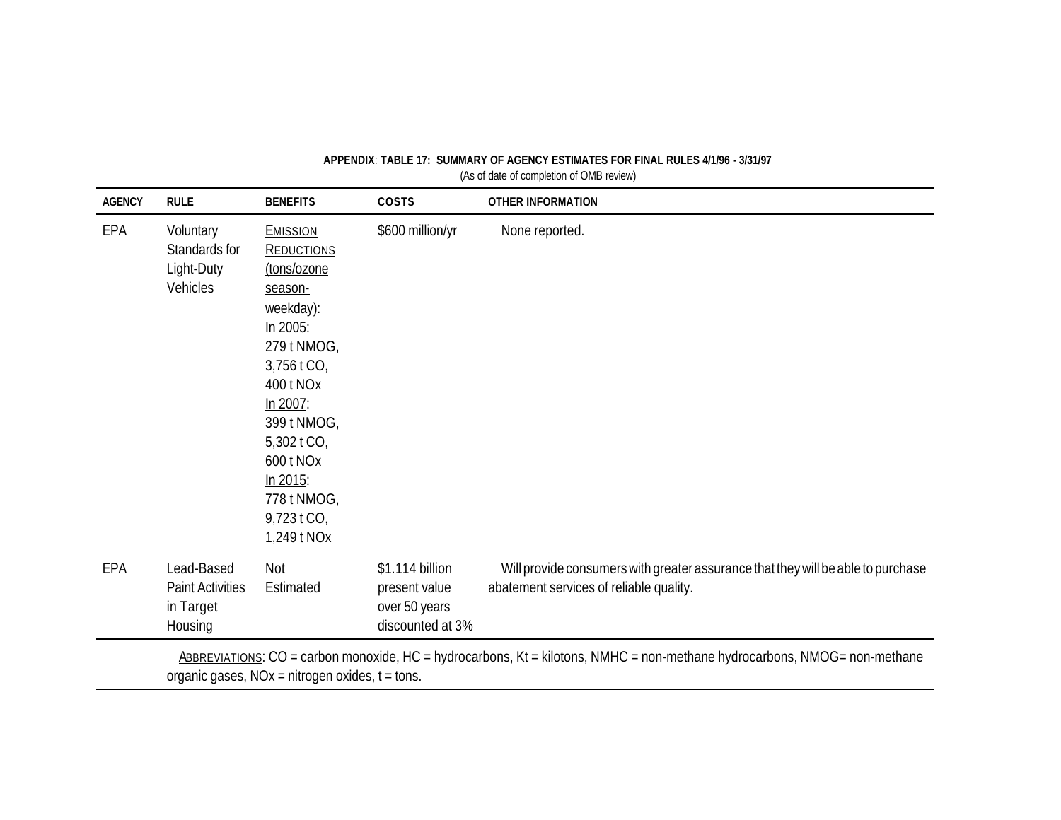| <b>AGENCY</b> | <b>RULE</b>                                                                                                                                                                  | <b>BENEFITS</b>                                                                                                                                                                                                                                    | COSTS                                                                 | <b>OTHER INFORMATION</b>                                                                                                    |  |
|---------------|------------------------------------------------------------------------------------------------------------------------------------------------------------------------------|----------------------------------------------------------------------------------------------------------------------------------------------------------------------------------------------------------------------------------------------------|-----------------------------------------------------------------------|-----------------------------------------------------------------------------------------------------------------------------|--|
| EPA           | Voluntary<br>Standards for<br>Light-Duty<br>Vehicles                                                                                                                         | <b>EMISSION</b><br><b>REDUCTIONS</b><br>(tons/ozone<br>season-<br>weekday):<br>In 2005:<br>279 t NMOG,<br>3,756 t CO,<br>400 t NOx<br>In 2007:<br>399 t NMOG,<br>5,302 t CO,<br>600 t NOx<br>In 2015:<br>778 t NMOG,<br>9,723 t CO,<br>1,249 t NOx | \$600 million/yr                                                      | None reported.                                                                                                              |  |
| EPA           | Lead-Based<br><b>Paint Activities</b><br>in Target<br>Housing                                                                                                                | Not<br>Estimated                                                                                                                                                                                                                                   | \$1.114 billion<br>present value<br>over 50 years<br>discounted at 3% | Will provide consumers with greater assurance that they will be able to purchase<br>abatement services of reliable quality. |  |
|               | ABBREVIATIONS: CO = carbon monoxide, HC = hydrocarbons, Kt = kilotons, NMHC = non-methane hydrocarbons, NMOG= non-methane<br>organic gases, NOx = nitrogen oxides, t = tons. |                                                                                                                                                                                                                                                    |                                                                       |                                                                                                                             |  |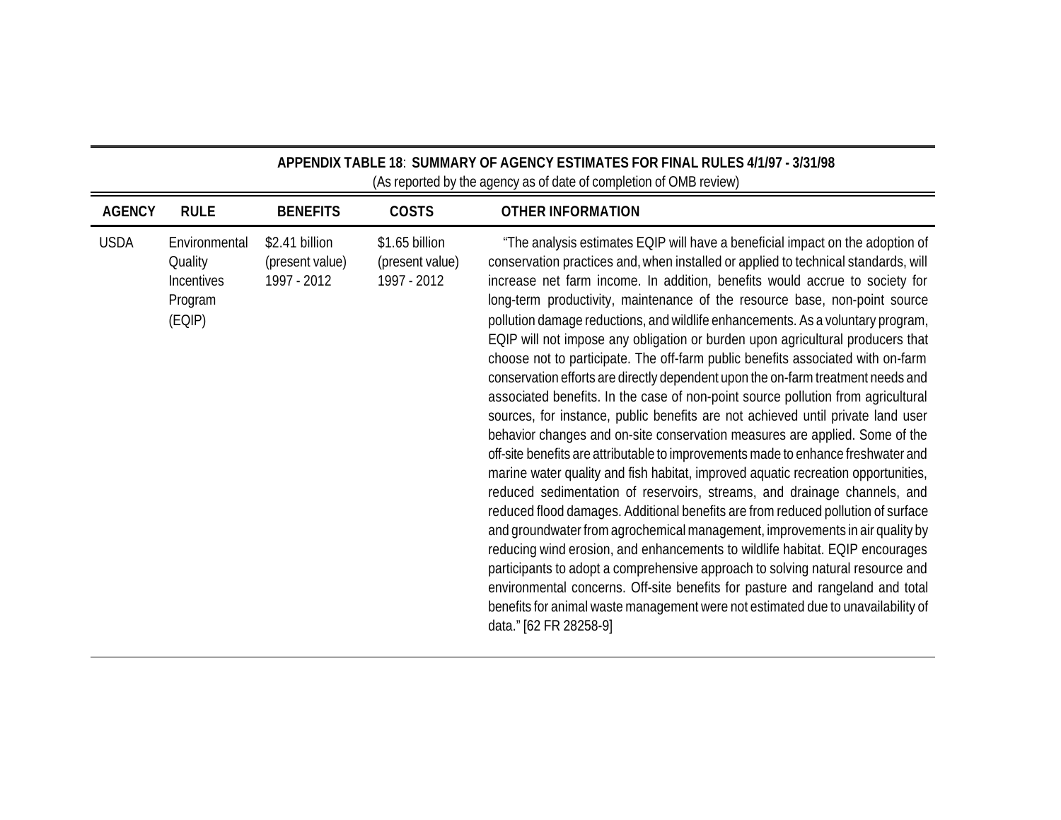|               | APPENDIX TABLE 18: SUMMARY OF AGENCY ESTIMATES FOR FINAL RULES 4/1/97 - 3/31/98<br>(As reported by the agency as of date of completion of OMB review) |                                                  |                                                  |                                                                                                                                                                                                                                                                                                                                                                                                                                                                                                                                                                                                                                                                                                                                                                                                                                                                                                                                                                                                                                                                                                                                                                                                                                                                                                                                                                                                                                                                                                                                                                                                                                                                                                                               |  |  |
|---------------|-------------------------------------------------------------------------------------------------------------------------------------------------------|--------------------------------------------------|--------------------------------------------------|-------------------------------------------------------------------------------------------------------------------------------------------------------------------------------------------------------------------------------------------------------------------------------------------------------------------------------------------------------------------------------------------------------------------------------------------------------------------------------------------------------------------------------------------------------------------------------------------------------------------------------------------------------------------------------------------------------------------------------------------------------------------------------------------------------------------------------------------------------------------------------------------------------------------------------------------------------------------------------------------------------------------------------------------------------------------------------------------------------------------------------------------------------------------------------------------------------------------------------------------------------------------------------------------------------------------------------------------------------------------------------------------------------------------------------------------------------------------------------------------------------------------------------------------------------------------------------------------------------------------------------------------------------------------------------------------------------------------------------|--|--|
| <b>AGENCY</b> | <b>RULE</b>                                                                                                                                           | <b>BENEFITS</b>                                  | <b>COSTS</b>                                     | <b>OTHER INFORMATION</b>                                                                                                                                                                                                                                                                                                                                                                                                                                                                                                                                                                                                                                                                                                                                                                                                                                                                                                                                                                                                                                                                                                                                                                                                                                                                                                                                                                                                                                                                                                                                                                                                                                                                                                      |  |  |
| <b>USDA</b>   | Environmental<br>Quality<br>Incentives<br>Program<br>(EQIP)                                                                                           | \$2.41 billion<br>(present value)<br>1997 - 2012 | \$1.65 billion<br>(present value)<br>1997 - 2012 | "The analysis estimates EQIP will have a beneficial impact on the adoption of<br>conservation practices and, when installed or applied to technical standards, will<br>increase net farm income. In addition, benefits would accrue to society for<br>long-term productivity, maintenance of the resource base, non-point source<br>pollution damage reductions, and wildlife enhancements. As a voluntary program,<br>EQIP will not impose any obligation or burden upon agricultural producers that<br>choose not to participate. The off-farm public benefits associated with on-farm<br>conservation efforts are directly dependent upon the on-farm treatment needs and<br>associated benefits. In the case of non-point source pollution from agricultural<br>sources, for instance, public benefits are not achieved until private land user<br>behavior changes and on-site conservation measures are applied. Some of the<br>off-site benefits are attributable to improvements made to enhance freshwater and<br>marine water quality and fish habitat, improved aquatic recreation opportunities,<br>reduced sedimentation of reservoirs, streams, and drainage channels, and<br>reduced flood damages. Additional benefits are from reduced pollution of surface<br>and groundwater from agrochemical management, improvements in air quality by<br>reducing wind erosion, and enhancements to wildlife habitat. EQIP encourages<br>participants to adopt a comprehensive approach to solving natural resource and<br>environmental concerns. Off-site benefits for pasture and rangeland and total<br>benefits for animal waste management were not estimated due to unavailability of<br>data." [62 FR 28258-9] |  |  |

Ξ,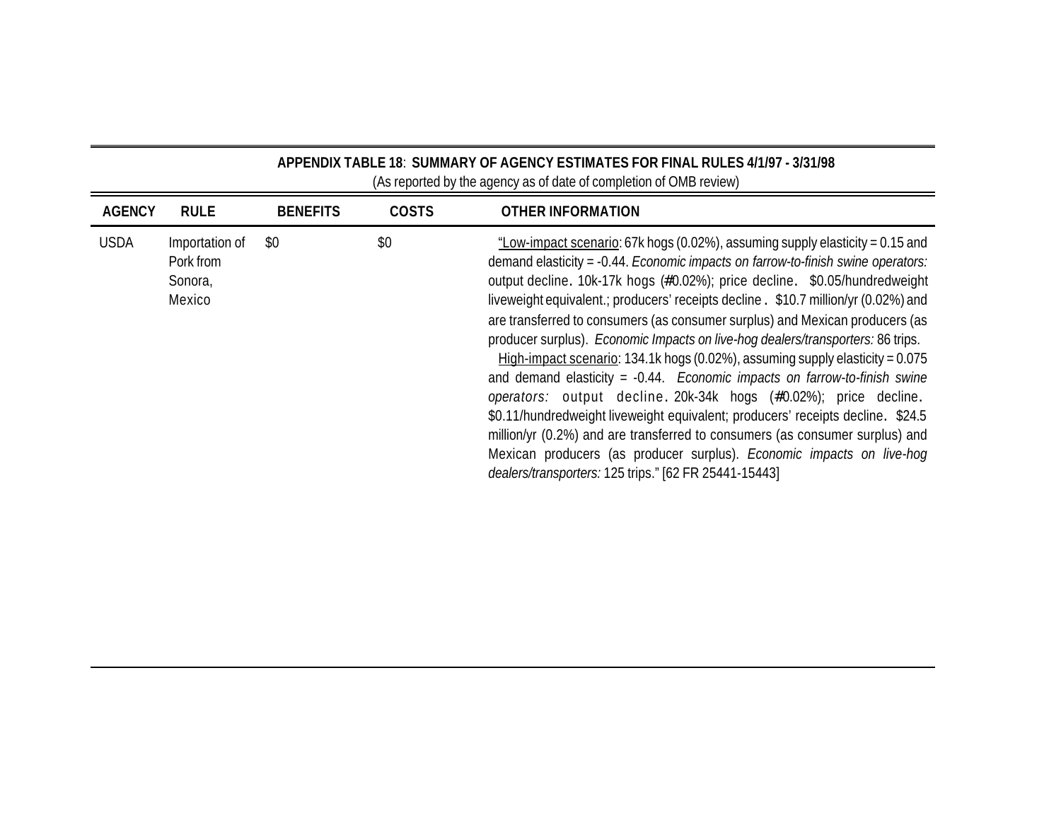|               | APPENDIX TABLE 18: SUMMARY OF AGENCY ESTIMATES FOR FINAL RULES 4/1/97 - 3/31/98<br>(As reported by the agency as of date of completion of OMB review) |                 |              |                                                                                                                                                                                                                                                                                                                                                                                                                                                                                                                                                                                                                                                                                                                                                                                                                                                                                                                                                                                                                                                        |  |  |  |
|---------------|-------------------------------------------------------------------------------------------------------------------------------------------------------|-----------------|--------------|--------------------------------------------------------------------------------------------------------------------------------------------------------------------------------------------------------------------------------------------------------------------------------------------------------------------------------------------------------------------------------------------------------------------------------------------------------------------------------------------------------------------------------------------------------------------------------------------------------------------------------------------------------------------------------------------------------------------------------------------------------------------------------------------------------------------------------------------------------------------------------------------------------------------------------------------------------------------------------------------------------------------------------------------------------|--|--|--|
| <b>AGENCY</b> | <b>RULE</b>                                                                                                                                           | <b>BENEFITS</b> | <b>COSTS</b> | OTHER INFORMATION                                                                                                                                                                                                                                                                                                                                                                                                                                                                                                                                                                                                                                                                                                                                                                                                                                                                                                                                                                                                                                      |  |  |  |
| <b>USDA</b>   | Importation of<br>Pork from<br>Sonora,<br>Mexico                                                                                                      | \$0             | \$0          | "Low-impact scenario: 67k hogs (0.02%), assuming supply elasticity = 0.15 and<br>demand elasticity = -0.44. Economic impacts on farrow-to-finish swine operators:<br>output decline. 10k-17k hogs (#0.02%); price decline. \$0.05/hundredweight<br>liveweight equivalent .; producers' receipts decline . \$10.7 million/yr (0.02%) and<br>are transferred to consumers (as consumer surplus) and Mexican producers (as<br>producer surplus). Economic Impacts on live-hog dealers/transporters: 86 trips.<br>High-impact scenario: 134.1k hogs (0.02%), assuming supply elasticity = $0.075$<br>and demand elasticity = $-0.44$ . Economic impacts on farrow-to-finish swine<br>operators: output decline. 20k-34k hogs (#0.02%); price decline.<br>\$0.11/hundredweight liveweight equivalent; producers' receipts decline. \$24.5<br>million/yr (0.2%) and are transferred to consumers (as consumer surplus) and<br>Mexican producers (as producer surplus). Economic impacts on live-hog<br>dealers/transporters: 125 trips." [62 FR 25441-15443] |  |  |  |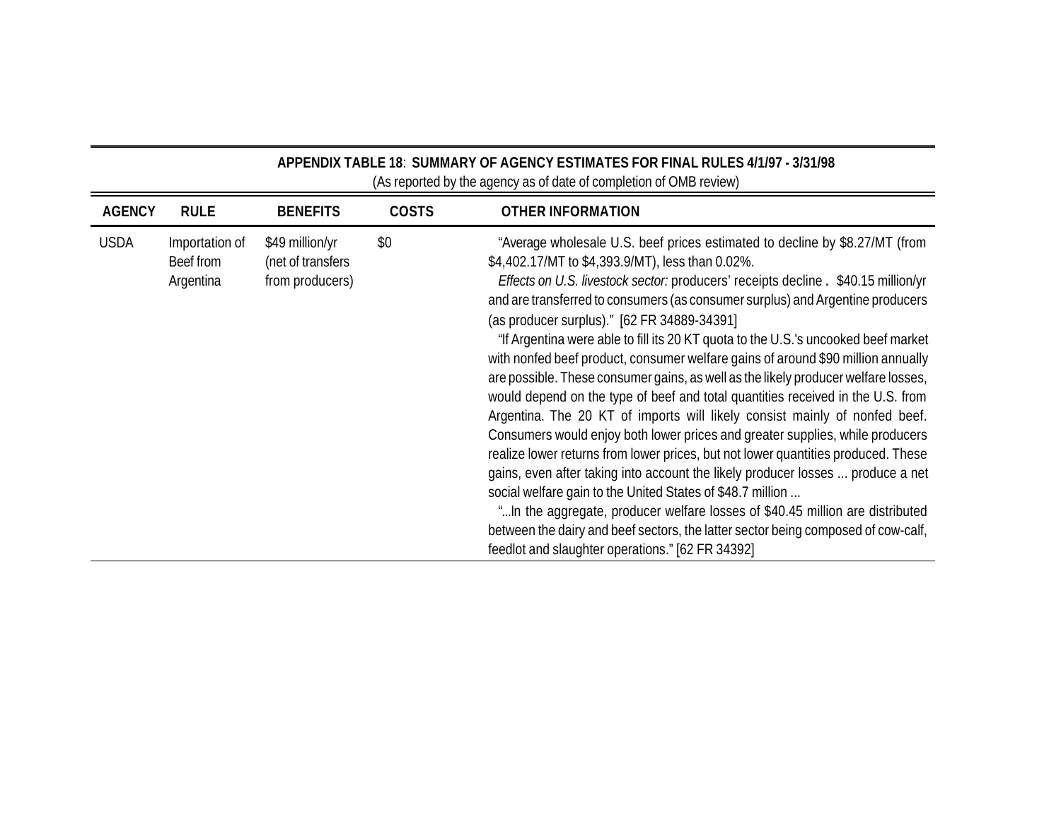| APPENDIX TABLE 18: SUMMARY OF AGENCY ESTIMATES FOR FINAL RULES 4/1/97 - 3/31/98<br>(As reported by the agency as of date of completion of OMB review) |                                          |                                                         |              |                                                                                                                                                                                                                                                                                                                                                                                                                                                                                                                                                                                                                                                                                                                                                                                                                                                                                                                                                                                                                                                                                                                                                                                                                                                                                                                                           |  |
|-------------------------------------------------------------------------------------------------------------------------------------------------------|------------------------------------------|---------------------------------------------------------|--------------|-------------------------------------------------------------------------------------------------------------------------------------------------------------------------------------------------------------------------------------------------------------------------------------------------------------------------------------------------------------------------------------------------------------------------------------------------------------------------------------------------------------------------------------------------------------------------------------------------------------------------------------------------------------------------------------------------------------------------------------------------------------------------------------------------------------------------------------------------------------------------------------------------------------------------------------------------------------------------------------------------------------------------------------------------------------------------------------------------------------------------------------------------------------------------------------------------------------------------------------------------------------------------------------------------------------------------------------------|--|
| <b>AGENCY</b>                                                                                                                                         | <b>RULE</b>                              | <b>BENEFITS</b>                                         | <b>COSTS</b> | <b>OTHER INFORMATION</b>                                                                                                                                                                                                                                                                                                                                                                                                                                                                                                                                                                                                                                                                                                                                                                                                                                                                                                                                                                                                                                                                                                                                                                                                                                                                                                                  |  |
| <b>USDA</b>                                                                                                                                           | Importation of<br>Beef from<br>Argentina | \$49 million/yr<br>(net of transfers<br>from producers) | \$0          | "Average wholesale U.S. beef prices estimated to decline by \$8.27/MT (from<br>\$4,402.17/MT to \$4,393.9/MT), less than 0.02%.<br>Effects on U.S. livestock sector: producers' receipts decline . \$40.15 million/yr<br>and are transferred to consumers (as consumer surplus) and Argentine producers<br>(as producer surplus)." [62 FR 34889-34391]<br>"If Argentina were able to fill its 20 KT quota to the U.S.'s uncooked beef market<br>with nonfed beef product, consumer welfare gains of around \$90 million annually<br>are possible. These consumer gains, as well as the likely producer welfare losses,<br>would depend on the type of beef and total quantities received in the U.S. from<br>Argentina. The 20 KT of imports will likely consist mainly of nonfed beef.<br>Consumers would enjoy both lower prices and greater supplies, while producers<br>realize lower returns from lower prices, but not lower quantities produced. These<br>gains, even after taking into account the likely producer losses  produce a net<br>social welfare gain to the United States of \$48.7 million<br>" In the aggregate, producer welfare losses of \$40.45 million are distributed<br>between the dairy and beef sectors, the latter sector being composed of cow-calf,<br>feedlot and slaughter operations." [62 FR 34392] |  |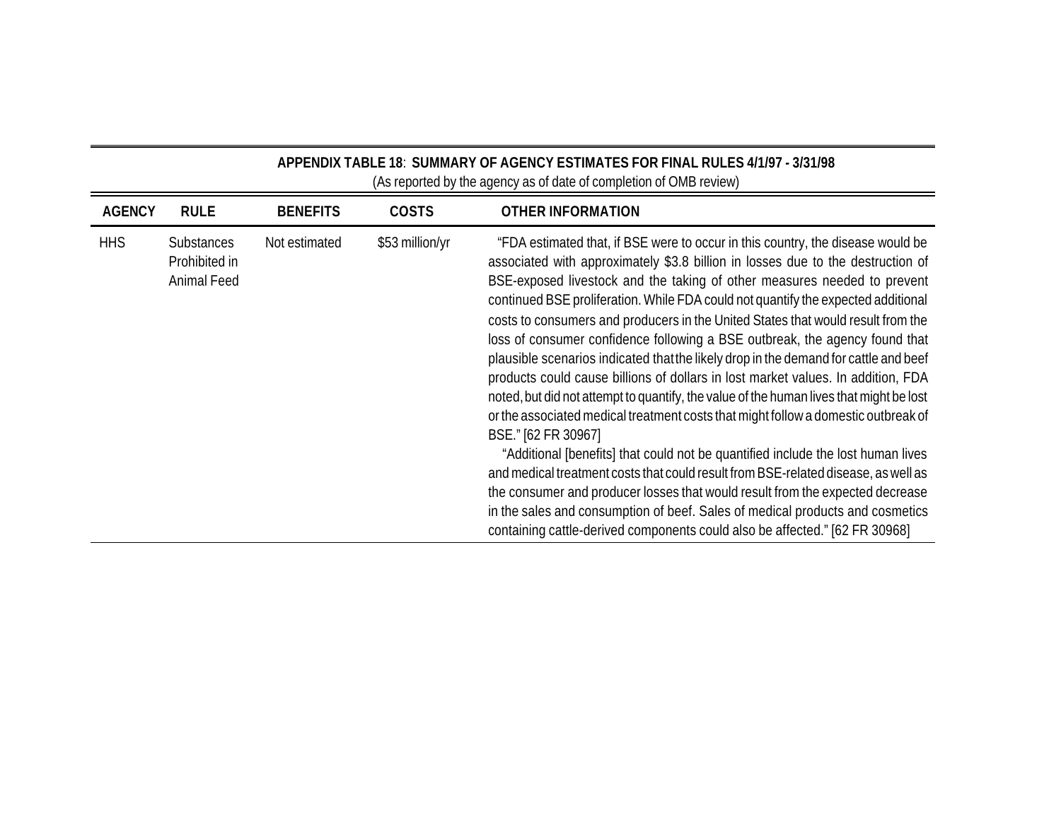| APPENDIX TABLE 18: SUMMARY OF AGENCY ESTIMATES FOR FINAL RULES 4/1/97 - 3/31/98<br>(As reported by the agency as of date of completion of OMB review) |                                                   |                 |                 |                                                                                                                                                                                                                                                                                                                                                                                                                                                                                                                                                                                                                                                                                                                                                                                                                                                                                                                                                                                                                                                                                                                                                                                                                                                                                                                       |  |
|-------------------------------------------------------------------------------------------------------------------------------------------------------|---------------------------------------------------|-----------------|-----------------|-----------------------------------------------------------------------------------------------------------------------------------------------------------------------------------------------------------------------------------------------------------------------------------------------------------------------------------------------------------------------------------------------------------------------------------------------------------------------------------------------------------------------------------------------------------------------------------------------------------------------------------------------------------------------------------------------------------------------------------------------------------------------------------------------------------------------------------------------------------------------------------------------------------------------------------------------------------------------------------------------------------------------------------------------------------------------------------------------------------------------------------------------------------------------------------------------------------------------------------------------------------------------------------------------------------------------|--|
| <b>AGENCY</b>                                                                                                                                         | <b>RULE</b>                                       | <b>BENEFITS</b> | <b>COSTS</b>    | <b>OTHER INFORMATION</b>                                                                                                                                                                                                                                                                                                                                                                                                                                                                                                                                                                                                                                                                                                                                                                                                                                                                                                                                                                                                                                                                                                                                                                                                                                                                                              |  |
| <b>HHS</b>                                                                                                                                            | <b>Substances</b><br>Prohibited in<br>Animal Feed | Not estimated   | \$53 million/yr | "FDA estimated that, if BSE were to occur in this country, the disease would be<br>associated with approximately \$3.8 billion in losses due to the destruction of<br>BSE-exposed livestock and the taking of other measures needed to prevent<br>continued BSE proliferation. While FDA could not quantify the expected additional<br>costs to consumers and producers in the United States that would result from the<br>loss of consumer confidence following a BSE outbreak, the agency found that<br>plausible scenarios indicated that the likely drop in the demand for cattle and beef<br>products could cause billions of dollars in lost market values. In addition, FDA<br>noted, but did not attempt to quantify, the value of the human lives that might be lost<br>or the associated medical treatment costs that might follow a domestic outbreak of<br>BSE." [62 FR 30967]<br>"Additional [benefits] that could not be quantified include the lost human lives<br>and medical treatment costs that could result from BSE-related disease, as well as<br>the consumer and producer losses that would result from the expected decrease<br>in the sales and consumption of beef. Sales of medical products and cosmetics<br>containing cattle-derived components could also be affected." [62 FR 30968] |  |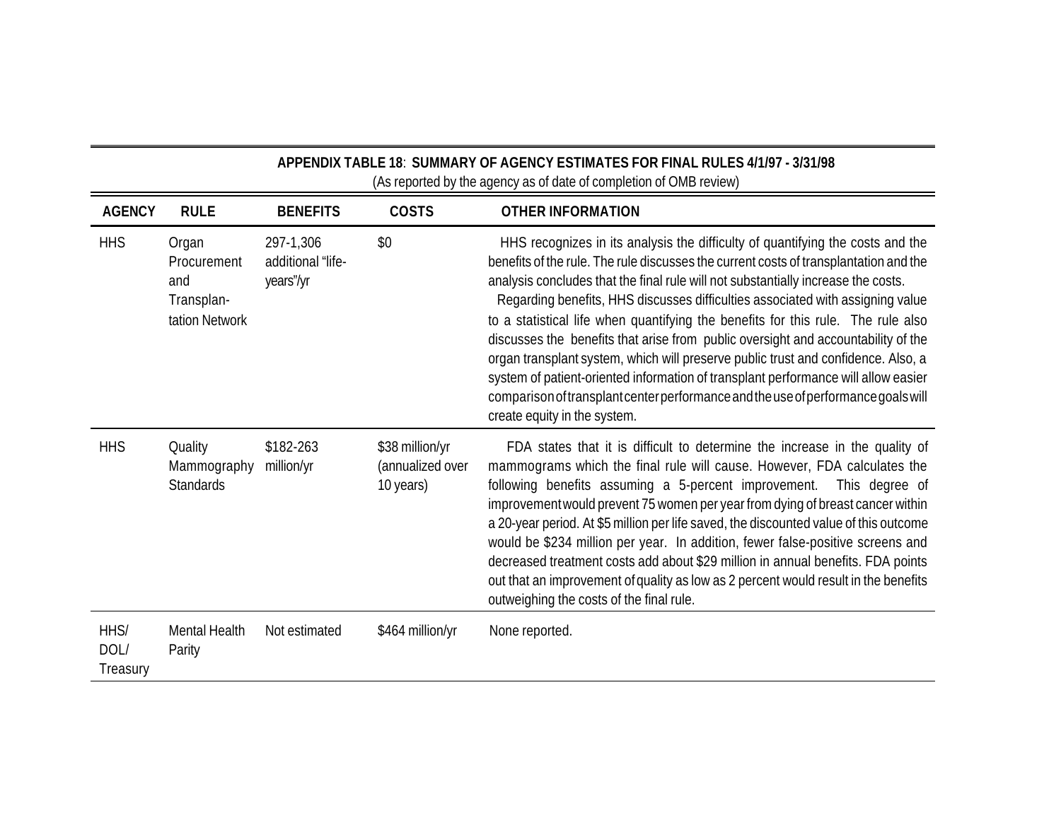|                          | APPENDIX TABLE 18: SUMMARY OF AGENCY ESTIMATES FOR FINAL RULES 4/1/97 - 3/31/98<br>(As reported by the agency as of date of completion of OMB review) |                                             |                                                  |                                                                                                                                                                                                                                                                                                                                                                                                                                                                                                                                                                                                                                                                                                                                                                                                                         |  |
|--------------------------|-------------------------------------------------------------------------------------------------------------------------------------------------------|---------------------------------------------|--------------------------------------------------|-------------------------------------------------------------------------------------------------------------------------------------------------------------------------------------------------------------------------------------------------------------------------------------------------------------------------------------------------------------------------------------------------------------------------------------------------------------------------------------------------------------------------------------------------------------------------------------------------------------------------------------------------------------------------------------------------------------------------------------------------------------------------------------------------------------------------|--|
| <b>AGENCY</b>            | <b>RULE</b>                                                                                                                                           | <b>BENEFITS</b>                             | <b>COSTS</b>                                     | <b>OTHER INFORMATION</b>                                                                                                                                                                                                                                                                                                                                                                                                                                                                                                                                                                                                                                                                                                                                                                                                |  |
| <b>HHS</b>               | Organ<br>Procurement<br>and<br>Transplan-<br>tation Network                                                                                           | 297-1,306<br>additional "life-<br>years"/yr | \$0                                              | HHS recognizes in its analysis the difficulty of quantifying the costs and the<br>benefits of the rule. The rule discusses the current costs of transplantation and the<br>analysis concludes that the final rule will not substantially increase the costs.<br>Regarding benefits, HHS discusses difficulties associated with assigning value<br>to a statistical life when quantifying the benefits for this rule. The rule also<br>discusses the benefits that arise from public oversight and accountability of the<br>organ transplant system, which will preserve public trust and confidence. Also, a<br>system of patient-oriented information of transplant performance will allow easier<br>comparison of transplant center performance and the use of performance goals will<br>create equity in the system. |  |
| <b>HHS</b>               | Quality<br>Mammography<br><b>Standards</b>                                                                                                            | \$182-263<br>million/yr                     | \$38 million/yr<br>(annualized over<br>10 years) | FDA states that it is difficult to determine the increase in the quality of<br>mammograms which the final rule will cause. However, FDA calculates the<br>following benefits assuming a 5-percent improvement. This degree of<br>improvement would prevent 75 women per year from dying of breast cancer within<br>a 20-year period. At \$5 million per life saved, the discounted value of this outcome<br>would be \$234 million per year. In addition, fewer false-positive screens and<br>decreased treatment costs add about \$29 million in annual benefits. FDA points<br>out that an improvement of quality as low as 2 percent would result in the benefits<br>outweighing the costs of the final rule.                                                                                                        |  |
| HHS/<br>DOL/<br>Treasury | <b>Mental Health</b><br>Parity                                                                                                                        | Not estimated                               | \$464 million/yr                                 | None reported.                                                                                                                                                                                                                                                                                                                                                                                                                                                                                                                                                                                                                                                                                                                                                                                                          |  |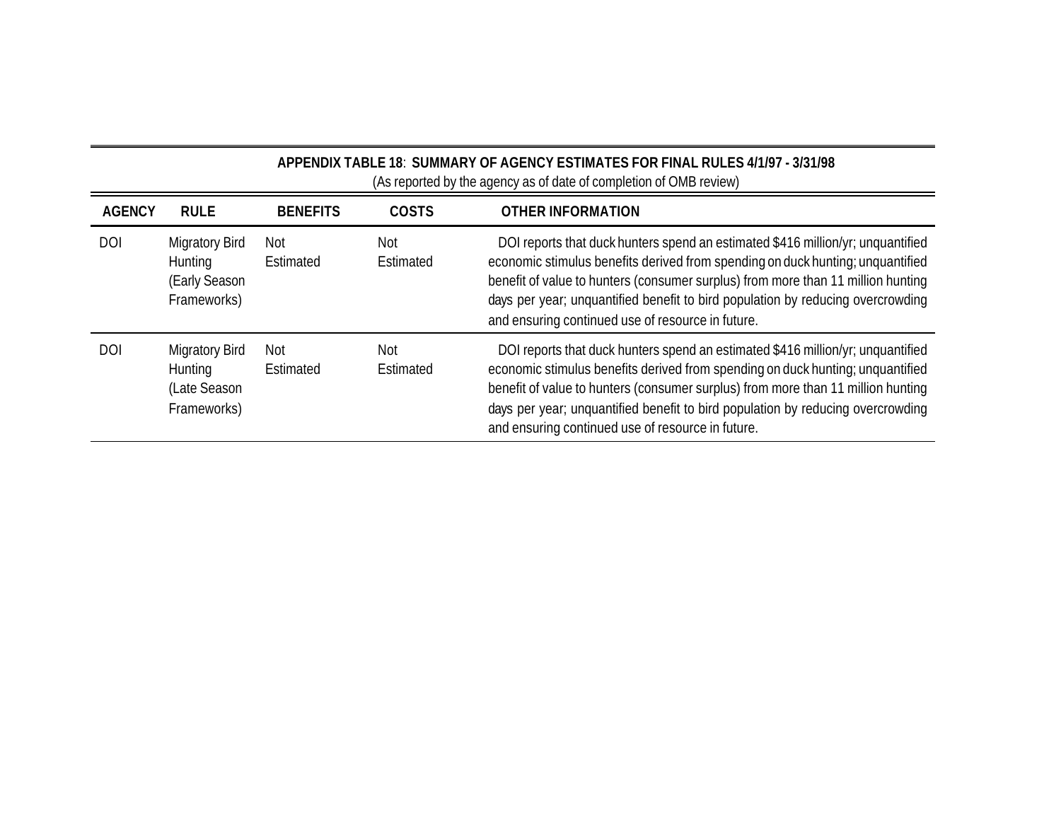|               | APPENDIX TABLE 18: SUMMARY OF AGENCY ESTIMATES FOR FINAL RULES 4/1/97 - 3/31/98<br>(As reported by the agency as of date of completion of OMB review) |                  |                  |                                                                                                                                                                                                                                                                                                                                                                                               |  |  |
|---------------|-------------------------------------------------------------------------------------------------------------------------------------------------------|------------------|------------------|-----------------------------------------------------------------------------------------------------------------------------------------------------------------------------------------------------------------------------------------------------------------------------------------------------------------------------------------------------------------------------------------------|--|--|
| <b>AGENCY</b> | <b>RULE</b>                                                                                                                                           | <b>BENEFITS</b>  | <b>COSTS</b>     | <b>OTHER INFORMATION</b>                                                                                                                                                                                                                                                                                                                                                                      |  |  |
| <b>DOI</b>    | <b>Migratory Bird</b><br>Hunting<br>(Early Season<br>Frameworks)                                                                                      | Not<br>Estimated | Not<br>Estimated | DOI reports that duck hunters spend an estimated \$416 million/yr; unquantified<br>economic stimulus benefits derived from spending on duck hunting; unquantified<br>benefit of value to hunters (consumer surplus) from more than 11 million hunting<br>days per year; unquantified benefit to bird population by reducing overcrowding<br>and ensuring continued use of resource in future. |  |  |
| <b>DOI</b>    | <b>Migratory Bird</b><br>Hunting<br>(Late Season<br>Frameworks)                                                                                       | Not<br>Estimated | Not<br>Estimated | DOI reports that duck hunters spend an estimated \$416 million/yr; unquantified<br>economic stimulus benefits derived from spending on duck hunting; unquantified<br>benefit of value to hunters (consumer surplus) from more than 11 million hunting<br>days per year; unquantified benefit to bird population by reducing overcrowding<br>and ensuring continued use of resource in future. |  |  |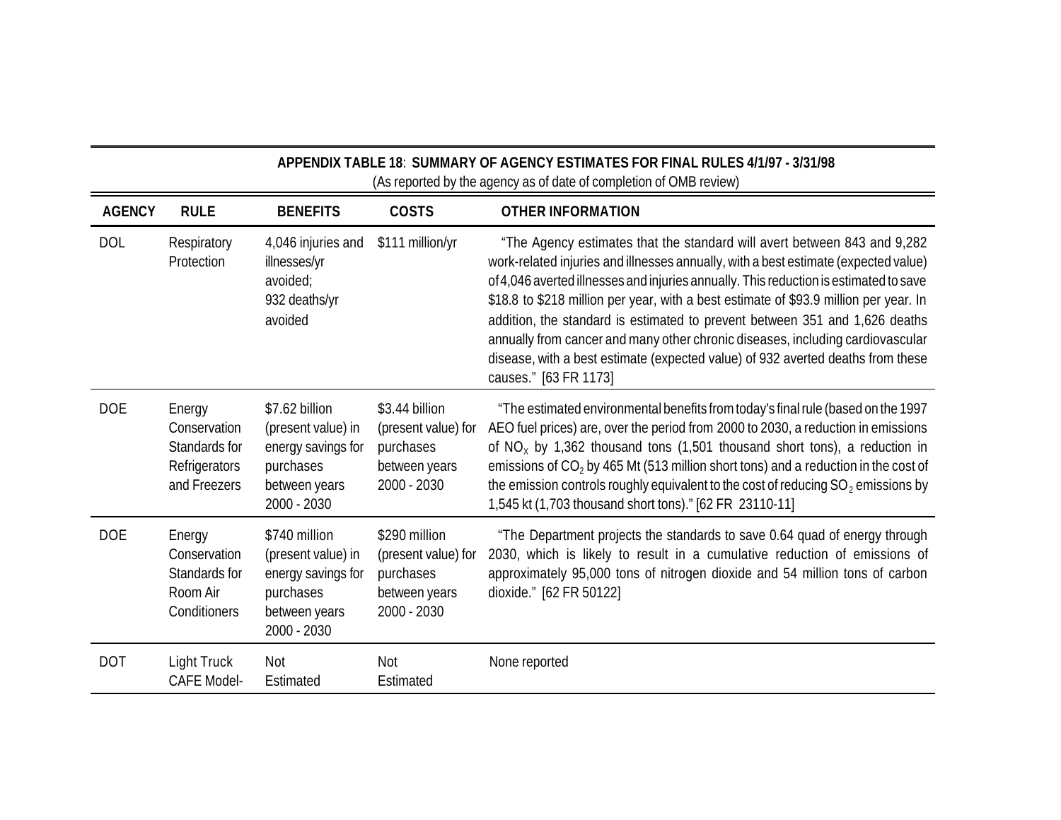| APPENDIX TABLE 18: SUMMARY OF AGENCY ESTIMATES FOR FINAL RULES 4/1/97 - 3/31/98<br>(As reported by the agency as of date of completion of OMB review) |                                                                          |                                                                                                         |                                                                                    |                                                                                                                                                                                                                                                                                                                                                                                                                                                                                                                                                                                                                                |  |
|-------------------------------------------------------------------------------------------------------------------------------------------------------|--------------------------------------------------------------------------|---------------------------------------------------------------------------------------------------------|------------------------------------------------------------------------------------|--------------------------------------------------------------------------------------------------------------------------------------------------------------------------------------------------------------------------------------------------------------------------------------------------------------------------------------------------------------------------------------------------------------------------------------------------------------------------------------------------------------------------------------------------------------------------------------------------------------------------------|--|
| <b>AGENCY</b>                                                                                                                                         | <b>RULE</b>                                                              | <b>BENEFITS</b>                                                                                         | <b>COSTS</b>                                                                       | <b>OTHER INFORMATION</b>                                                                                                                                                                                                                                                                                                                                                                                                                                                                                                                                                                                                       |  |
| <b>DOL</b>                                                                                                                                            | Respiratory<br>Protection                                                | 4,046 injuries and<br>illnesses/yr<br>avoided;<br>932 deaths/yr<br>avoided                              | \$111 million/yr                                                                   | "The Agency estimates that the standard will avert between 843 and 9,282<br>work-related injuries and illnesses annually, with a best estimate (expected value)<br>of 4,046 averted illnesses and injuries annually. This reduction is estimated to save<br>\$18.8 to \$218 million per year, with a best estimate of \$93.9 million per year. In<br>addition, the standard is estimated to prevent between 351 and 1,626 deaths<br>annually from cancer and many other chronic diseases, including cardiovascular<br>disease, with a best estimate (expected value) of 932 averted deaths from these<br>causes." [63 FR 1173] |  |
| <b>DOE</b>                                                                                                                                            | Energy<br>Conservation<br>Standards for<br>Refrigerators<br>and Freezers | \$7.62 billion<br>(present value) in<br>energy savings for<br>purchases<br>between years<br>2000 - 2030 | \$3.44 billion<br>(present value) for<br>purchases<br>between years<br>2000 - 2030 | "The estimated environmental benefits from today's final rule (based on the 1997<br>AEO fuel prices) are, over the period from 2000 to 2030, a reduction in emissions<br>of $NO_x$ by 1,362 thousand tons (1,501 thousand short tons), a reduction in<br>emissions of $CO2$ by 465 Mt (513 million short tons) and a reduction in the cost of<br>the emission controls roughly equivalent to the cost of reducing $SO_2$ emissions by<br>1,545 kt (1,703 thousand short tons)." [62 FR 23110-11]                                                                                                                               |  |
| <b>DOE</b>                                                                                                                                            | Energy<br>Conservation<br>Standards for<br>Room Air<br>Conditioners      | \$740 million<br>(present value) in<br>energy savings for<br>purchases<br>between years<br>2000 - 2030  | \$290 million<br>(present value) for<br>purchases<br>between years<br>2000 - 2030  | "The Department projects the standards to save 0.64 quad of energy through<br>2030, which is likely to result in a cumulative reduction of emissions of<br>approximately 95,000 tons of nitrogen dioxide and 54 million tons of carbon<br>dioxide." [62 FR 50122]                                                                                                                                                                                                                                                                                                                                                              |  |
| <b>DOT</b>                                                                                                                                            | Light Truck<br><b>CAFE Model-</b>                                        | Not<br>Estimated                                                                                        | Not<br>Estimated                                                                   | None reported                                                                                                                                                                                                                                                                                                                                                                                                                                                                                                                                                                                                                  |  |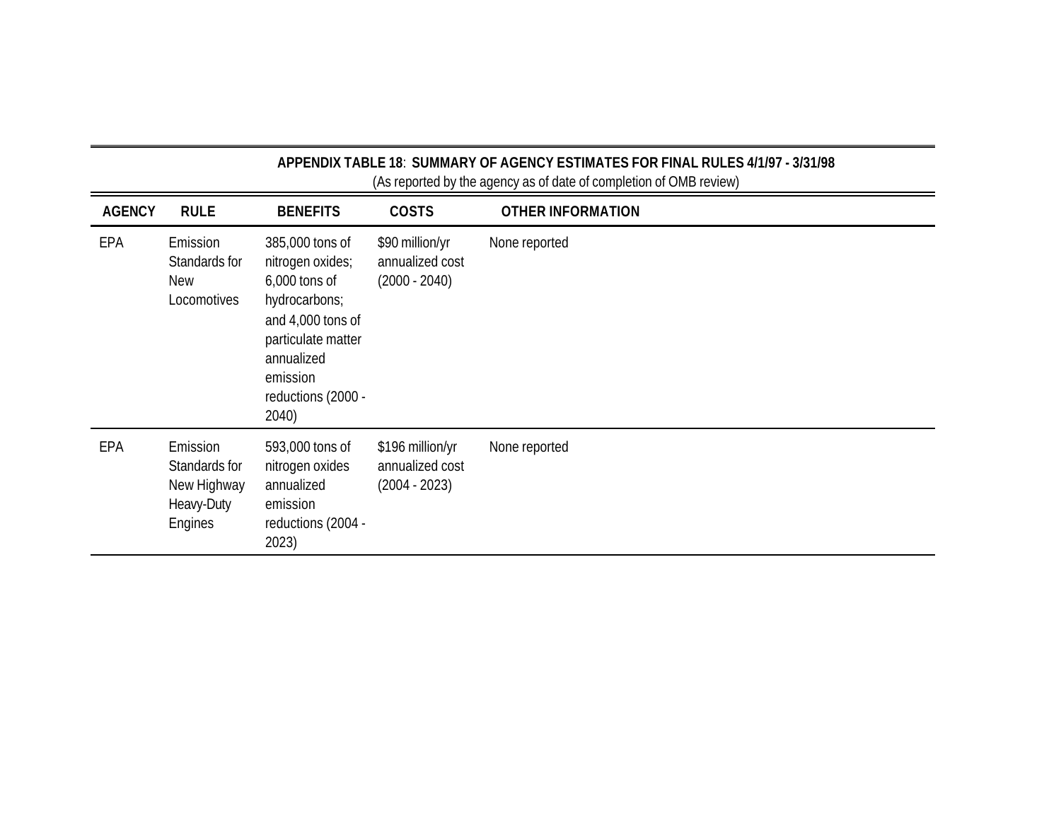| APPENDIX TABLE 18: SUMMARY OF AGENCY ESTIMATES FOR FINAL RULES 4/1/97 - 3/31/98<br>(As reported by the agency as of date of completion of OMB review) |                                                                   |                                                                                                                                                                             |                                                        |                          |
|-------------------------------------------------------------------------------------------------------------------------------------------------------|-------------------------------------------------------------------|-----------------------------------------------------------------------------------------------------------------------------------------------------------------------------|--------------------------------------------------------|--------------------------|
| <b>AGENCY</b>                                                                                                                                         | <b>RULE</b>                                                       | <b>BENEFITS</b>                                                                                                                                                             | <b>COSTS</b>                                           | <b>OTHER INFORMATION</b> |
| EPA                                                                                                                                                   | Emission<br>Standards for<br><b>New</b><br>Locomotives            | 385,000 tons of<br>nitrogen oxides;<br>$6,000$ tons of<br>hydrocarbons;<br>and 4,000 tons of<br>particulate matter<br>annualized<br>emission<br>reductions (2000 -<br>2040) | \$90 million/yr<br>annualized cost<br>$(2000 - 2040)$  | None reported            |
| EPA                                                                                                                                                   | Emission<br>Standards for<br>New Highway<br>Heavy-Duty<br>Engines | 593,000 tons of<br>nitrogen oxides<br>annualized<br>emission<br>reductions (2004 -<br>2023)                                                                                 | \$196 million/yr<br>annualized cost<br>$(2004 - 2023)$ | None reported            |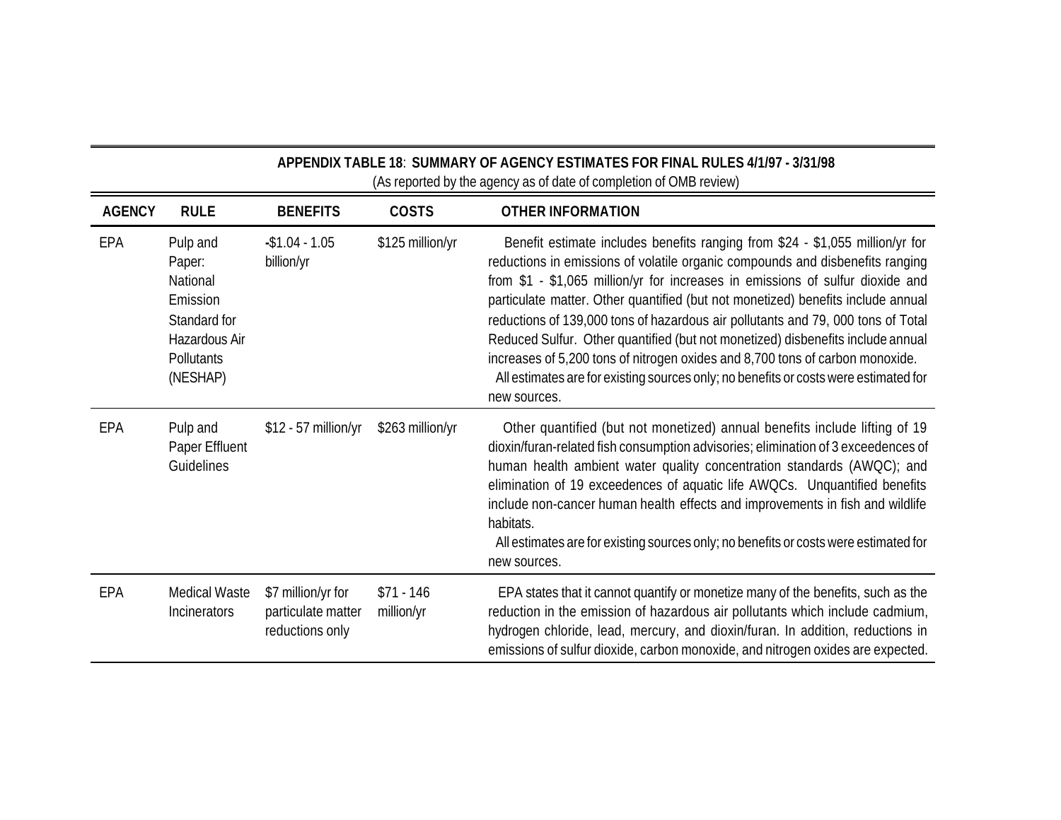| APPENDIX TABLE 18: SUMMARY OF AGENCY ESTIMATES FOR FINAL RULES 4/1/97 - 3/31/98<br>(As reported by the agency as of date of completion of OMB review) |                                                                                                       |                                                             |                           |                                                                                                                                                                                                                                                                                                                                                                                                                                                                                                                                                                                                                                                                                                     |  |
|-------------------------------------------------------------------------------------------------------------------------------------------------------|-------------------------------------------------------------------------------------------------------|-------------------------------------------------------------|---------------------------|-----------------------------------------------------------------------------------------------------------------------------------------------------------------------------------------------------------------------------------------------------------------------------------------------------------------------------------------------------------------------------------------------------------------------------------------------------------------------------------------------------------------------------------------------------------------------------------------------------------------------------------------------------------------------------------------------------|--|
| <b>AGENCY</b>                                                                                                                                         | <b>RULE</b>                                                                                           | <b>BENEFITS</b>                                             | <b>COSTS</b>              | <b>OTHER INFORMATION</b>                                                                                                                                                                                                                                                                                                                                                                                                                                                                                                                                                                                                                                                                            |  |
| EPA                                                                                                                                                   | Pulp and<br>Paper:<br>National<br>Emission<br>Standard for<br>Hazardous Air<br>Pollutants<br>(NESHAP) | $-$1.04 - 1.05$<br>billion/yr                               | \$125 million/yr          | Benefit estimate includes benefits ranging from \$24 - \$1,055 million/yr for<br>reductions in emissions of volatile organic compounds and disbenefits ranging<br>from \$1 - \$1,065 million/yr for increases in emissions of sulfur dioxide and<br>particulate matter. Other quantified (but not monetized) benefits include annual<br>reductions of 139,000 tons of hazardous air pollutants and 79,000 tons of Total<br>Reduced Sulfur. Other quantified (but not monetized) disbenefits include annual<br>increases of 5,200 tons of nitrogen oxides and 8,700 tons of carbon monoxide.<br>All estimates are for existing sources only; no benefits or costs were estimated for<br>new sources. |  |
| EPA                                                                                                                                                   | Pulp and<br>Paper Effluent<br>Guidelines                                                              | \$12 - 57 million/yr                                        | \$263 million/yr          | Other quantified (but not monetized) annual benefits include lifting of 19<br>dioxin/furan-related fish consumption advisories; elimination of 3 exceedences of<br>human health ambient water quality concentration standards (AWQC); and<br>elimination of 19 exceedences of aquatic life AWQCs. Unquantified benefits<br>include non-cancer human health effects and improvements in fish and wildlife<br>habitats.<br>All estimates are for existing sources only; no benefits or costs were estimated for<br>new sources.                                                                                                                                                                       |  |
| EPA                                                                                                                                                   | <b>Medical Waste</b><br>Incinerators                                                                  | \$7 million/yr for<br>particulate matter<br>reductions only | $$71 - 146$<br>million/yr | EPA states that it cannot quantify or monetize many of the benefits, such as the<br>reduction in the emission of hazardous air pollutants which include cadmium,<br>hydrogen chloride, lead, mercury, and dioxin/furan. In addition, reductions in<br>emissions of sulfur dioxide, carbon monoxide, and nitrogen oxides are expected.                                                                                                                                                                                                                                                                                                                                                               |  |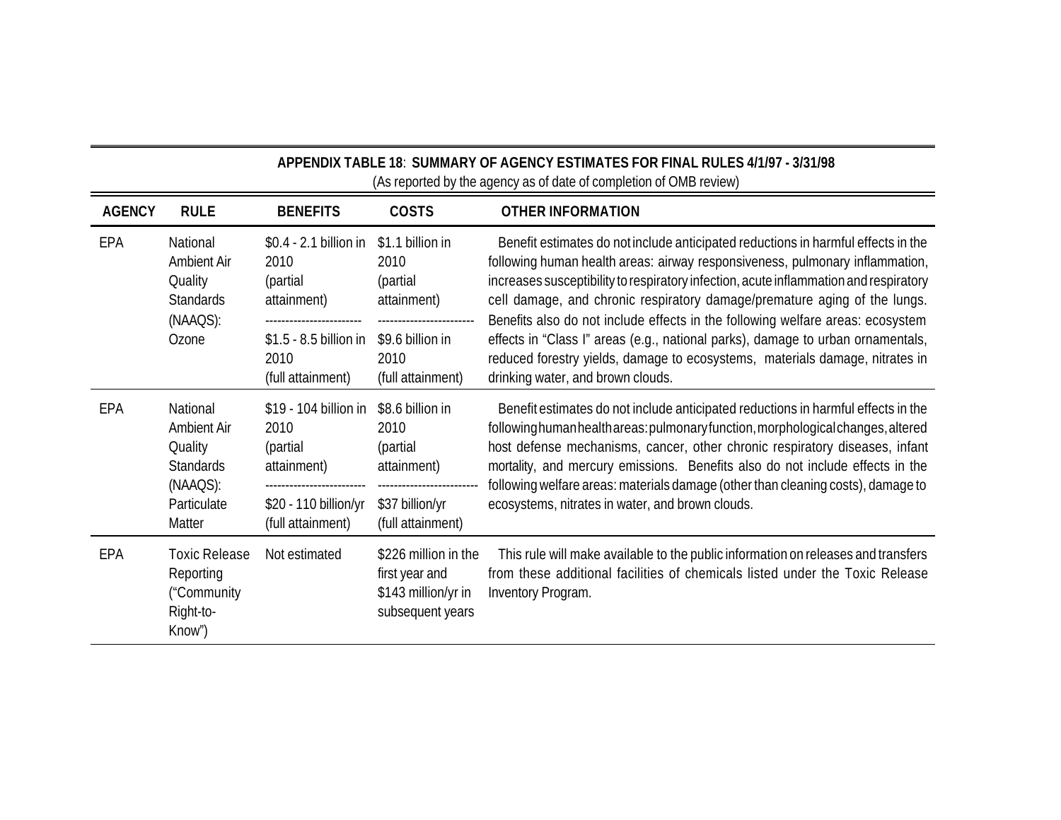| APPENDIX TABLE 18: SUMMARY OF AGENCY ESTIMATES FOR FINAL RULES 4/1/97 - 3/31/98<br>(As reported by the agency as of date of completion of OMB review) |                                                                                             |                                                                                                                   |                                                                                                      |                                                                                                                                                                                                                                                                                                                                                                                                                                                                                                                                                                                                                                   |  |  |  |  |  |
|-------------------------------------------------------------------------------------------------------------------------------------------------------|---------------------------------------------------------------------------------------------|-------------------------------------------------------------------------------------------------------------------|------------------------------------------------------------------------------------------------------|-----------------------------------------------------------------------------------------------------------------------------------------------------------------------------------------------------------------------------------------------------------------------------------------------------------------------------------------------------------------------------------------------------------------------------------------------------------------------------------------------------------------------------------------------------------------------------------------------------------------------------------|--|--|--|--|--|
| <b>AGENCY</b>                                                                                                                                         | <b>RULE</b>                                                                                 | <b>BENEFITS</b>                                                                                                   | <b>COSTS</b>                                                                                         | <b>OTHER INFORMATION</b>                                                                                                                                                                                                                                                                                                                                                                                                                                                                                                                                                                                                          |  |  |  |  |  |
| EPA                                                                                                                                                   | National<br><b>Ambient Air</b><br>Quality<br><b>Standards</b><br>(NAAQS):<br>Ozone          | \$0.4 - 2.1 billion in<br>2010<br>(partial<br>attainment)<br>$$1.5 - 8.5$ billion in<br>2010<br>(full attainment) | \$1.1 billion in<br>2010<br>(partial<br>attainment)<br>\$9.6 billion in<br>2010<br>(full attainment) | Benefit estimates do not include anticipated reductions in harmful effects in the<br>following human health areas: airway responsiveness, pulmonary inflammation,<br>increases susceptibility to respiratory infection, acute inflammation and respiratory<br>cell damage, and chronic respiratory damage/premature aging of the lungs.<br>Benefits also do not include effects in the following welfare areas: ecosystem<br>effects in "Class I" areas (e.g., national parks), damage to urban ornamentals,<br>reduced forestry yields, damage to ecosystems, materials damage, nitrates in<br>drinking water, and brown clouds. |  |  |  |  |  |
| EPA                                                                                                                                                   | National<br>Ambient Air<br>Quality<br><b>Standards</b><br>(NAAQS):<br>Particulate<br>Matter | \$19 - 104 billion in<br>2010<br>(partial<br>attainment)<br>\$20 - 110 billion/yr<br>(full attainment)            | \$8.6 billion in<br>2010<br>(partial<br>attainment)<br>\$37 billion/yr<br>(full attainment)          | Benefit estimates do not include anticipated reductions in harmful effects in the<br>following human health areas: pulmonary function, morphological changes, altered<br>host defense mechanisms, cancer, other chronic respiratory diseases, infant<br>mortality, and mercury emissions. Benefits also do not include effects in the<br>following welfare areas: materials damage (other than cleaning costs), damage to<br>ecosystems, nitrates in water, and brown clouds.                                                                                                                                                     |  |  |  |  |  |
| EPA                                                                                                                                                   | <b>Toxic Release</b><br>Reporting<br>("Community<br>Right-to-<br>Know")                     | Not estimated                                                                                                     | \$226 million in the<br>first year and<br>\$143 million/yr in<br>subsequent years                    | This rule will make available to the public information on releases and transfers<br>from these additional facilities of chemicals listed under the Toxic Release<br>Inventory Program.                                                                                                                                                                                                                                                                                                                                                                                                                                           |  |  |  |  |  |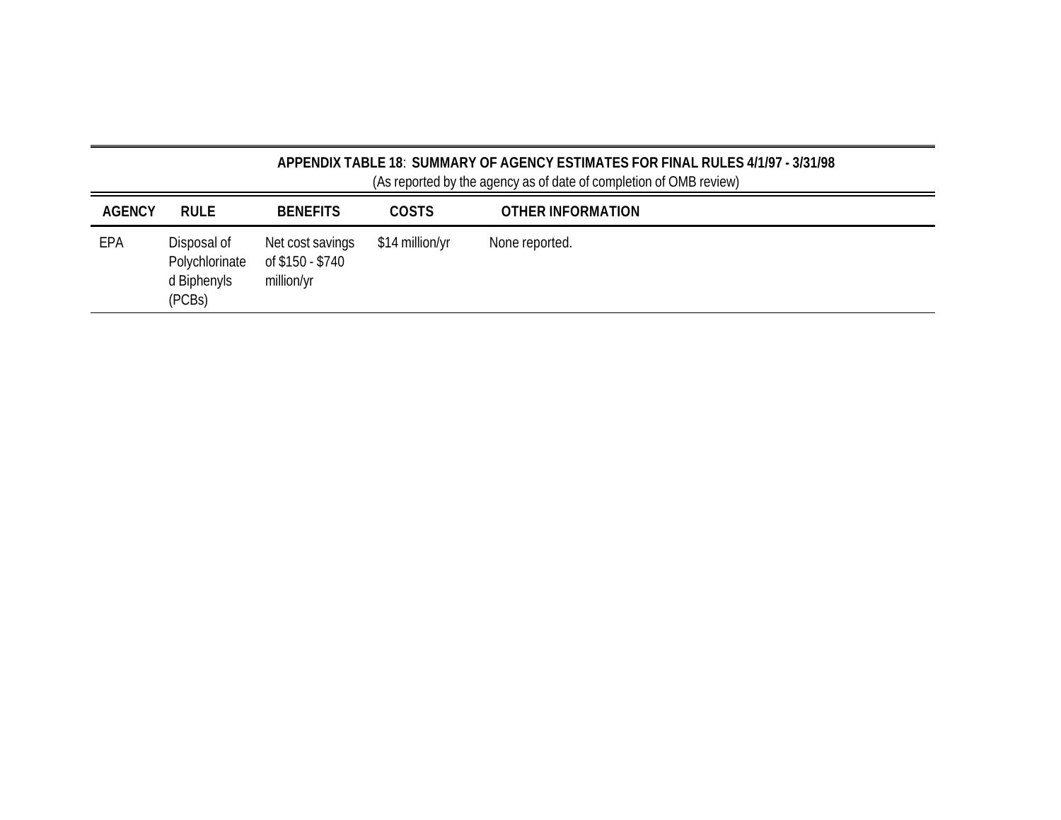| APPENDIX TABLE 18: SUMMARY OF AGENCY ESTIMATES FOR FINAL RULES 4/1/97 - 3/31/98<br>(As reported by the agency as of date of completion of OMB review) |                                                        |                                                    |                 |                   |  |  |  |  |  |
|-------------------------------------------------------------------------------------------------------------------------------------------------------|--------------------------------------------------------|----------------------------------------------------|-----------------|-------------------|--|--|--|--|--|
| <b>AGENCY</b>                                                                                                                                         | <b>RULE</b>                                            | <b>BENEFITS</b>                                    | <b>COSTS</b>    | OTHER INFORMATION |  |  |  |  |  |
| EPA                                                                                                                                                   | Disposal of<br>Polychlorinate<br>d Biphenyls<br>(PCBs) | Net cost savings<br>of \$150 - \$740<br>million/yr | \$14 million/yr | None reported.    |  |  |  |  |  |